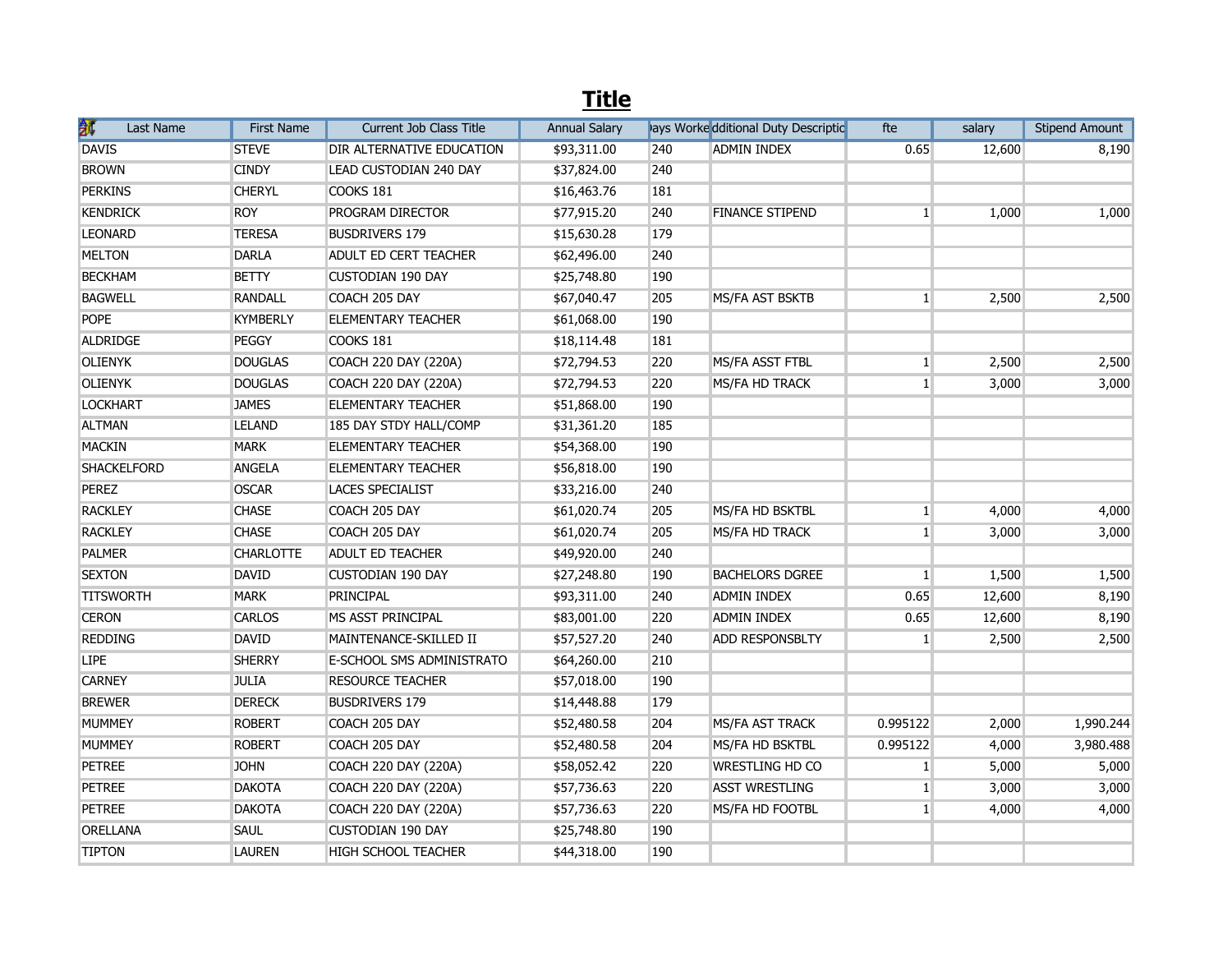## **Title**

| 豜<br>Last Name     | <b>First Name</b> | Current Job Class Title     | <b>Annual Salary</b> |     | lays Worke dditional Duty Descriptic | fte          | salary | <b>Stipend Amount</b> |
|--------------------|-------------------|-----------------------------|----------------------|-----|--------------------------------------|--------------|--------|-----------------------|
| <b>DAVIS</b>       | <b>STEVE</b>      | DIR ALTERNATIVE EDUCATION   | \$93,311.00          | 240 | <b>ADMIN INDEX</b>                   | 0.65         | 12,600 | 8,190                 |
| <b>BROWN</b>       | <b>CINDY</b>      | LEAD CUSTODIAN 240 DAY      | \$37,824.00          | 240 |                                      |              |        |                       |
| <b>PERKINS</b>     | <b>CHERYL</b>     | COOKS 181                   | \$16,463.76          | 181 |                                      |              |        |                       |
| <b>KENDRICK</b>    | <b>ROY</b>        | PROGRAM DIRECTOR            | \$77,915.20          | 240 | <b>FINANCE STIPEND</b>               | $\mathbf{1}$ | 1,000  | 1,000                 |
| <b>LEONARD</b>     | <b>TERESA</b>     | <b>BUSDRIVERS 179</b>       | \$15,630.28          | 179 |                                      |              |        |                       |
| <b>MELTON</b>      | <b>DARLA</b>      | ADULT ED CERT TEACHER       | \$62,496.00          | 240 |                                      |              |        |                       |
| <b>BECKHAM</b>     | <b>BETTY</b>      | <b>CUSTODIAN 190 DAY</b>    | \$25,748.80          | 190 |                                      |              |        |                       |
| <b>BAGWELL</b>     | <b>RANDALL</b>    | COACH 205 DAY               | \$67,040.47          | 205 | MS/FA AST BSKTB                      | $\mathbf{1}$ | 2,500  | 2,500                 |
| <b>POPE</b>        | <b>KYMBERLY</b>   | <b>ELEMENTARY TEACHER</b>   | \$61,068.00          | 190 |                                      |              |        |                       |
| ALDRIDGE           | PEGGY             | COOKS 181                   | \$18,114.48          | 181 |                                      |              |        |                       |
| <b>OLIENYK</b>     | <b>DOUGLAS</b>    | COACH 220 DAY (220A)        | \$72,794.53          | 220 | MS/FA ASST FTBL                      | $\mathbf{1}$ | 2,500  | 2,500                 |
| <b>OLIENYK</b>     | <b>DOUGLAS</b>    | <b>COACH 220 DAY (220A)</b> | \$72,794.53          | 220 | MS/FA HD TRACK                       | $\mathbf{1}$ | 3,000  | 3,000                 |
| <b>LOCKHART</b>    | <b>JAMES</b>      | <b>ELEMENTARY TEACHER</b>   | \$51,868.00          | 190 |                                      |              |        |                       |
| <b>ALTMAN</b>      | <b>LELAND</b>     | 185 DAY STDY HALL/COMP      | \$31,361.20          | 185 |                                      |              |        |                       |
| <b>MACKIN</b>      | <b>MARK</b>       | <b>ELEMENTARY TEACHER</b>   | \$54,368.00          | 190 |                                      |              |        |                       |
| <b>SHACKELFORD</b> | <b>ANGELA</b>     | <b>ELEMENTARY TEACHER</b>   | \$56,818.00          | 190 |                                      |              |        |                       |
| <b>PEREZ</b>       | <b>OSCAR</b>      | <b>LACES SPECIALIST</b>     | \$33,216.00          | 240 |                                      |              |        |                       |
| <b>RACKLEY</b>     | <b>CHASE</b>      | COACH 205 DAY               | \$61,020.74          | 205 | MS/FA HD BSKTBL                      | $\mathbf{1}$ | 4,000  | 4,000                 |
| <b>RACKLEY</b>     | <b>CHASE</b>      | COACH 205 DAY               | \$61,020.74          | 205 | MS/FA HD TRACK                       | $\mathbf{1}$ | 3,000  | 3,000                 |
| <b>PALMER</b>      | <b>CHARLOTTE</b>  | <b>ADULT ED TEACHER</b>     | \$49,920.00          | 240 |                                      |              |        |                       |
| <b>SEXTON</b>      | <b>DAVID</b>      | <b>CUSTODIAN 190 DAY</b>    | \$27,248.80          | 190 | <b>BACHELORS DGREE</b>               | $\mathbf{1}$ | 1,500  | 1,500                 |
| <b>TITSWORTH</b>   | <b>MARK</b>       | PRINCIPAL                   | \$93,311.00          | 240 | <b>ADMIN INDEX</b>                   | 0.65         | 12,600 | 8,190                 |
| <b>CERON</b>       | <b>CARLOS</b>     | MS ASST PRINCIPAL           | \$83,001.00          | 220 | <b>ADMIN INDEX</b>                   | 0.65         | 12,600 | 8,190                 |
| <b>REDDING</b>     | <b>DAVID</b>      | MAINTENANCE-SKILLED II      | \$57,527.20          | 240 | ADD RESPONSBLTY                      | $\mathbf{1}$ | 2,500  | 2,500                 |
| <b>LIPE</b>        | <b>SHERRY</b>     | E-SCHOOL SMS ADMINISTRATO   | \$64,260.00          | 210 |                                      |              |        |                       |
| <b>CARNEY</b>      | <b>JULIA</b>      | <b>RESOURCE TEACHER</b>     | \$57,018.00          | 190 |                                      |              |        |                       |
| <b>BREWER</b>      | <b>DERECK</b>     | <b>BUSDRIVERS 179</b>       | \$14,448.88          | 179 |                                      |              |        |                       |
| <b>MUMMEY</b>      | <b>ROBERT</b>     | COACH 205 DAY               | \$52,480.58          | 204 | MS/FA AST TRACK                      | 0.995122     | 2,000  | 1,990.244             |
| <b>MUMMEY</b>      | <b>ROBERT</b>     | COACH 205 DAY               | \$52,480.58          | 204 | MS/FA HD BSKTBL                      | 0.995122     | 4,000  | 3,980.488             |
| <b>PETREE</b>      | <b>JOHN</b>       | COACH 220 DAY (220A)        | \$58,052.42          | 220 | WRESTLING HD CO                      | $\mathbf{1}$ | 5,000  | 5,000                 |
| <b>PETREE</b>      | <b>DAKOTA</b>     | <b>COACH 220 DAY (220A)</b> | \$57,736.63          | 220 | <b>ASST WRESTLING</b>                | $\mathbf{1}$ | 3,000  | 3,000                 |
| <b>PETREE</b>      | <b>DAKOTA</b>     | <b>COACH 220 DAY (220A)</b> | \$57,736.63          | 220 | MS/FA HD FOOTBL                      | $\mathbf{1}$ | 4,000  | 4,000                 |
| <b>ORELLANA</b>    | <b>SAUL</b>       | <b>CUSTODIAN 190 DAY</b>    | \$25,748.80          | 190 |                                      |              |        |                       |
| <b>TIPTON</b>      | <b>LAUREN</b>     | <b>HIGH SCHOOL TEACHER</b>  | \$44,318.00          | 190 |                                      |              |        |                       |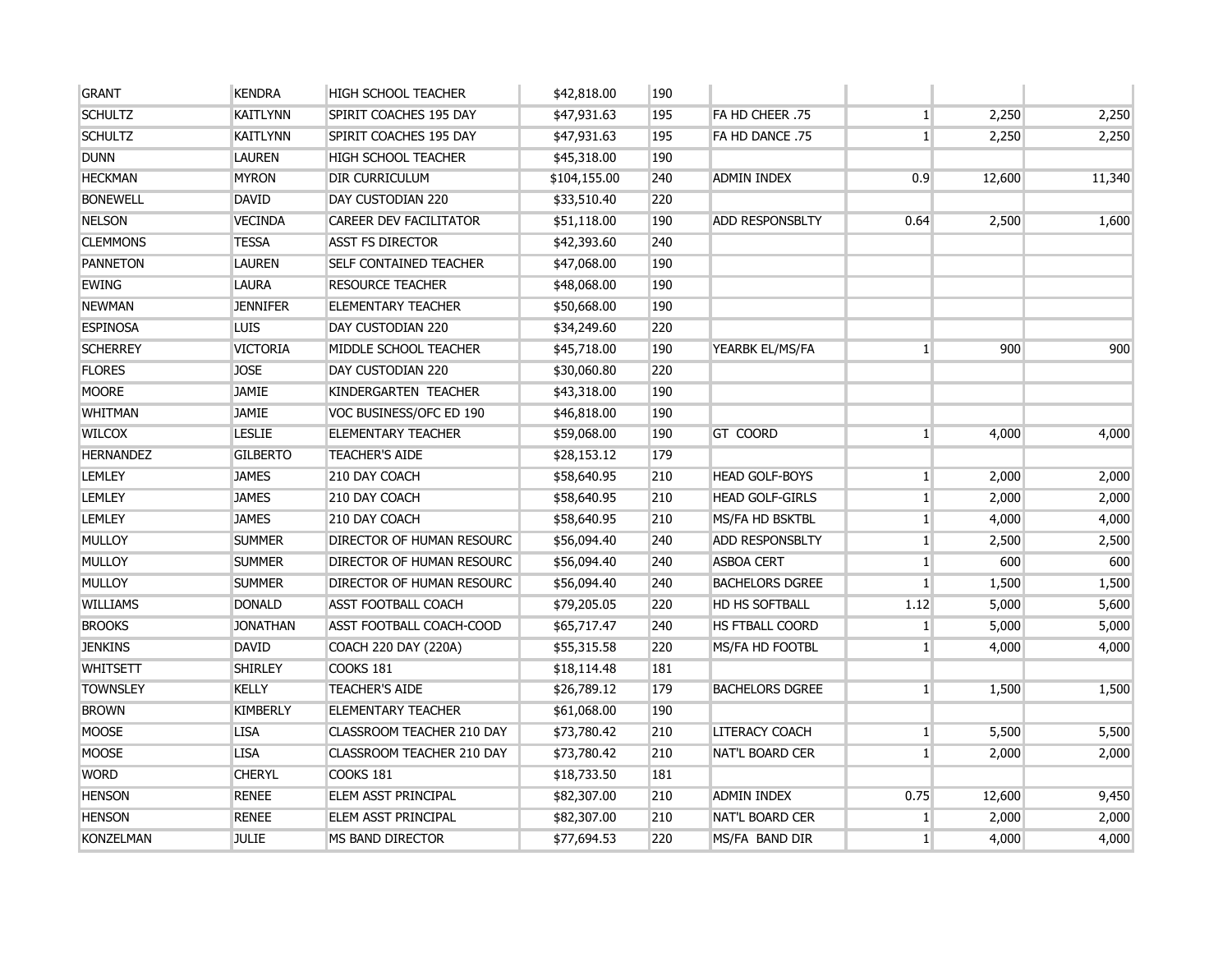| <b>GRANT</b>     | <b>KENDRA</b>   | HIGH SCHOOL TEACHER           | \$42,818.00  | 190 |                        |                 |        |        |
|------------------|-----------------|-------------------------------|--------------|-----|------------------------|-----------------|--------|--------|
| <b>SCHULTZ</b>   | <b>KAITLYNN</b> | SPIRIT COACHES 195 DAY        | \$47,931.63  | 195 | FA HD CHEER .75        | $\mathbf{1}$    | 2,250  | 2,250  |
| <b>SCHULTZ</b>   | <b>KAITLYNN</b> | SPIRIT COACHES 195 DAY        | \$47,931.63  | 195 | FA HD DANCE .75        | $1\overline{ }$ | 2,250  | 2,250  |
| <b>DUNN</b>      | <b>LAUREN</b>   | HIGH SCHOOL TEACHER           | \$45,318.00  | 190 |                        |                 |        |        |
| <b>HECKMAN</b>   | <b>MYRON</b>    | DIR CURRICULUM                | \$104,155.00 | 240 | ADMIN INDEX            | 0.9             | 12,600 | 11,340 |
| <b>BONEWELL</b>  | <b>DAVID</b>    | DAY CUSTODIAN 220             | \$33,510.40  | 220 |                        |                 |        |        |
| <b>NELSON</b>    | <b>VECINDA</b>  | CAREER DEV FACILITATOR        | \$51,118.00  | 190 | <b>ADD RESPONSBLTY</b> | 0.64            | 2,500  | 1,600  |
| <b>CLEMMONS</b>  | <b>TESSA</b>    | <b>ASST FS DIRECTOR</b>       | \$42,393.60  | 240 |                        |                 |        |        |
| <b>PANNETON</b>  | <b>LAUREN</b>   | <b>SELF CONTAINED TEACHER</b> | \$47,068.00  | 190 |                        |                 |        |        |
| <b>EWING</b>     | <b>LAURA</b>    | <b>RESOURCE TEACHER</b>       | \$48,068.00  | 190 |                        |                 |        |        |
| <b>NEWMAN</b>    | <b>JENNIFER</b> | <b>ELEMENTARY TEACHER</b>     | \$50,668.00  | 190 |                        |                 |        |        |
| <b>ESPINOSA</b>  | <b>LUIS</b>     | DAY CUSTODIAN 220             | \$34,249.60  | 220 |                        |                 |        |        |
| <b>SCHERREY</b>  | <b>VICTORIA</b> | MIDDLE SCHOOL TEACHER         | \$45,718.00  | 190 | YEARBK EL/MS/FA        | $\mathbf{1}$    | 900    | 900    |
| <b>FLORES</b>    | <b>JOSE</b>     | DAY CUSTODIAN 220             | \$30,060.80  | 220 |                        |                 |        |        |
| <b>MOORE</b>     | <b>JAMIE</b>    | KINDERGARTEN TEACHER          | \$43,318.00  | 190 |                        |                 |        |        |
| <b>WHITMAN</b>   | <b>JAMIE</b>    | VOC BUSINESS/OFC ED 190       | \$46,818.00  | 190 |                        |                 |        |        |
| <b>WILCOX</b>    | <b>LESLIE</b>   | <b>ELEMENTARY TEACHER</b>     | \$59,068.00  | 190 | GT COORD               | $1\vert$        | 4,000  | 4,000  |
| <b>HERNANDEZ</b> | <b>GILBERTO</b> | <b>TEACHER'S AIDE</b>         | \$28,153.12  | 179 |                        |                 |        |        |
| <b>LEMLEY</b>    | <b>JAMES</b>    | 210 DAY COACH                 | \$58,640.95  | 210 | <b>HEAD GOLF-BOYS</b>  | $1\vert$        | 2,000  | 2,000  |
| <b>LEMLEY</b>    | <b>JAMES</b>    | 210 DAY COACH                 | \$58,640.95  | 210 | <b>HEAD GOLF-GIRLS</b> | 1               | 2,000  | 2,000  |
| <b>LEMLEY</b>    | <b>JAMES</b>    | 210 DAY COACH                 | \$58,640.95  | 210 | <b>MS/FA HD BSKTBL</b> | 1               | 4,000  | 4,000  |
| <b>MULLOY</b>    | <b>SUMMER</b>   | DIRECTOR OF HUMAN RESOURC     | \$56,094.40  | 240 | <b>ADD RESPONSBLTY</b> | 1               | 2,500  | 2,500  |
| <b>MULLOY</b>    | <b>SUMMER</b>   | DIRECTOR OF HUMAN RESOURC     | \$56,094.40  | 240 | <b>ASBOA CERT</b>      | 1               | 600    | 600    |
| <b>MULLOY</b>    | <b>SUMMER</b>   | DIRECTOR OF HUMAN RESOURC     | \$56,094.40  | 240 | <b>BACHELORS DGREE</b> | 1 <sup>1</sup>  | 1,500  | 1,500  |
| <b>WILLIAMS</b>  | <b>DONALD</b>   | <b>ASST FOOTBALL COACH</b>    | \$79,205.05  | 220 | HD HS SOFTBALL         | 1.12            | 5,000  | 5,600  |
| <b>BROOKS</b>    | <b>JONATHAN</b> | ASST FOOTBALL COACH-COOD      | \$65,717.47  | 240 | <b>HS FTBALL COORD</b> | $\mathbf{1}$    | 5,000  | 5,000  |
| <b>JENKINS</b>   | <b>DAVID</b>    | COACH 220 DAY (220A)          | \$55,315.58  | 220 | MS/FA HD FOOTBL        | $\mathbf{1}$    | 4,000  | 4,000  |
| <b>WHITSETT</b>  | <b>SHIRLEY</b>  | <b>COOKS 181</b>              | \$18,114.48  | 181 |                        |                 |        |        |
| <b>TOWNSLEY</b>  | <b>KELLY</b>    | <b>TEACHER'S AIDE</b>         | \$26,789.12  | 179 | <b>BACHELORS DGREE</b> | 1               | 1,500  | 1,500  |
| <b>BROWN</b>     | <b>KIMBERLY</b> | <b>ELEMENTARY TEACHER</b>     | \$61,068.00  | 190 |                        |                 |        |        |
| <b>MOOSE</b>     | <b>LISA</b>     | CLASSROOM TEACHER 210 DAY     | \$73,780.42  | 210 | <b>LITERACY COACH</b>  | 1               | 5,500  | 5,500  |
| <b>MOOSE</b>     | <b>LISA</b>     | CLASSROOM TEACHER 210 DAY     | \$73,780.42  | 210 | NAT'L BOARD CER        | $1\overline{ }$ | 2,000  | 2,000  |
| <b>WORD</b>      | <b>CHERYL</b>   | COOKS 181                     | \$18,733.50  | 181 |                        |                 |        |        |
| <b>HENSON</b>    | <b>RENEE</b>    | <b>ELEM ASST PRINCIPAL</b>    | \$82,307.00  | 210 | <b>ADMIN INDEX</b>     | 0.75            | 12,600 | 9,450  |
| <b>HENSON</b>    | <b>RENEE</b>    | <b>ELEM ASST PRINCIPAL</b>    | \$82,307.00  | 210 | NAT'L BOARD CER        | 1 <sup>1</sup>  | 2,000  | 2,000  |
| <b>KONZELMAN</b> | <b>JULIE</b>    | MS BAND DIRECTOR              | \$77,694.53  | 220 | MS/FA BAND DIR         | $1\vert$        | 4,000  | 4,000  |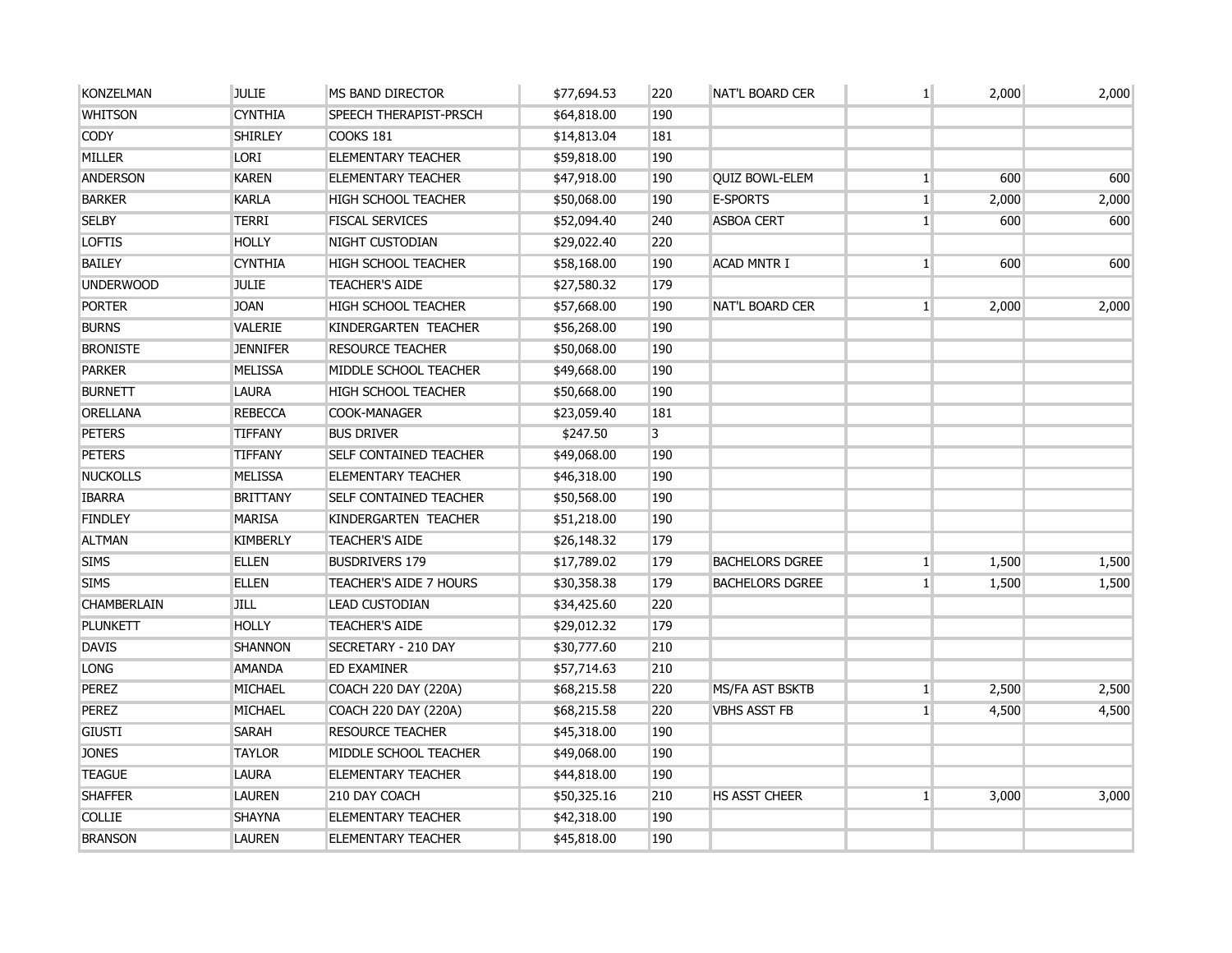| <b>KONZELMAN</b> | <b>JULIE</b>    | MS BAND DIRECTOR              | \$77,694.53 | 220 | <b>NAT'L BOARD CER</b> | 1 <sup>1</sup> | 2,000 | 2,000 |
|------------------|-----------------|-------------------------------|-------------|-----|------------------------|----------------|-------|-------|
| <b>WHITSON</b>   | <b>CYNTHIA</b>  | <b>SPEECH THERAPIST-PRSCH</b> | \$64,818.00 | 190 |                        |                |       |       |
| <b>CODY</b>      | <b>SHIRLEY</b>  | COOKS 181                     | \$14,813.04 | 181 |                        |                |       |       |
| <b>MILLER</b>    | <b>LORI</b>     | <b>ELEMENTARY TEACHER</b>     | \$59,818.00 | 190 |                        |                |       |       |
| <b>ANDERSON</b>  | <b>KAREN</b>    | <b>ELEMENTARY TEACHER</b>     | \$47,918.00 | 190 | <b>QUIZ BOWL-ELEM</b>  | 1 <sup>1</sup> | 600   | 600   |
| <b>BARKER</b>    | <b>KARLA</b>    | <b>HIGH SCHOOL TEACHER</b>    | \$50,068.00 | 190 | <b>E-SPORTS</b>        | $\mathbf{1}$   | 2,000 | 2,000 |
| <b>SELBY</b>     | <b>TERRI</b>    | <b>FISCAL SERVICES</b>        | \$52,094.40 | 240 | <b>ASBOA CERT</b>      | $\mathbf{1}$   | 600   | 600   |
| <b>LOFTIS</b>    | <b>HOLLY</b>    | NIGHT CUSTODIAN               | \$29,022.40 | 220 |                        |                |       |       |
| <b>BAILEY</b>    | <b>CYNTHIA</b>  | HIGH SCHOOL TEACHER           | \$58,168.00 | 190 | <b>ACAD MNTR I</b>     | 1 <sup>1</sup> | 600   | 600   |
| <b>UNDERWOOD</b> | <b>JULIE</b>    | <b>TEACHER'S AIDE</b>         | \$27,580.32 | 179 |                        |                |       |       |
| <b>PORTER</b>    | <b>JOAN</b>     | HIGH SCHOOL TEACHER           | \$57,668.00 | 190 | <b>NAT'L BOARD CER</b> | 1 <sup>1</sup> | 2,000 | 2,000 |
| <b>BURNS</b>     | VALERIE         | KINDERGARTEN TEACHER          | \$56,268.00 | 190 |                        |                |       |       |
| <b>BRONISTE</b>  | <b>JENNIFER</b> | <b>RESOURCE TEACHER</b>       | \$50,068.00 | 190 |                        |                |       |       |
| <b>PARKER</b>    | <b>MELISSA</b>  | MIDDLE SCHOOL TEACHER         | \$49,668.00 | 190 |                        |                |       |       |
| <b>BURNETT</b>   | <b>LAURA</b>    | HIGH SCHOOL TEACHER           | \$50,668.00 | 190 |                        |                |       |       |
| <b>ORELLANA</b>  | <b>REBECCA</b>  | <b>COOK-MANAGER</b>           | \$23,059.40 | 181 |                        |                |       |       |
| <b>PETERS</b>    | <b>TIFFANY</b>  | <b>BUS DRIVER</b>             | \$247.50    | 3   |                        |                |       |       |
| <b>PETERS</b>    | <b>TIFFANY</b>  | <b>SELF CONTAINED TEACHER</b> | \$49,068.00 | 190 |                        |                |       |       |
| <b>NUCKOLLS</b>  | <b>MELISSA</b>  | <b>ELEMENTARY TEACHER</b>     | \$46,318.00 | 190 |                        |                |       |       |
| <b>IBARRA</b>    | <b>BRITTANY</b> | <b>SELF CONTAINED TEACHER</b> | \$50,568.00 | 190 |                        |                |       |       |
| <b>FINDLEY</b>   | <b>MARISA</b>   | KINDERGARTEN TEACHER          | \$51,218.00 | 190 |                        |                |       |       |
| <b>ALTMAN</b>    | <b>KIMBERLY</b> | <b>TEACHER'S AIDE</b>         | \$26,148.32 | 179 |                        |                |       |       |
| <b>SIMS</b>      | <b>ELLEN</b>    | <b>BUSDRIVERS 179</b>         | \$17,789.02 | 179 | <b>BACHELORS DGREE</b> | 1 <sup>1</sup> | 1,500 | 1,500 |
| <b>SIMS</b>      | <b>ELLEN</b>    | TEACHER'S AIDE 7 HOURS        | \$30,358.38 | 179 | <b>BACHELORS DGREE</b> | 1              | 1,500 | 1,500 |
| CHAMBERLAIN      | <b>JILL</b>     | <b>LEAD CUSTODIAN</b>         | \$34,425.60 | 220 |                        |                |       |       |
| <b>PLUNKETT</b>  | <b>HOLLY</b>    | <b>TEACHER'S AIDE</b>         | \$29,012.32 | 179 |                        |                |       |       |
| <b>DAVIS</b>     | <b>SHANNON</b>  | SECRETARY - 210 DAY           | \$30,777.60 | 210 |                        |                |       |       |
| <b>LONG</b>      | <b>AMANDA</b>   | ED EXAMINER                   | \$57,714.63 | 210 |                        |                |       |       |
| <b>PEREZ</b>     | <b>MICHAEL</b>  | COACH 220 DAY (220A)          | \$68,215.58 | 220 | MS/FA AST BSKTB        | $1\vert$       | 2,500 | 2,500 |
| <b>PEREZ</b>     | <b>MICHAEL</b>  | COACH 220 DAY (220A)          | \$68,215.58 | 220 | <b>VBHS ASST FB</b>    | 1 <sup>1</sup> | 4,500 | 4,500 |
| <b>GIUSTI</b>    | <b>SARAH</b>    | <b>RESOURCE TEACHER</b>       | \$45,318.00 | 190 |                        |                |       |       |
| <b>JONES</b>     | <b>TAYLOR</b>   | MIDDLE SCHOOL TEACHER         | \$49,068.00 | 190 |                        |                |       |       |
| <b>TEAGUE</b>    | <b>LAURA</b>    | <b>ELEMENTARY TEACHER</b>     | \$44,818.00 | 190 |                        |                |       |       |
| <b>SHAFFER</b>   | <b>LAUREN</b>   | 210 DAY COACH                 | \$50,325.16 | 210 | HS ASST CHEER          | 1 <sup>1</sup> | 3,000 | 3,000 |
| <b>COLLIE</b>    | <b>SHAYNA</b>   | <b>ELEMENTARY TEACHER</b>     | \$42,318.00 | 190 |                        |                |       |       |
| <b>BRANSON</b>   | <b>LAUREN</b>   | <b>ELEMENTARY TEACHER</b>     | \$45,818.00 | 190 |                        |                |       |       |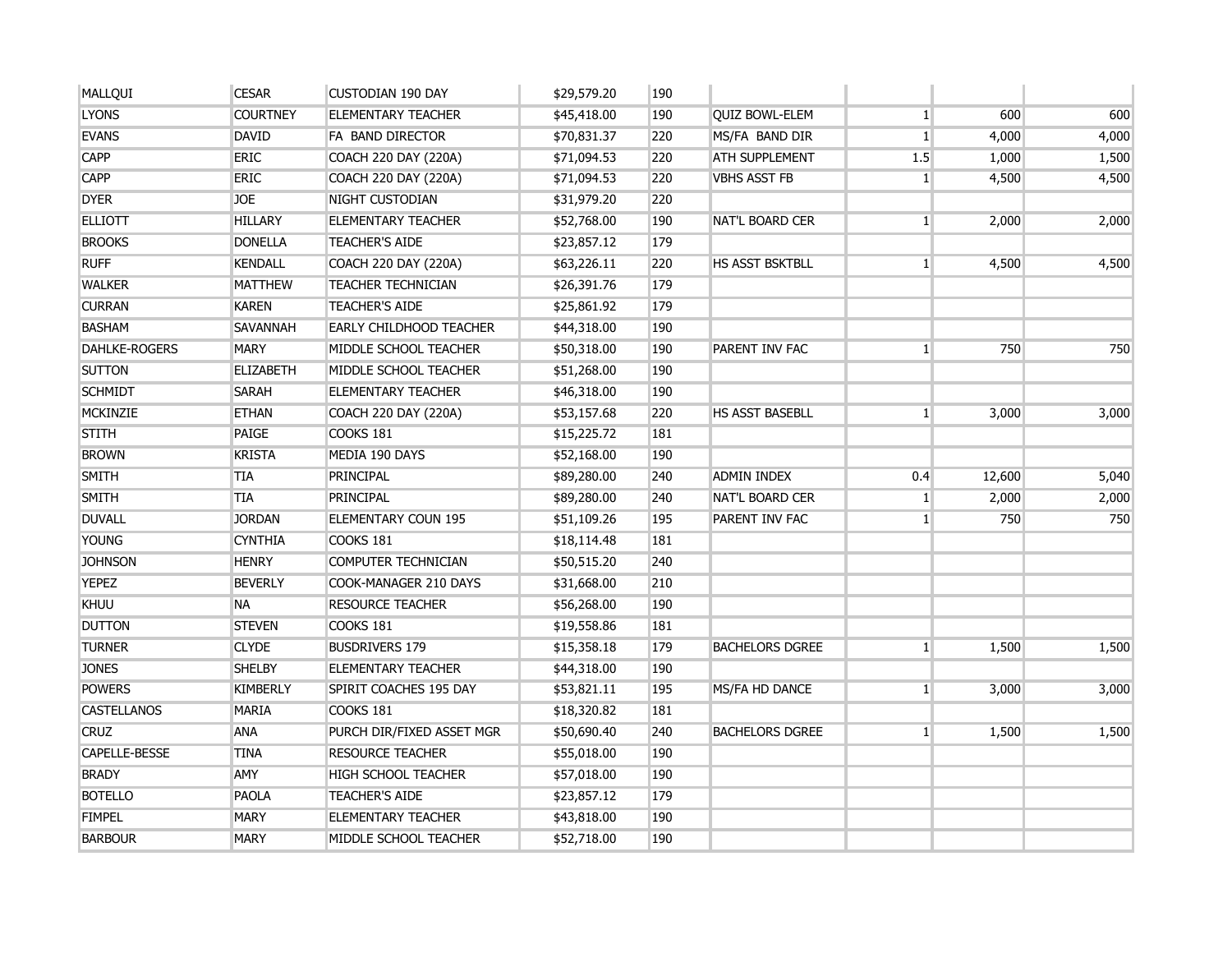| MALLQUI              | <b>CESAR</b>     | <b>CUSTODIAN 190 DAY</b>    | \$29,579.20 | 190 |                        |                |        |       |
|----------------------|------------------|-----------------------------|-------------|-----|------------------------|----------------|--------|-------|
| <b>LYONS</b>         | <b>COURTNEY</b>  | <b>ELEMENTARY TEACHER</b>   | \$45,418.00 | 190 | <b>QUIZ BOWL-ELEM</b>  | $\mathbf{1}$   | 600    | 600   |
| <b>EVANS</b>         | <b>DAVID</b>     | FA BAND DIRECTOR            | \$70,831.37 | 220 | MS/FA BAND DIR         | $\mathbf{1}$   | 4,000  | 4,000 |
| <b>CAPP</b>          | <b>ERIC</b>      | COACH 220 DAY (220A)        | \$71,094.53 | 220 | <b>ATH SUPPLEMENT</b>  | 1.5            | 1,000  | 1,500 |
| <b>CAPP</b>          | <b>ERIC</b>      | COACH 220 DAY (220A)        | \$71,094.53 | 220 | <b>VBHS ASST FB</b>    | $\mathbf{1}$   | 4,500  | 4,500 |
| <b>DYER</b>          | <b>JOE</b>       | NIGHT CUSTODIAN             | \$31,979.20 | 220 |                        |                |        |       |
| <b>ELLIOTT</b>       | <b>HILLARY</b>   | <b>ELEMENTARY TEACHER</b>   | \$52,768.00 | 190 | <b>NAT'L BOARD CER</b> | 1 <sup>1</sup> | 2,000  | 2,000 |
| <b>BROOKS</b>        | <b>DONELLA</b>   | <b>TEACHER'S AIDE</b>       | \$23,857.12 | 179 |                        |                |        |       |
| <b>RUFF</b>          | <b>KENDALL</b>   | COACH 220 DAY (220A)        | \$63,226.11 | 220 | HS ASST BSKTBLL        | 1 <sup>1</sup> | 4,500  | 4,500 |
| <b>WALKER</b>        | <b>MATTHEW</b>   | TEACHER TECHNICIAN          | \$26,391.76 | 179 |                        |                |        |       |
| <b>CURRAN</b>        | <b>KAREN</b>     | <b>TEACHER'S AIDE</b>       | \$25,861.92 | 179 |                        |                |        |       |
| <b>BASHAM</b>        | SAVANNAH         | EARLY CHILDHOOD TEACHER     | \$44,318.00 | 190 |                        |                |        |       |
| <b>DAHLKE-ROGERS</b> | <b>MARY</b>      | MIDDLE SCHOOL TEACHER       | \$50,318.00 | 190 | PARENT INV FAC         | $\mathbf{1}$   | 750    | 750   |
| <b>SUTTON</b>        | <b>ELIZABETH</b> | MIDDLE SCHOOL TEACHER       | \$51,268.00 | 190 |                        |                |        |       |
| <b>SCHMIDT</b>       | <b>SARAH</b>     | <b>ELEMENTARY TEACHER</b>   | \$46,318.00 | 190 |                        |                |        |       |
| <b>MCKINZIE</b>      | <b>ETHAN</b>     | <b>COACH 220 DAY (220A)</b> | \$53,157.68 | 220 | <b>HS ASST BASEBLL</b> | $\mathbf{1}$   | 3,000  | 3,000 |
| <b>STITH</b>         | PAIGE            | <b>COOKS 181</b>            | \$15,225.72 | 181 |                        |                |        |       |
| <b>BROWN</b>         | <b>KRISTA</b>    | MEDIA 190 DAYS              | \$52,168.00 | 190 |                        |                |        |       |
| SMITH                | <b>TIA</b>       | PRINCIPAL                   | \$89,280.00 | 240 | <b>ADMIN INDEX</b>     | 0.4            | 12,600 | 5,040 |
| <b>SMITH</b>         | <b>TIA</b>       | PRINCIPAL                   | \$89,280.00 | 240 | <b>NAT'L BOARD CER</b> | $\mathbf{1}$   | 2,000  | 2,000 |
| <b>DUVALL</b>        | <b>JORDAN</b>    | ELEMENTARY COUN 195         | \$51,109.26 | 195 | PARENT INV FAC         | 1 <sup>1</sup> | 750    | 750   |
| <b>YOUNG</b>         | <b>CYNTHIA</b>   | <b>COOKS 181</b>            | \$18,114.48 | 181 |                        |                |        |       |
| <b>JOHNSON</b>       | <b>HENRY</b>     | COMPUTER TECHNICIAN         | \$50,515.20 | 240 |                        |                |        |       |
| <b>YEPEZ</b>         | <b>BEVERLY</b>   | COOK-MANAGER 210 DAYS       | \$31,668.00 | 210 |                        |                |        |       |
| <b>KHUU</b>          | <b>NA</b>        | <b>RESOURCE TEACHER</b>     | \$56,268.00 | 190 |                        |                |        |       |
| <b>DUTTON</b>        | <b>STEVEN</b>    | COOKS 181                   | \$19,558.86 | 181 |                        |                |        |       |
| <b>TURNER</b>        | <b>CLYDE</b>     | <b>BUSDRIVERS 179</b>       | \$15,358.18 | 179 | <b>BACHELORS DGREE</b> | 1 <sup>1</sup> | 1,500  | 1,500 |
| <b>JONES</b>         | <b>SHELBY</b>    | <b>ELEMENTARY TEACHER</b>   | \$44,318.00 | 190 |                        |                |        |       |
| <b>POWERS</b>        | <b>KIMBERLY</b>  | SPIRIT COACHES 195 DAY      | \$53,821.11 | 195 | MS/FA HD DANCE         | 1 <sup>1</sup> | 3,000  | 3,000 |
| <b>CASTELLANOS</b>   | <b>MARIA</b>     | <b>COOKS 181</b>            | \$18,320.82 | 181 |                        |                |        |       |
| <b>CRUZ</b>          | <b>ANA</b>       | PURCH DIR/FIXED ASSET MGR   | \$50,690.40 | 240 | <b>BACHELORS DGREE</b> | $\mathbf{1}$   | 1,500  | 1,500 |
| <b>CAPELLE-BESSE</b> | <b>TINA</b>      | <b>RESOURCE TEACHER</b>     | \$55,018.00 | 190 |                        |                |        |       |
| <b>BRADY</b>         | <b>AMY</b>       | HIGH SCHOOL TEACHER         | \$57,018.00 | 190 |                        |                |        |       |
| <b>BOTELLO</b>       | <b>PAOLA</b>     | <b>TEACHER'S AIDE</b>       | \$23,857.12 | 179 |                        |                |        |       |
| <b>FIMPEL</b>        | <b>MARY</b>      | ELEMENTARY TEACHER          | \$43,818.00 | 190 |                        |                |        |       |
| <b>BARBOUR</b>       | <b>MARY</b>      | MIDDLE SCHOOL TEACHER       | \$52,718.00 | 190 |                        |                |        |       |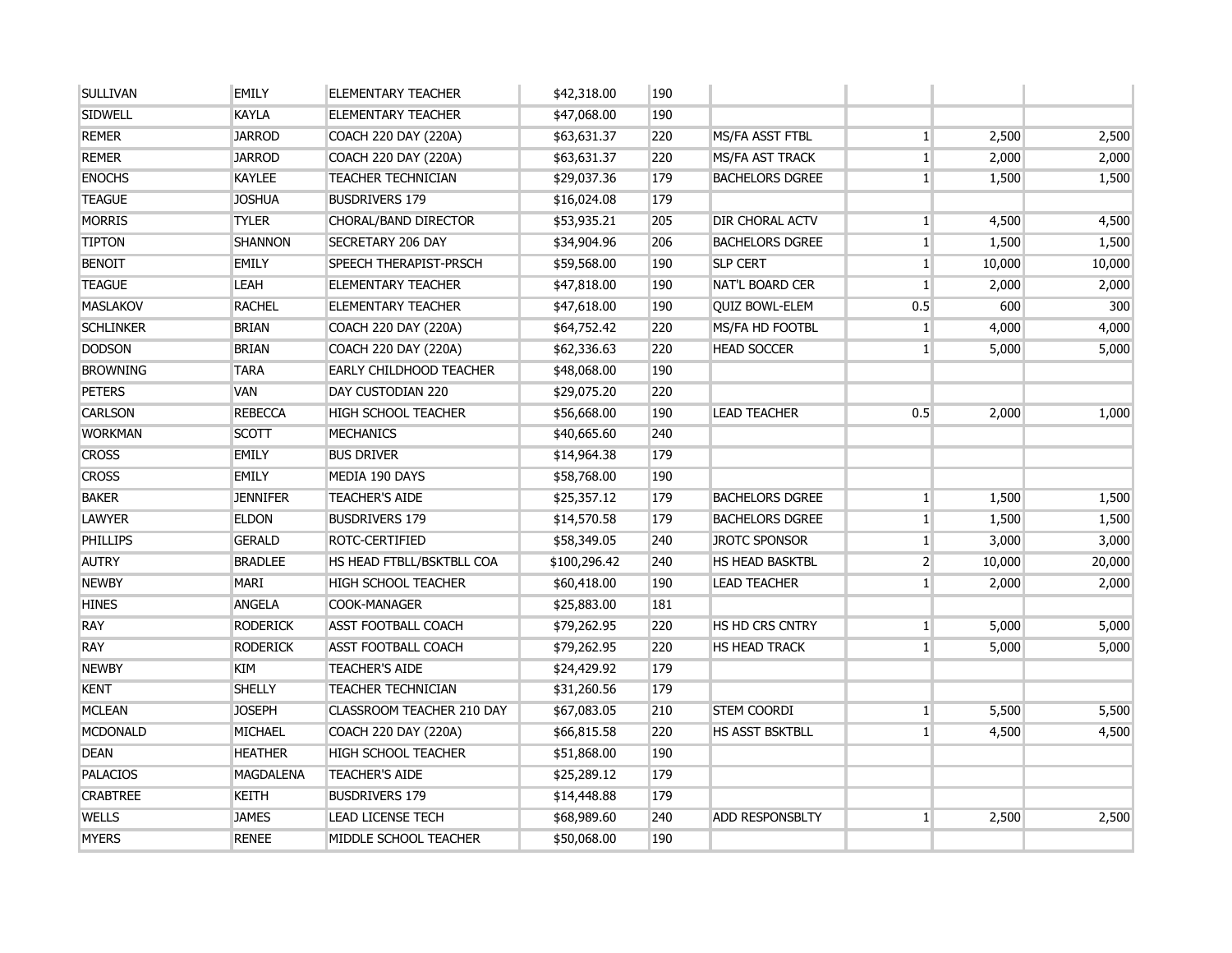| <b>SULLIVAN</b>  | <b>EMILY</b>     | <b>ELEMENTARY TEACHER</b>      | \$42,318.00  | 190 |                        |                 |        |        |
|------------------|------------------|--------------------------------|--------------|-----|------------------------|-----------------|--------|--------|
| <b>SIDWELL</b>   | <b>KAYLA</b>     | <b>ELEMENTARY TEACHER</b>      | \$47,068.00  | 190 |                        |                 |        |        |
| <b>REMER</b>     | <b>JARROD</b>    | COACH 220 DAY (220A)           | \$63,631.37  | 220 | MS/FA ASST FTBL        | $\mathbf{1}$    | 2,500  | 2,500  |
| <b>REMER</b>     | <b>JARROD</b>    | <b>COACH 220 DAY (220A)</b>    | \$63,631.37  | 220 | MS/FA AST TRACK        | $\mathbf{1}$    | 2,000  | 2,000  |
| <b>ENOCHS</b>    | <b>KAYLEE</b>    | <b>TEACHER TECHNICIAN</b>      | \$29,037.36  | 179 | <b>BACHELORS DGREE</b> | $\mathbf{1}$    | 1,500  | 1,500  |
| <b>TEAGUE</b>    | <b>JOSHUA</b>    | <b>BUSDRIVERS 179</b>          | \$16,024.08  | 179 |                        |                 |        |        |
| <b>MORRIS</b>    | <b>TYLER</b>     | CHORAL/BAND DIRECTOR           | \$53,935.21  | 205 | <b>DIR CHORAL ACTV</b> | 1               | 4,500  | 4,500  |
| <b>TIPTON</b>    | <b>SHANNON</b>   | SECRETARY 206 DAY              | \$34,904.96  | 206 | <b>BACHELORS DGREE</b> | $\mathbf{1}$    | 1,500  | 1,500  |
| <b>BENOIT</b>    | <b>EMILY</b>     | SPEECH THERAPIST-PRSCH         | \$59,568.00  | 190 | <b>SLP CERT</b>        | $\mathbf{1}$    | 10,000 | 10,000 |
| <b>TEAGUE</b>    | <b>LEAH</b>      | <b>ELEMENTARY TEACHER</b>      | \$47,818.00  | 190 | NAT'L BOARD CER        | $\mathbf{1}$    | 2,000  | 2,000  |
| <b>MASLAKOV</b>  | <b>RACHEL</b>    | <b>ELEMENTARY TEACHER</b>      | \$47,618.00  | 190 | <b>QUIZ BOWL-ELEM</b>  | 0.5             | 600    | 300    |
| <b>SCHLINKER</b> | <b>BRIAN</b>     | <b>COACH 220 DAY (220A)</b>    | \$64,752.42  | 220 | MS/FA HD FOOTBL        | $\mathbf{1}$    | 4,000  | 4,000  |
| <b>DODSON</b>    | <b>BRIAN</b>     | <b>COACH 220 DAY (220A)</b>    | \$62,336.63  | 220 | <b>HEAD SOCCER</b>     | $\mathbf{1}$    | 5,000  | 5,000  |
| <b>BROWNING</b>  | <b>TARA</b>      | <b>EARLY CHILDHOOD TEACHER</b> | \$48,068.00  | 190 |                        |                 |        |        |
| <b>PETERS</b>    | <b>VAN</b>       | DAY CUSTODIAN 220              | \$29,075.20  | 220 |                        |                 |        |        |
| <b>CARLSON</b>   | <b>REBECCA</b>   | <b>HIGH SCHOOL TEACHER</b>     | \$56,668.00  | 190 | <b>LEAD TEACHER</b>    | 0.5             | 2,000  | 1,000  |
| <b>WORKMAN</b>   | <b>SCOTT</b>     | <b>MECHANICS</b>               | \$40,665.60  | 240 |                        |                 |        |        |
| <b>CROSS</b>     | <b>EMILY</b>     | <b>BUS DRIVER</b>              | \$14,964.38  | 179 |                        |                 |        |        |
| <b>CROSS</b>     | <b>EMILY</b>     | MEDIA 190 DAYS                 | \$58,768.00  | 190 |                        |                 |        |        |
| <b>BAKER</b>     | <b>JENNIFER</b>  | <b>TEACHER'S AIDE</b>          | \$25,357.12  | 179 | <b>BACHELORS DGREE</b> | $\mathbf{1}$    | 1,500  | 1,500  |
| <b>LAWYER</b>    | <b>ELDON</b>     | <b>BUSDRIVERS 179</b>          | \$14,570.58  | 179 | <b>BACHELORS DGREE</b> | $\mathbf{1}$    | 1,500  | 1,500  |
| <b>PHILLIPS</b>  | <b>GERALD</b>    | ROTC-CERTIFIED                 | \$58,349.05  | 240 | <b>JROTC SPONSOR</b>   | 1 <sup>1</sup>  | 3,000  | 3,000  |
| <b>AUTRY</b>     | <b>BRADLEE</b>   | HS HEAD FTBLL/BSKTBLL COA      | \$100,296.42 | 240 | <b>HS HEAD BASKTBL</b> | $\overline{2}$  | 10,000 | 20,000 |
| <b>NEWBY</b>     | <b>MARI</b>      | HIGH SCHOOL TEACHER            | \$60,418.00  | 190 | <b>LEAD TEACHER</b>    | $\mathbf{1}$    | 2,000  | 2,000  |
| <b>HINES</b>     | <b>ANGELA</b>    | COOK-MANAGER                   | \$25,883.00  | 181 |                        |                 |        |        |
| <b>RAY</b>       | <b>RODERICK</b>  | <b>ASST FOOTBALL COACH</b>     | \$79,262.95  | 220 | HS HD CRS CNTRY        | $\mathbf{1}$    | 5,000  | 5,000  |
| <b>RAY</b>       | <b>RODERICK</b>  | <b>ASST FOOTBALL COACH</b>     | \$79,262.95  | 220 | <b>HS HEAD TRACK</b>   | $\mathbf{1}$    | 5,000  | 5,000  |
| <b>NEWBY</b>     | KIM              | <b>TEACHER'S AIDE</b>          | \$24,429.92  | 179 |                        |                 |        |        |
| <b>KENT</b>      | <b>SHELLY</b>    | <b>TEACHER TECHNICIAN</b>      | \$31,260.56  | 179 |                        |                 |        |        |
| <b>MCLEAN</b>    | <b>JOSEPH</b>    | CLASSROOM TEACHER 210 DAY      | \$67,083.05  | 210 | <b>STEM COORDI</b>     | $\mathbf{1}$    | 5,500  | 5,500  |
| <b>MCDONALD</b>  | <b>MICHAEL</b>   | COACH 220 DAY (220A)           | \$66,815.58  | 220 | <b>HS ASST BSKTBLL</b> | $1\overline{ }$ | 4,500  | 4,500  |
| <b>DEAN</b>      | <b>HEATHER</b>   | <b>HIGH SCHOOL TEACHER</b>     | \$51,868.00  | 190 |                        |                 |        |        |
| <b>PALACIOS</b>  | <b>MAGDALENA</b> | <b>TEACHER'S AIDE</b>          | \$25,289.12  | 179 |                        |                 |        |        |
| <b>CRABTREE</b>  | <b>KEITH</b>     | <b>BUSDRIVERS 179</b>          | \$14,448.88  | 179 |                        |                 |        |        |
| <b>WELLS</b>     | <b>JAMES</b>     | <b>LEAD LICENSE TECH</b>       | \$68,989.60  | 240 | <b>ADD RESPONSBLTY</b> | $\mathbf{1}$    | 2,500  | 2,500  |
| <b>MYERS</b>     | <b>RENEE</b>     | MIDDLE SCHOOL TEACHER          | \$50,068.00  | 190 |                        |                 |        |        |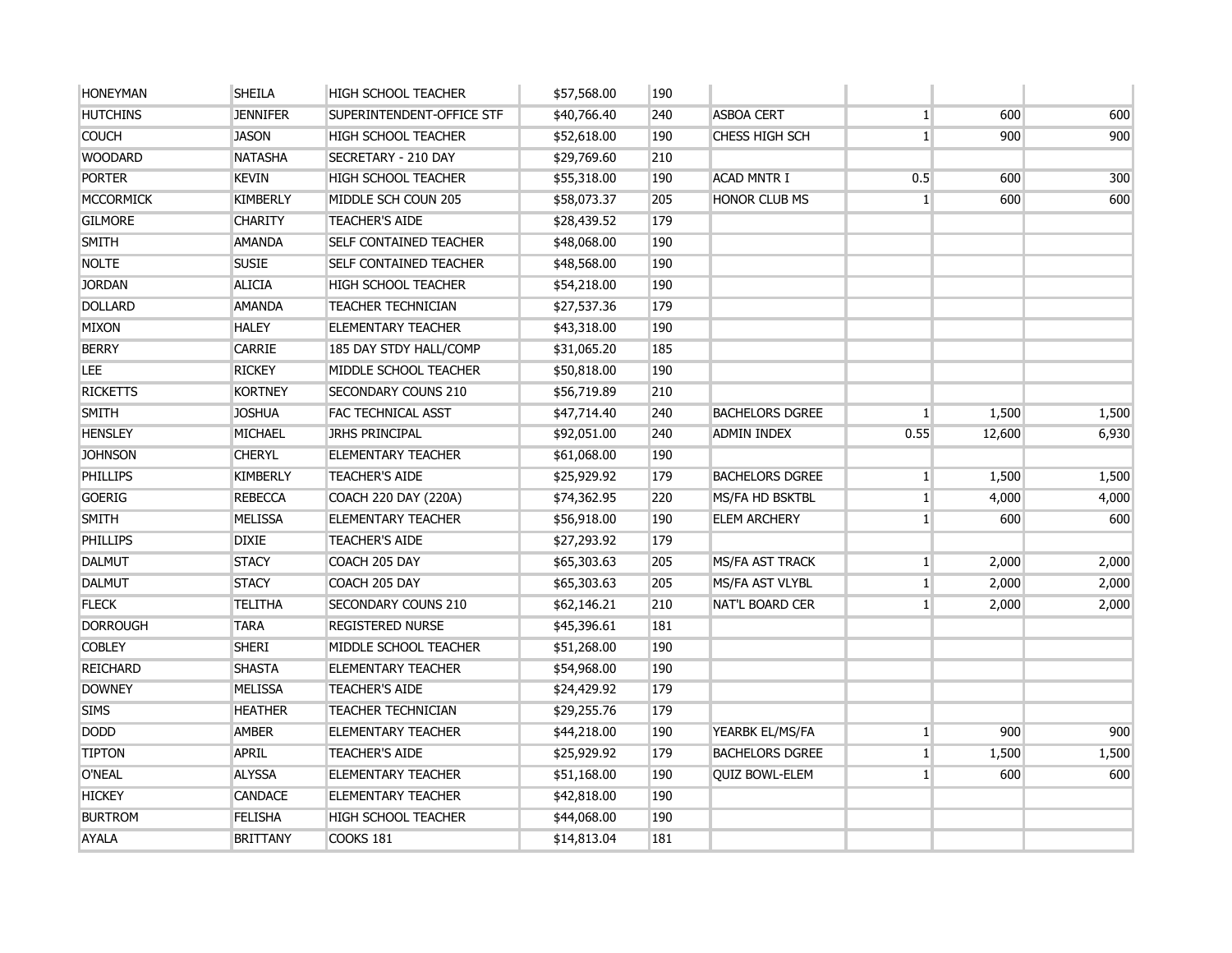| <b>HONEYMAN</b>  | <b>SHEILA</b>   | <b>HIGH SCHOOL TEACHER</b>    | \$57,568.00 | 190 |                        |                |        |       |
|------------------|-----------------|-------------------------------|-------------|-----|------------------------|----------------|--------|-------|
| <b>HUTCHINS</b>  | <b>JENNIFER</b> | SUPERINTENDENT-OFFICE STF     | \$40,766.40 | 240 | <b>ASBOA CERT</b>      | $\mathbf{1}$   | 600    | 600   |
| <b>COUCH</b>     | <b>JASON</b>    | <b>HIGH SCHOOL TEACHER</b>    | \$52,618.00 | 190 | <b>CHESS HIGH SCH</b>  | 1 <sup>1</sup> | 900    | 900   |
| <b>WOODARD</b>   | <b>NATASHA</b>  | SECRETARY - 210 DAY           | \$29,769.60 | 210 |                        |                |        |       |
| <b>PORTER</b>    | <b>KEVIN</b>    | <b>HIGH SCHOOL TEACHER</b>    | \$55,318.00 | 190 | <b>ACAD MNTR I</b>     | 0.5            | 600    | 300   |
| <b>MCCORMICK</b> | <b>KIMBERLY</b> | MIDDLE SCH COUN 205           | \$58,073.37 | 205 | <b>HONOR CLUB MS</b>   | 1 <sup>1</sup> | 600    | 600   |
| <b>GILMORE</b>   | <b>CHARITY</b>  | <b>TEACHER'S AIDE</b>         | \$28,439.52 | 179 |                        |                |        |       |
| <b>SMITH</b>     | <b>AMANDA</b>   | <b>SELF CONTAINED TEACHER</b> | \$48,068.00 | 190 |                        |                |        |       |
| <b>NOLTE</b>     | <b>SUSIE</b>    | <b>SELF CONTAINED TEACHER</b> | \$48,568.00 | 190 |                        |                |        |       |
| <b>JORDAN</b>    | <b>ALICIA</b>   | <b>HIGH SCHOOL TEACHER</b>    | \$54,218.00 | 190 |                        |                |        |       |
| <b>DOLLARD</b>   | <b>AMANDA</b>   | <b>TEACHER TECHNICIAN</b>     | \$27,537.36 | 179 |                        |                |        |       |
| <b>MIXON</b>     | <b>HALEY</b>    | ELEMENTARY TEACHER            | \$43,318.00 | 190 |                        |                |        |       |
| <b>BERRY</b>     | CARRIE          | 185 DAY STDY HALL/COMP        | \$31,065.20 | 185 |                        |                |        |       |
| LEE.             | <b>RICKEY</b>   | MIDDLE SCHOOL TEACHER         | \$50,818.00 | 190 |                        |                |        |       |
| <b>RICKETTS</b>  | <b>KORTNEY</b>  | <b>SECONDARY COUNS 210</b>    | \$56,719.89 | 210 |                        |                |        |       |
| <b>SMITH</b>     | <b>JOSHUA</b>   | <b>FAC TECHNICAL ASST</b>     | \$47,714.40 | 240 | <b>BACHELORS DGREE</b> | 1 <sup>1</sup> | 1,500  | 1,500 |
| <b>HENSLEY</b>   | MICHAEL         | <b>JRHS PRINCIPAL</b>         | \$92,051.00 | 240 | <b>ADMIN INDEX</b>     | 0.55           | 12,600 | 6,930 |
| <b>JOHNSON</b>   | <b>CHERYL</b>   | <b>ELEMENTARY TEACHER</b>     | \$61,068.00 | 190 |                        |                |        |       |
| PHILLIPS         | <b>KIMBERLY</b> | <b>TEACHER'S AIDE</b>         | \$25,929.92 | 179 | <b>BACHELORS DGREE</b> | 1 <sup>1</sup> | 1,500  | 1,500 |
| <b>GOERIG</b>    | <b>REBECCA</b>  | COACH 220 DAY (220A)          | \$74,362.95 | 220 | MS/FA HD BSKTBL        | 1              | 4,000  | 4,000 |
| <b>SMITH</b>     | <b>MELISSA</b>  | <b>ELEMENTARY TEACHER</b>     | \$56,918.00 | 190 | <b>ELEM ARCHERY</b>    | 1              | 600    | 600   |
| PHILLIPS         | <b>DIXIE</b>    | <b>TEACHER'S AIDE</b>         | \$27,293.92 | 179 |                        |                |        |       |
| <b>DALMUT</b>    | <b>STACY</b>    | COACH 205 DAY                 | \$65,303.63 | 205 | MS/FA AST TRACK        | 1              | 2,000  | 2,000 |
| <b>DALMUT</b>    | <b>STACY</b>    | COACH 205 DAY                 | \$65,303.63 | 205 | MS/FA AST VLYBL        | 1              | 2,000  | 2,000 |
| <b>FLECK</b>     | <b>TELITHA</b>  | <b>SECONDARY COUNS 210</b>    | \$62,146.21 | 210 | <b>NAT'L BOARD CER</b> | 1 <sup>1</sup> | 2,000  | 2,000 |
| <b>DORROUGH</b>  | <b>TARA</b>     | <b>REGISTERED NURSE</b>       | \$45,396.61 | 181 |                        |                |        |       |
| <b>COBLEY</b>    | <b>SHERI</b>    | MIDDLE SCHOOL TEACHER         | \$51,268.00 | 190 |                        |                |        |       |
| <b>REICHARD</b>  | <b>SHASTA</b>   | <b>ELEMENTARY TEACHER</b>     | \$54,968.00 | 190 |                        |                |        |       |
| <b>DOWNEY</b>    | <b>MELISSA</b>  | <b>TEACHER'S AIDE</b>         | \$24,429.92 | 179 |                        |                |        |       |
| <b>SIMS</b>      | <b>HEATHER</b>  | <b>TEACHER TECHNICIAN</b>     | \$29,255.76 | 179 |                        |                |        |       |
| <b>DODD</b>      | <b>AMBER</b>    | <b>ELEMENTARY TEACHER</b>     | \$44,218.00 | 190 | YEARBK EL/MS/FA        | 1 <sup>1</sup> | 900    | 900   |
| <b>TIPTON</b>    | <b>APRIL</b>    | <b>TEACHER'S AIDE</b>         | \$25,929.92 | 179 | <b>BACHELORS DGREE</b> | 1 <sup>1</sup> | 1,500  | 1,500 |
| O'NEAL           | <b>ALYSSA</b>   | <b>ELEMENTARY TEACHER</b>     | \$51,168.00 | 190 | <b>QUIZ BOWL-ELEM</b>  | $1\vert$       | 600    | 600   |
| <b>HICKEY</b>    | <b>CANDACE</b>  | <b>ELEMENTARY TEACHER</b>     | \$42,818.00 | 190 |                        |                |        |       |
| <b>BURTROM</b>   | <b>FELISHA</b>  | <b>HIGH SCHOOL TEACHER</b>    | \$44,068.00 | 190 |                        |                |        |       |
| <b>AYALA</b>     | <b>BRITTANY</b> | COOKS 181                     | \$14,813.04 | 181 |                        |                |        |       |
|                  |                 |                               |             |     |                        |                |        |       |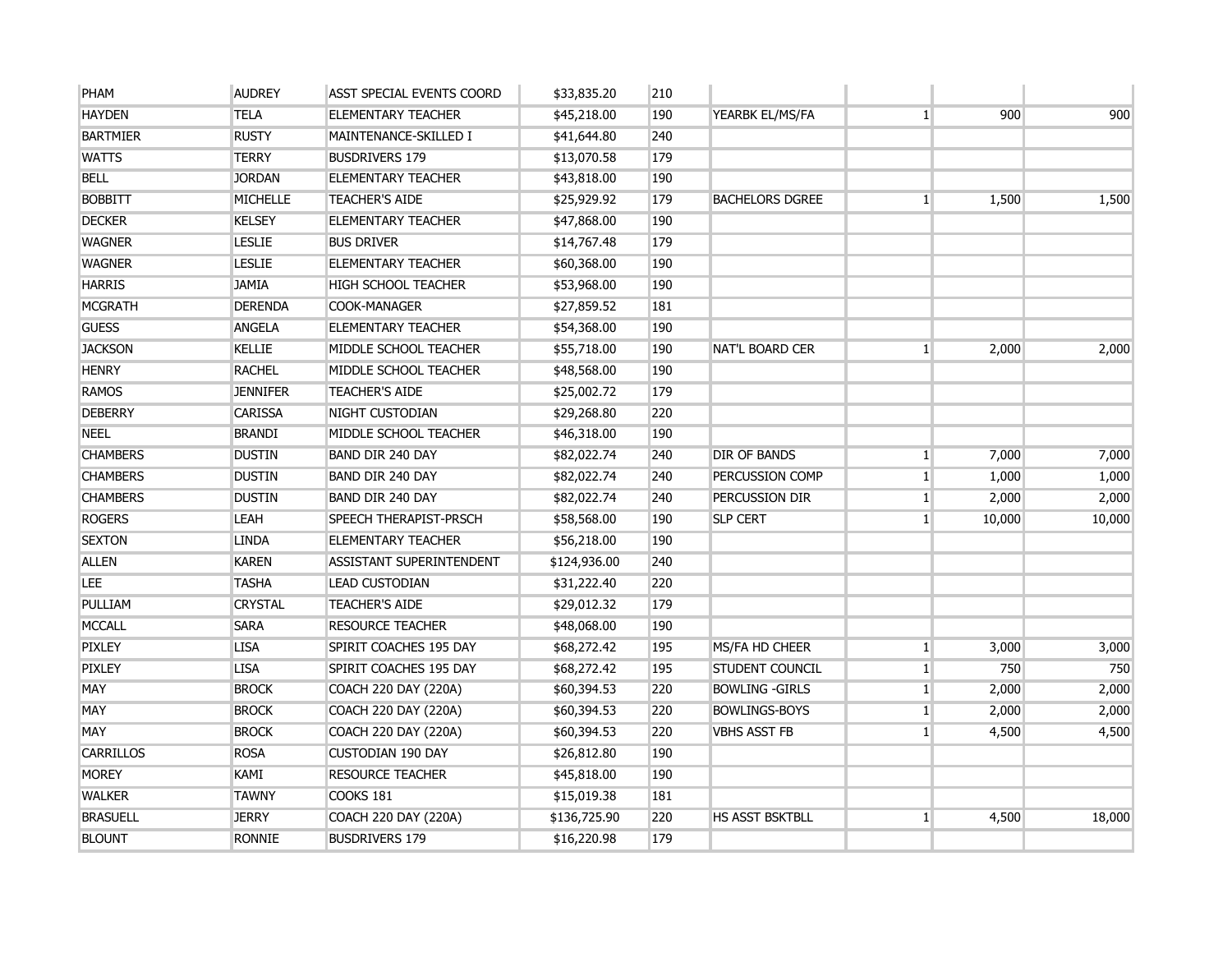| PHAM             | <b>AUDREY</b>   | ASST SPECIAL EVENTS COORD   | \$33,835.20  | 210 |                        |              |        |        |
|------------------|-----------------|-----------------------------|--------------|-----|------------------------|--------------|--------|--------|
| <b>HAYDEN</b>    | <b>TELA</b>     | <b>ELEMENTARY TEACHER</b>   | \$45,218.00  | 190 | YEARBK EL/MS/FA        | $\vert$      | 900    | 900    |
| <b>BARTMIER</b>  | <b>RUSTY</b>    | MAINTENANCE-SKILLED I       | \$41,644.80  | 240 |                        |              |        |        |
| <b>WATTS</b>     | <b>TERRY</b>    | <b>BUSDRIVERS 179</b>       | \$13,070.58  | 179 |                        |              |        |        |
| <b>BELL</b>      | <b>JORDAN</b>   | <b>ELEMENTARY TEACHER</b>   | \$43,818.00  | 190 |                        |              |        |        |
| <b>BOBBITT</b>   | <b>MICHELLE</b> | <b>TEACHER'S AIDE</b>       | \$25,929.92  | 179 | <b>BACHELORS DGREE</b> | $\mathbf{1}$ | 1,500  | 1,500  |
| <b>DECKER</b>    | <b>KELSEY</b>   | <b>ELEMENTARY TEACHER</b>   | \$47,868.00  | 190 |                        |              |        |        |
| <b>WAGNER</b>    | <b>LESLIE</b>   | <b>BUS DRIVER</b>           | \$14,767.48  | 179 |                        |              |        |        |
| <b>WAGNER</b>    | <b>LESLIE</b>   | <b>ELEMENTARY TEACHER</b>   | \$60,368.00  | 190 |                        |              |        |        |
| <b>HARRIS</b>    | <b>JAMIA</b>    | <b>HIGH SCHOOL TEACHER</b>  | \$53,968.00  | 190 |                        |              |        |        |
| <b>MCGRATH</b>   | <b>DERENDA</b>  | <b>COOK-MANAGER</b>         | \$27,859.52  | 181 |                        |              |        |        |
| <b>GUESS</b>     | <b>ANGELA</b>   | <b>ELEMENTARY TEACHER</b>   | \$54,368.00  | 190 |                        |              |        |        |
| <b>JACKSON</b>   | <b>KELLIE</b>   | MIDDLE SCHOOL TEACHER       | \$55,718.00  | 190 | <b>NAT'L BOARD CER</b> | $\mathbf{1}$ | 2,000  | 2,000  |
| <b>HENRY</b>     | <b>RACHEL</b>   | MIDDLE SCHOOL TEACHER       | \$48,568.00  | 190 |                        |              |        |        |
| <b>RAMOS</b>     | <b>JENNIFER</b> | <b>TEACHER'S AIDE</b>       | \$25,002.72  | 179 |                        |              |        |        |
| <b>DEBERRY</b>   | <b>CARISSA</b>  | NIGHT CUSTODIAN             | \$29,268.80  | 220 |                        |              |        |        |
| <b>NEEL</b>      | <b>BRANDI</b>   | MIDDLE SCHOOL TEACHER       | \$46,318.00  | 190 |                        |              |        |        |
| <b>CHAMBERS</b>  | <b>DUSTIN</b>   | <b>BAND DIR 240 DAY</b>     | \$82,022.74  | 240 | <b>DIR OF BANDS</b>    | $\mathbf{1}$ | 7,000  | 7,000  |
| <b>CHAMBERS</b>  | <b>DUSTIN</b>   | <b>BAND DIR 240 DAY</b>     | \$82,022.74  | 240 | PERCUSSION COMP        | $\mathbf{1}$ | 1,000  | 1,000  |
| <b>CHAMBERS</b>  | <b>DUSTIN</b>   | <b>BAND DIR 240 DAY</b>     | \$82,022.74  | 240 | PERCUSSION DIR         | $\vert$ 1    | 2,000  | 2,000  |
| <b>ROGERS</b>    | <b>LEAH</b>     | SPEECH THERAPIST-PRSCH      | \$58,568.00  | 190 | <b>SLP CERT</b>        | $\mathbf{1}$ | 10,000 | 10,000 |
| <b>SEXTON</b>    | <b>LINDA</b>    | <b>ELEMENTARY TEACHER</b>   | \$56,218.00  | 190 |                        |              |        |        |
| <b>ALLEN</b>     | <b>KAREN</b>    | ASSISTANT SUPERINTENDENT    | \$124,936.00 | 240 |                        |              |        |        |
| <b>LEE</b>       | <b>TASHA</b>    | <b>LEAD CUSTODIAN</b>       | \$31,222.40  | 220 |                        |              |        |        |
| PULLIAM          | <b>CRYSTAL</b>  | <b>TEACHER'S AIDE</b>       | \$29,012.32  | 179 |                        |              |        |        |
| <b>MCCALL</b>    | <b>SARA</b>     | <b>RESOURCE TEACHER</b>     | \$48,068.00  | 190 |                        |              |        |        |
| <b>PIXLEY</b>    | <b>LISA</b>     | SPIRIT COACHES 195 DAY      | \$68,272.42  | 195 | MS/FA HD CHEER         | $\mathbf{1}$ | 3,000  | 3,000  |
| <b>PIXLEY</b>    | <b>LISA</b>     | SPIRIT COACHES 195 DAY      | \$68,272.42  | 195 | <b>STUDENT COUNCIL</b> | $\mathbf{1}$ | 750    | 750    |
| <b>MAY</b>       | <b>BROCK</b>    | <b>COACH 220 DAY (220A)</b> | \$60,394.53  | 220 | <b>BOWLING -GIRLS</b>  | $\vert$ 1    | 2,000  | 2,000  |
| <b>MAY</b>       | <b>BROCK</b>    | COACH 220 DAY (220A)        | \$60,394.53  | 220 | <b>BOWLINGS-BOYS</b>   | $\mathbf{1}$ | 2,000  | 2,000  |
| MAY              | <b>BROCK</b>    | <b>COACH 220 DAY (220A)</b> | \$60,394.53  | 220 | <b>VBHS ASST FB</b>    | $\mathbf{1}$ | 4,500  | 4,500  |
| <b>CARRILLOS</b> | <b>ROSA</b>     | <b>CUSTODIAN 190 DAY</b>    | \$26,812.80  | 190 |                        |              |        |        |
| <b>MOREY</b>     | KAMI            | <b>RESOURCE TEACHER</b>     | \$45,818.00  | 190 |                        |              |        |        |
| <b>WALKER</b>    | <b>TAWNY</b>    | <b>COOKS 181</b>            | \$15,019.38  | 181 |                        |              |        |        |
| <b>BRASUELL</b>  | <b>JERRY</b>    | <b>COACH 220 DAY (220A)</b> | \$136,725.90 | 220 | HS ASST BSKTBLL        | $\vert$ 1    | 4,500  | 18,000 |
| <b>BLOUNT</b>    | <b>RONNIE</b>   | <b>BUSDRIVERS 179</b>       | \$16,220.98  | 179 |                        |              |        |        |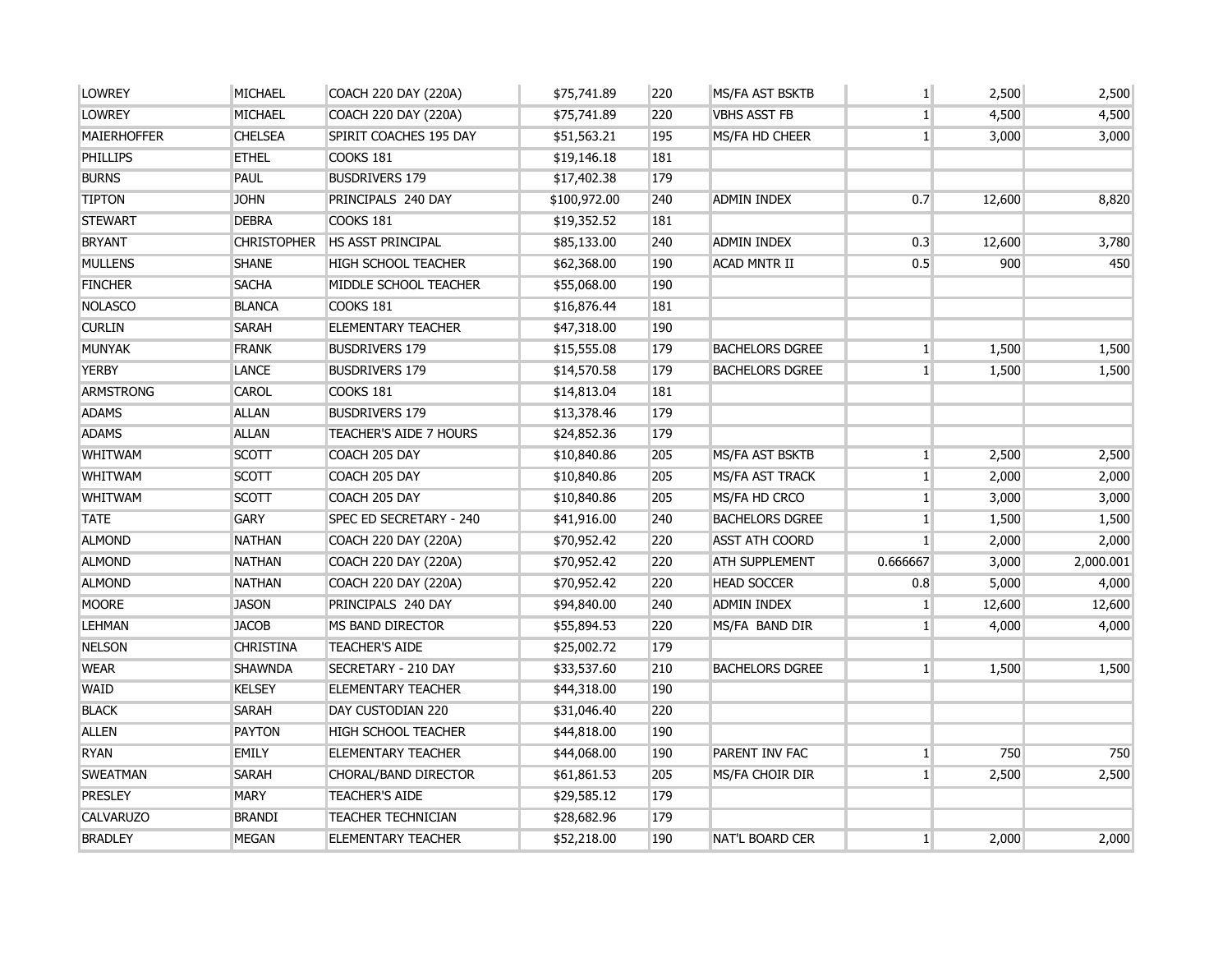| <b>LOWREY</b>      | <b>MICHAEL</b>     | COACH 220 DAY (220A)        | \$75,741.89  | 220 | MS/FA AST BSKTB        | $\mathbf{1}$    | 2,500  | 2,500     |
|--------------------|--------------------|-----------------------------|--------------|-----|------------------------|-----------------|--------|-----------|
| <b>LOWREY</b>      | <b>MICHAEL</b>     | COACH 220 DAY (220A)        | \$75,741.89  | 220 | <b>VBHS ASST FB</b>    | $\mathbf{1}$    | 4,500  | 4,500     |
| <b>MAIERHOFFER</b> | <b>CHELSEA</b>     | SPIRIT COACHES 195 DAY      | \$51,563.21  | 195 | MS/FA HD CHEER         | $\mathbf{1}$    | 3,000  | 3,000     |
| <b>PHILLIPS</b>    | <b>ETHEL</b>       | <b>COOKS 181</b>            | \$19,146.18  | 181 |                        |                 |        |           |
| <b>BURNS</b>       | <b>PAUL</b>        | <b>BUSDRIVERS 179</b>       | \$17,402.38  | 179 |                        |                 |        |           |
| <b>TIPTON</b>      | <b>JOHN</b>        | PRINCIPALS 240 DAY          | \$100,972.00 | 240 | ADMIN INDEX            | 0.7             | 12,600 | 8,820     |
| <b>STEWART</b>     | <b>DEBRA</b>       | COOKS 181                   | \$19,352.52  | 181 |                        |                 |        |           |
| <b>BRYANT</b>      | <b>CHRISTOPHER</b> | <b>HS ASST PRINCIPAL</b>    | \$85,133.00  | 240 | <b>ADMIN INDEX</b>     | 0.3             | 12,600 | 3,780     |
| <b>MULLENS</b>     | <b>SHANE</b>       | HIGH SCHOOL TEACHER         | \$62,368.00  | 190 | <b>ACAD MNTR II</b>    | 0.5             | 900    | 450       |
| <b>FINCHER</b>     | <b>SACHA</b>       | MIDDLE SCHOOL TEACHER       | \$55,068.00  | 190 |                        |                 |        |           |
| <b>NOLASCO</b>     | <b>BLANCA</b>      | <b>COOKS 181</b>            | \$16,876.44  | 181 |                        |                 |        |           |
| <b>CURLIN</b>      | <b>SARAH</b>       | <b>ELEMENTARY TEACHER</b>   | \$47,318.00  | 190 |                        |                 |        |           |
| <b>MUNYAK</b>      | <b>FRANK</b>       | <b>BUSDRIVERS 179</b>       | \$15,555.08  | 179 | <b>BACHELORS DGREE</b> | $1\overline{ }$ | 1,500  | 1,500     |
| <b>YERBY</b>       | LANCE              | <b>BUSDRIVERS 179</b>       | \$14,570.58  | 179 | <b>BACHELORS DGREE</b> | $\mathbf{1}$    | 1,500  | 1,500     |
| <b>ARMSTRONG</b>   | <b>CAROL</b>       | <b>COOKS 181</b>            | \$14,813.04  | 181 |                        |                 |        |           |
| <b>ADAMS</b>       | <b>ALLAN</b>       | <b>BUSDRIVERS 179</b>       | \$13,378.46  | 179 |                        |                 |        |           |
| <b>ADAMS</b>       | <b>ALLAN</b>       | TEACHER'S AIDE 7 HOURS      | \$24,852.36  | 179 |                        |                 |        |           |
| <b>WHITWAM</b>     | <b>SCOTT</b>       | COACH 205 DAY               | \$10,840.86  | 205 | <b>MS/FA AST BSKTB</b> | $\mathbf{1}$    | 2,500  | 2,500     |
| <b>WHITWAM</b>     | <b>SCOTT</b>       | COACH 205 DAY               | \$10,840.86  | 205 | <b>MS/FA AST TRACK</b> | $1\overline{ }$ | 2,000  | 2,000     |
| <b>WHITWAM</b>     | <b>SCOTT</b>       | COACH 205 DAY               | \$10,840.86  | 205 | MS/FA HD CRCO          | $1\overline{ }$ | 3,000  | 3,000     |
| <b>TATE</b>        | <b>GARY</b>        | SPEC ED SECRETARY - 240     | \$41,916.00  | 240 | <b>BACHELORS DGREE</b> | $1\vert$        | 1,500  | 1,500     |
| <b>ALMOND</b>      | <b>NATHAN</b>      | <b>COACH 220 DAY (220A)</b> | \$70,952.42  | 220 | <b>ASST ATH COORD</b>  | 1               | 2,000  | 2,000     |
| <b>ALMOND</b>      | <b>NATHAN</b>      | <b>COACH 220 DAY (220A)</b> | \$70,952.42  | 220 | <b>ATH SUPPLEMENT</b>  | 0.666667        | 3,000  | 2,000.001 |
| <b>ALMOND</b>      | <b>NATHAN</b>      | COACH 220 DAY (220A)        | \$70,952.42  | 220 | <b>HEAD SOCCER</b>     | 0.8             | 5,000  | 4,000     |
| <b>MOORE</b>       | <b>JASON</b>       | PRINCIPALS 240 DAY          | \$94,840.00  | 240 | <b>ADMIN INDEX</b>     | $1\overline{ }$ | 12,600 | 12,600    |
| <b>LEHMAN</b>      | <b>JACOB</b>       | MS BAND DIRECTOR            | \$55,894.53  | 220 | MS/FA BAND DIR         | $\mathbf{1}$    | 4,000  | 4,000     |
| <b>NELSON</b>      | <b>CHRISTINA</b>   | <b>TEACHER'S AIDE</b>       | \$25,002.72  | 179 |                        |                 |        |           |
| <b>WEAR</b>        | <b>SHAWNDA</b>     | SECRETARY - 210 DAY         | \$33,537.60  | 210 | <b>BACHELORS DGREE</b> | 1               | 1,500  | 1,500     |
| WAID               | <b>KELSEY</b>      | <b>ELEMENTARY TEACHER</b>   | \$44,318.00  | 190 |                        |                 |        |           |
| <b>BLACK</b>       | <b>SARAH</b>       | DAY CUSTODIAN 220           | \$31,046.40  | 220 |                        |                 |        |           |
| <b>ALLEN</b>       | <b>PAYTON</b>      | HIGH SCHOOL TEACHER         | \$44,818.00  | 190 |                        |                 |        |           |
| <b>RYAN</b>        | <b>EMILY</b>       | ELEMENTARY TEACHER          | \$44,068.00  | 190 | PARENT INV FAC         | $1\overline{ }$ | 750    | 750       |
| <b>SWEATMAN</b>    | <b>SARAH</b>       | CHORAL/BAND DIRECTOR        | \$61,861.53  | 205 | MS/FA CHOIR DIR        | $1\overline{ }$ | 2,500  | 2,500     |
| <b>PRESLEY</b>     | <b>MARY</b>        | <b>TEACHER'S AIDE</b>       | \$29,585.12  | 179 |                        |                 |        |           |
| <b>CALVARUZO</b>   | <b>BRANDI</b>      | <b>TEACHER TECHNICIAN</b>   | \$28,682.96  | 179 |                        |                 |        |           |
| <b>BRADLEY</b>     | <b>MEGAN</b>       | <b>ELEMENTARY TEACHER</b>   | \$52,218.00  | 190 | <b>NAT'L BOARD CER</b> | $1\overline{ }$ | 2,000  | 2,000     |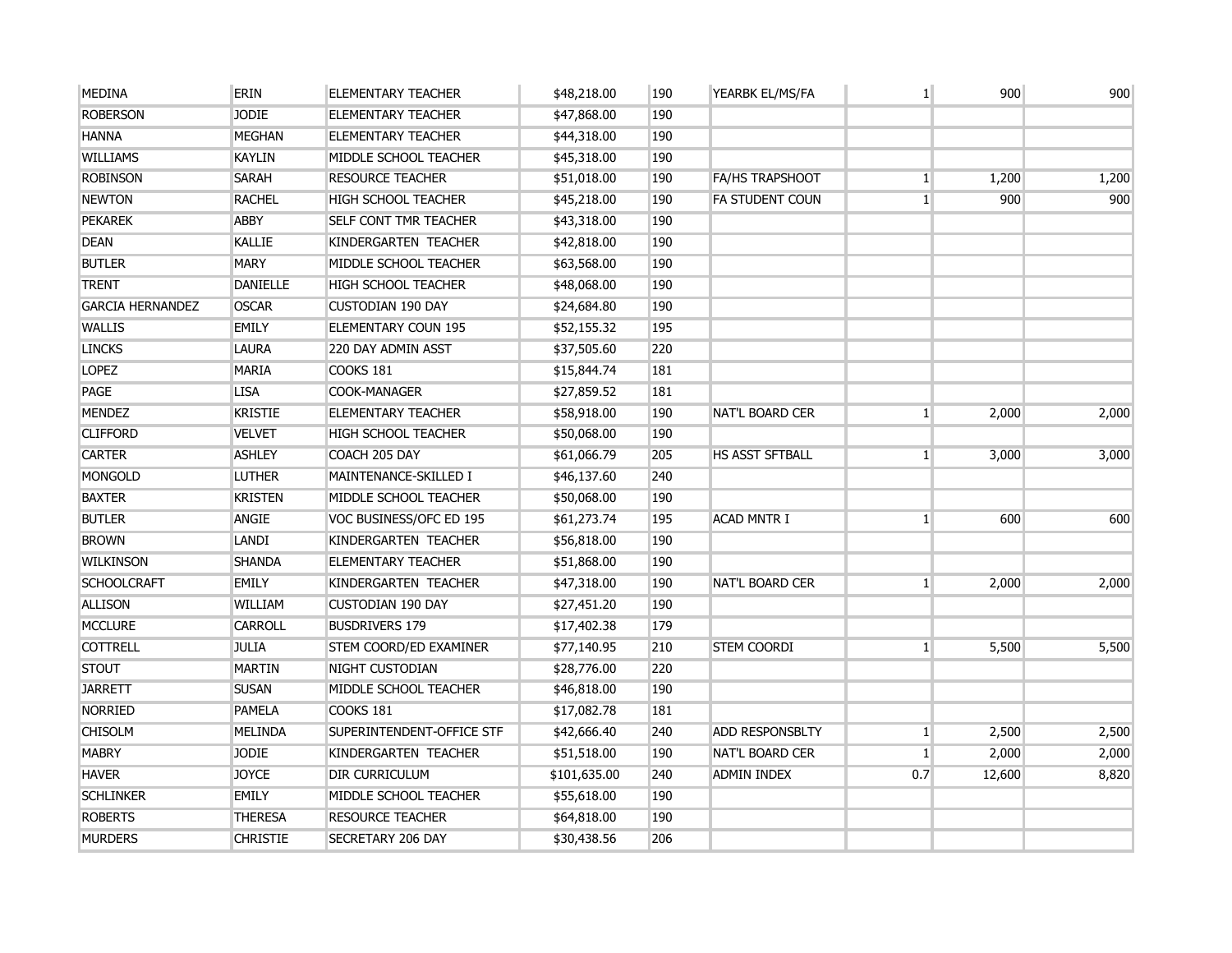| <b>MEDINA</b>           | <b>ERIN</b>     | <b>ELEMENTARY TEACHER</b>  | \$48,218.00  | 190 | YEARBK EL/MS/FA        | $\mathbf{1}$ | 900    | 900   |
|-------------------------|-----------------|----------------------------|--------------|-----|------------------------|--------------|--------|-------|
| <b>ROBERSON</b>         | <b>JODIE</b>    | <b>ELEMENTARY TEACHER</b>  | \$47,868.00  | 190 |                        |              |        |       |
| <b>HANNA</b>            | <b>MEGHAN</b>   | <b>ELEMENTARY TEACHER</b>  | \$44,318.00  | 190 |                        |              |        |       |
| <b>WILLIAMS</b>         | <b>KAYLIN</b>   | MIDDLE SCHOOL TEACHER      | \$45,318.00  | 190 |                        |              |        |       |
| <b>ROBINSON</b>         | <b>SARAH</b>    | <b>RESOURCE TEACHER</b>    | \$51,018.00  | 190 | FA/HS TRAPSHOOT        | $\mathbf{1}$ | 1,200  | 1,200 |
| <b>NEWTON</b>           | <b>RACHEL</b>   | <b>HIGH SCHOOL TEACHER</b> | \$45,218.00  | 190 | <b>FA STUDENT COUN</b> | $\mathbf{1}$ | 900    | 900   |
| <b>PEKAREK</b>          | <b>ABBY</b>     | SELF CONT TMR TEACHER      | \$43,318.00  | 190 |                        |              |        |       |
| <b>DEAN</b>             | <b>KALLIE</b>   | KINDERGARTEN TEACHER       | \$42,818.00  | 190 |                        |              |        |       |
| <b>BUTLER</b>           | <b>MARY</b>     | MIDDLE SCHOOL TEACHER      | \$63,568.00  | 190 |                        |              |        |       |
| <b>TRENT</b>            | <b>DANIELLE</b> | <b>HIGH SCHOOL TEACHER</b> | \$48,068.00  | 190 |                        |              |        |       |
| <b>GARCIA HERNANDEZ</b> | <b>OSCAR</b>    | <b>CUSTODIAN 190 DAY</b>   | \$24,684.80  | 190 |                        |              |        |       |
| <b>WALLIS</b>           | <b>EMILY</b>    | ELEMENTARY COUN 195        | \$52,155.32  | 195 |                        |              |        |       |
| <b>LINCKS</b>           | <b>LAURA</b>    | 220 DAY ADMIN ASST         | \$37,505.60  | 220 |                        |              |        |       |
| <b>LOPEZ</b>            | <b>MARIA</b>    | COOKS 181                  | \$15,844.74  | 181 |                        |              |        |       |
| PAGE                    | <b>LISA</b>     | COOK-MANAGER               | \$27,859.52  | 181 |                        |              |        |       |
| <b>MENDEZ</b>           | <b>KRISTIE</b>  | <b>ELEMENTARY TEACHER</b>  | \$58,918.00  | 190 | <b>NAT'L BOARD CER</b> | $\mathbf{1}$ | 2,000  | 2,000 |
| <b>CLIFFORD</b>         | <b>VELVET</b>   | <b>HIGH SCHOOL TEACHER</b> | \$50,068.00  | 190 |                        |              |        |       |
| <b>CARTER</b>           | <b>ASHLEY</b>   | COACH 205 DAY              | \$61,066.79  | 205 | <b>HS ASST SFTBALL</b> | $\mathbf{1}$ | 3,000  | 3,000 |
| <b>MONGOLD</b>          | <b>LUTHER</b>   | MAINTENANCE-SKILLED I      | \$46,137.60  | 240 |                        |              |        |       |
| <b>BAXTER</b>           | <b>KRISTEN</b>  | MIDDLE SCHOOL TEACHER      | \$50,068.00  | 190 |                        |              |        |       |
| <b>BUTLER</b>           | ANGIE           | VOC BUSINESS/OFC ED 195    | \$61,273.74  | 195 | <b>ACAD MNTR I</b>     | $\mathbf{1}$ | 600    | 600   |
| <b>BROWN</b>            | LANDI           | KINDERGARTEN TEACHER       | \$56,818.00  | 190 |                        |              |        |       |
| <b>WILKINSON</b>        | <b>SHANDA</b>   | <b>ELEMENTARY TEACHER</b>  | \$51,868.00  | 190 |                        |              |        |       |
| <b>SCHOOLCRAFT</b>      | <b>EMILY</b>    | KINDERGARTEN TEACHER       | \$47,318.00  | 190 | <b>NAT'L BOARD CER</b> | $\mathbf{1}$ | 2,000  | 2,000 |
| <b>ALLISON</b>          | WILLIAM         | <b>CUSTODIAN 190 DAY</b>   | \$27,451.20  | 190 |                        |              |        |       |
| <b>MCCLURE</b>          | <b>CARROLL</b>  | <b>BUSDRIVERS 179</b>      | \$17,402.38  | 179 |                        |              |        |       |
| <b>COTTRELL</b>         | <b>JULIA</b>    | STEM COORD/ED EXAMINER     | \$77,140.95  | 210 | <b>STEM COORDI</b>     | $\mathbf{1}$ | 5,500  | 5,500 |
| <b>STOUT</b>            | <b>MARTIN</b>   | NIGHT CUSTODIAN            | \$28,776.00  | 220 |                        |              |        |       |
| <b>JARRETT</b>          | <b>SUSAN</b>    | MIDDLE SCHOOL TEACHER      | \$46,818.00  | 190 |                        |              |        |       |
| <b>NORRIED</b>          | <b>PAMELA</b>   | COOKS 181                  | \$17,082.78  | 181 |                        |              |        |       |
| <b>CHISOLM</b>          | <b>MELINDA</b>  | SUPERINTENDENT-OFFICE STF  | \$42,666.40  | 240 | <b>ADD RESPONSBLTY</b> | $\mathbf{1}$ | 2,500  | 2,500 |
| <b>MABRY</b>            | <b>JODIE</b>    | KINDERGARTEN TEACHER       | \$51,518.00  | 190 | <b>NAT'L BOARD CER</b> | $\vert$ 1    | 2,000  | 2,000 |
| <b>HAVER</b>            | <b>JOYCE</b>    | <b>DIR CURRICULUM</b>      | \$101,635.00 | 240 | <b>ADMIN INDEX</b>     | 0.7          | 12,600 | 8,820 |
| <b>SCHLINKER</b>        | <b>EMILY</b>    | MIDDLE SCHOOL TEACHER      | \$55,618.00  | 190 |                        |              |        |       |
| <b>ROBERTS</b>          | <b>THERESA</b>  | <b>RESOURCE TEACHER</b>    | \$64,818.00  | 190 |                        |              |        |       |
| <b>MURDERS</b>          | <b>CHRISTIE</b> | <b>SECRETARY 206 DAY</b>   | \$30,438.56  | 206 |                        |              |        |       |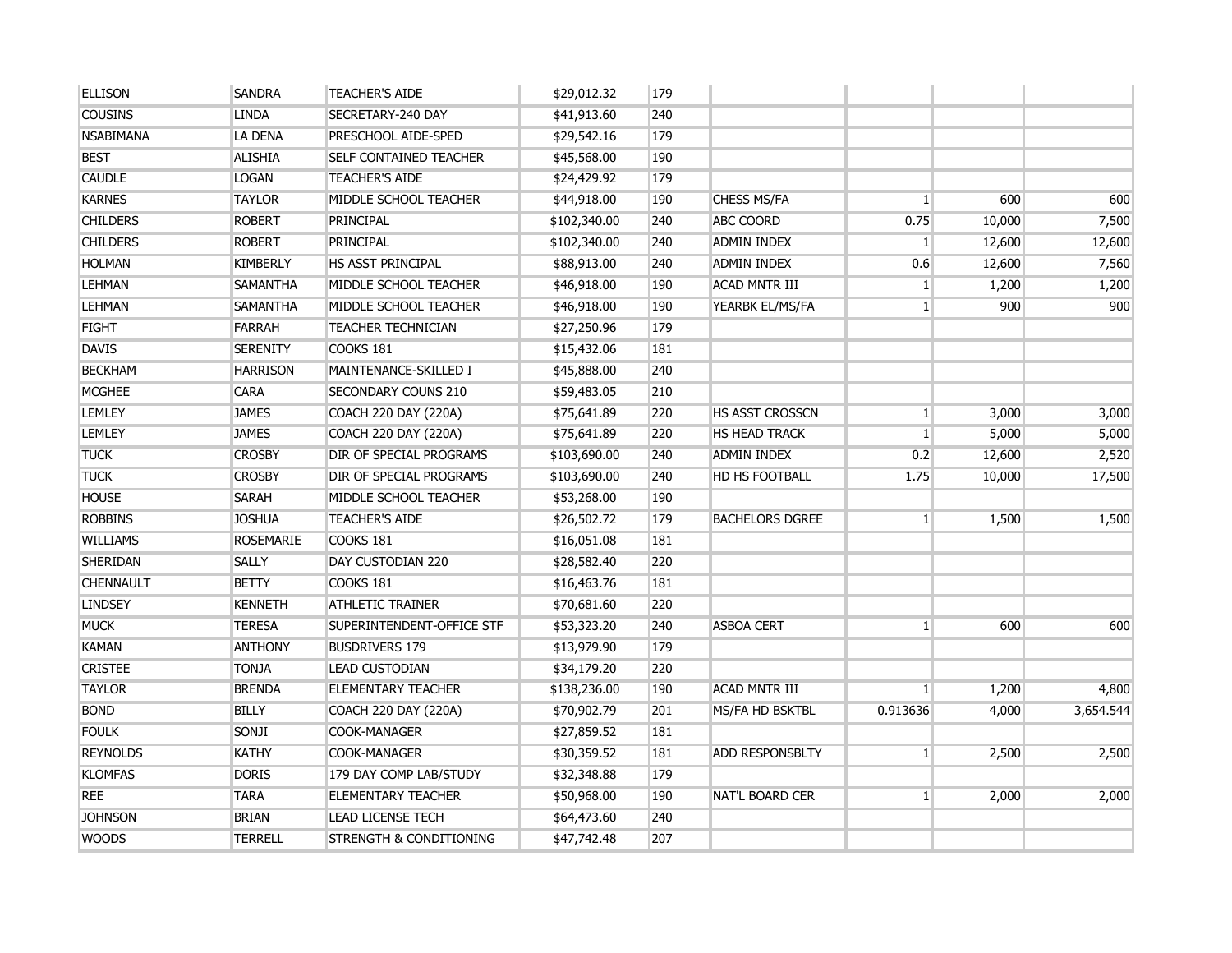| <b>ELLISON</b>   | <b>SANDRA</b>    | <b>TEACHER'S AIDE</b>     | \$29,012.32  | 179 |                        |              |        |           |
|------------------|------------------|---------------------------|--------------|-----|------------------------|--------------|--------|-----------|
| <b>COUSINS</b>   | <b>LINDA</b>     | SECRETARY-240 DAY         | \$41,913.60  | 240 |                        |              |        |           |
| <b>NSABIMANA</b> | LA DENA          | PRESCHOOL AIDE-SPED       | \$29,542.16  | 179 |                        |              |        |           |
| <b>BEST</b>      | <b>ALISHIA</b>   | SELF CONTAINED TEACHER    | \$45,568.00  | 190 |                        |              |        |           |
| <b>CAUDLE</b>    | <b>LOGAN</b>     | <b>TEACHER'S AIDE</b>     | \$24,429.92  | 179 |                        |              |        |           |
| <b>KARNES</b>    | <b>TAYLOR</b>    | MIDDLE SCHOOL TEACHER     | \$44,918.00  | 190 | CHESS MS/FA            | $\mathbf{1}$ | 600    | 600       |
| <b>CHILDERS</b>  | <b>ROBERT</b>    | <b>PRINCIPAL</b>          | \$102,340.00 | 240 | <b>ABC COORD</b>       | 0.75         | 10,000 | 7,500     |
| <b>CHILDERS</b>  | <b>ROBERT</b>    | PRINCIPAL                 | \$102,340.00 | 240 | <b>ADMIN INDEX</b>     | $\mathbf{1}$ | 12,600 | 12,600    |
| <b>HOLMAN</b>    | <b>KIMBERLY</b>  | HS ASST PRINCIPAL         | \$88,913.00  | 240 | <b>ADMIN INDEX</b>     | 0.6          | 12,600 | 7,560     |
| <b>LEHMAN</b>    | <b>SAMANTHA</b>  | MIDDLE SCHOOL TEACHER     | \$46,918.00  | 190 | <b>ACAD MNTR III</b>   | $\mathbf{1}$ | 1,200  | 1,200     |
| <b>LEHMAN</b>    | <b>SAMANTHA</b>  | MIDDLE SCHOOL TEACHER     | \$46,918.00  | 190 | YEARBK EL/MS/FA        | 1            | 900    | 900       |
| <b>FIGHT</b>     | <b>FARRAH</b>    | <b>TEACHER TECHNICIAN</b> | \$27,250.96  | 179 |                        |              |        |           |
| <b>DAVIS</b>     | <b>SERENITY</b>  | COOKS 181                 | \$15,432.06  | 181 |                        |              |        |           |
| <b>BECKHAM</b>   | <b>HARRISON</b>  | MAINTENANCE-SKILLED I     | \$45,888.00  | 240 |                        |              |        |           |
| <b>MCGHEE</b>    | <b>CARA</b>      | SECONDARY COUNS 210       | \$59,483.05  | 210 |                        |              |        |           |
| <b>LEMLEY</b>    | <b>JAMES</b>     | COACH 220 DAY (220A)      | \$75,641.89  | 220 | <b>HS ASST CROSSCN</b> | $\mathbf{1}$ | 3,000  | 3,000     |
| <b>LEMLEY</b>    | <b>JAMES</b>     | COACH 220 DAY (220A)      | \$75,641.89  | 220 | <b>HS HEAD TRACK</b>   | $\mathbf{1}$ | 5,000  | 5,000     |
| <b>TUCK</b>      | <b>CROSBY</b>    | DIR OF SPECIAL PROGRAMS   | \$103,690.00 | 240 | <b>ADMIN INDEX</b>     | 0.2          | 12,600 | 2,520     |
| <b>TUCK</b>      | <b>CROSBY</b>    | DIR OF SPECIAL PROGRAMS   | \$103,690.00 | 240 | HD HS FOOTBALL         | 1.75         | 10,000 | 17,500    |
| <b>HOUSE</b>     | <b>SARAH</b>     | MIDDLE SCHOOL TEACHER     | \$53,268.00  | 190 |                        |              |        |           |
| <b>ROBBINS</b>   | <b>JOSHUA</b>    | <b>TEACHER'S AIDE</b>     | \$26,502.72  | 179 | <b>BACHELORS DGREE</b> | $\mathbf{1}$ | 1,500  | 1,500     |
| <b>WILLIAMS</b>  | <b>ROSEMARIE</b> | <b>COOKS 181</b>          | \$16,051.08  | 181 |                        |              |        |           |
| <b>SHERIDAN</b>  | <b>SALLY</b>     | DAY CUSTODIAN 220         | \$28,582.40  | 220 |                        |              |        |           |
| <b>CHENNAULT</b> | <b>BETTY</b>     | COOKS 181                 | \$16,463.76  | 181 |                        |              |        |           |
| <b>LINDSEY</b>   | <b>KENNETH</b>   | <b>ATHLETIC TRAINER</b>   | \$70,681.60  | 220 |                        |              |        |           |
| <b>MUCK</b>      | <b>TERESA</b>    | SUPERINTENDENT-OFFICE STF | \$53,323.20  | 240 | <b>ASBOA CERT</b>      | $\mathbf{1}$ | 600    | 600       |
| <b>KAMAN</b>     | <b>ANTHONY</b>   | <b>BUSDRIVERS 179</b>     | \$13,979.90  | 179 |                        |              |        |           |
| <b>CRISTEE</b>   | <b>TONJA</b>     | <b>LEAD CUSTODIAN</b>     | \$34,179.20  | 220 |                        |              |        |           |
| <b>TAYLOR</b>    | <b>BRENDA</b>    | <b>ELEMENTARY TEACHER</b> | \$138,236.00 | 190 | <b>ACAD MNTR III</b>   | $\mathbf{1}$ | 1,200  | 4,800     |
| <b>BOND</b>      | <b>BILLY</b>     | COACH 220 DAY (220A)      | \$70,902.79  | 201 | MS/FA HD BSKTBL        | 0.913636     | 4,000  | 3,654.544 |
| <b>FOULK</b>     | SONJI            | COOK-MANAGER              | \$27,859.52  | 181 |                        |              |        |           |
| <b>REYNOLDS</b>  | <b>KATHY</b>     | COOK-MANAGER              | \$30,359.52  | 181 | <b>ADD RESPONSBLTY</b> | $\mathbf{1}$ | 2,500  | 2,500     |
| <b>KLOMFAS</b>   | <b>DORIS</b>     | 179 DAY COMP LAB/STUDY    | \$32,348.88  | 179 |                        |              |        |           |
| <b>REE</b>       | <b>TARA</b>      | <b>ELEMENTARY TEACHER</b> | \$50,968.00  | 190 | NAT'L BOARD CER        | $\mathbf{1}$ | 2,000  | 2,000     |
| <b>JOHNSON</b>   | <b>BRIAN</b>     | <b>LEAD LICENSE TECH</b>  | \$64,473.60  | 240 |                        |              |        |           |
| <b>WOODS</b>     | <b>TERRELL</b>   | STRENGTH & CONDITIONING   | \$47,742.48  | 207 |                        |              |        |           |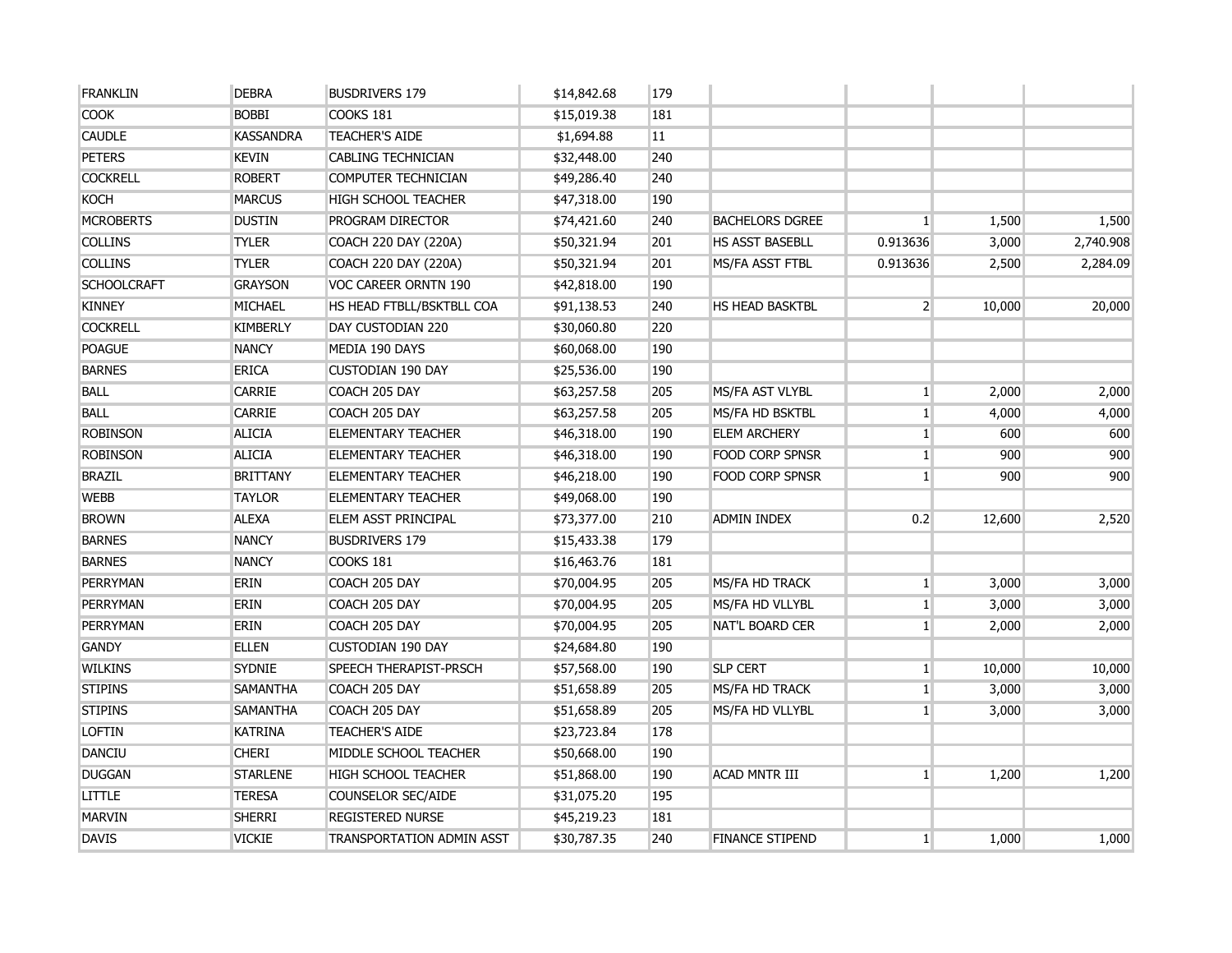| <b>FRANKLIN</b>    | <b>DEBRA</b>     | <b>BUSDRIVERS 179</b>            | \$14,842.68 | 179 |                        |                 |        |           |
|--------------------|------------------|----------------------------------|-------------|-----|------------------------|-----------------|--------|-----------|
| <b>COOK</b>        | <b>BOBBI</b>     | COOKS 181                        | \$15,019.38 | 181 |                        |                 |        |           |
| <b>CAUDLE</b>      | <b>KASSANDRA</b> | <b>TEACHER'S AIDE</b>            | \$1,694.88  | 11  |                        |                 |        |           |
| <b>PETERS</b>      | <b>KEVIN</b>     | <b>CABLING TECHNICIAN</b>        | \$32,448.00 | 240 |                        |                 |        |           |
| <b>COCKRELL</b>    | <b>ROBERT</b>    | COMPUTER TECHNICIAN              | \$49,286.40 | 240 |                        |                 |        |           |
| <b>KOCH</b>        | <b>MARCUS</b>    | <b>HIGH SCHOOL TEACHER</b>       | \$47,318.00 | 190 |                        |                 |        |           |
| <b>MCROBERTS</b>   | <b>DUSTIN</b>    | PROGRAM DIRECTOR                 | \$74,421.60 | 240 | <b>BACHELORS DGREE</b> | $\mathbf{1}$    | 1,500  | 1,500     |
| <b>COLLINS</b>     | <b>TYLER</b>     | COACH 220 DAY (220A)             | \$50,321.94 | 201 | <b>HS ASST BASEBLL</b> | 0.913636        | 3,000  | 2,740.908 |
| <b>COLLINS</b>     | <b>TYLER</b>     | COACH 220 DAY (220A)             | \$50,321.94 | 201 | MS/FA ASST FTBL        | 0.913636        | 2,500  | 2,284.09  |
| <b>SCHOOLCRAFT</b> | <b>GRAYSON</b>   | VOC CAREER ORNTN 190             | \$42,818.00 | 190 |                        |                 |        |           |
| <b>KINNEY</b>      | MICHAEL          | HS HEAD FTBLL/BSKTBLL COA        | \$91,138.53 | 240 | <b>HS HEAD BASKTBL</b> | $2^{\circ}$     | 10,000 | 20,000    |
| <b>COCKRELL</b>    | <b>KIMBERLY</b>  | DAY CUSTODIAN 220                | \$30,060.80 | 220 |                        |                 |        |           |
| <b>POAGUE</b>      | <b>NANCY</b>     | MEDIA 190 DAYS                   | \$60,068.00 | 190 |                        |                 |        |           |
| <b>BARNES</b>      | <b>ERICA</b>     | <b>CUSTODIAN 190 DAY</b>         | \$25,536.00 | 190 |                        |                 |        |           |
| <b>BALL</b>        | <b>CARRIE</b>    | COACH 205 DAY                    | \$63,257.58 | 205 | MS/FA AST VLYBL        | 1               | 2,000  | 2,000     |
| <b>BALL</b>        | <b>CARRIE</b>    | COACH 205 DAY                    | \$63,257.58 | 205 | MS/FA HD BSKTBL        | $1\vert$        | 4,000  | 4,000     |
| <b>ROBINSON</b>    | <b>ALICIA</b>    | <b>ELEMENTARY TEACHER</b>        | \$46,318.00 | 190 | <b>ELEM ARCHERY</b>    | 1 <sup>1</sup>  | 600    | 600       |
| <b>ROBINSON</b>    | <b>ALICIA</b>    | <b>ELEMENTARY TEACHER</b>        | \$46,318.00 | 190 | <b>FOOD CORP SPNSR</b> | 1 <sup>1</sup>  | 900    | 900       |
| <b>BRAZIL</b>      | <b>BRITTANY</b>  | <b>ELEMENTARY TEACHER</b>        | \$46,218.00 | 190 | <b>FOOD CORP SPNSR</b> | $1\overline{ }$ | 900    | 900       |
| <b>WEBB</b>        | <b>TAYLOR</b>    | <b>ELEMENTARY TEACHER</b>        | \$49,068.00 | 190 |                        |                 |        |           |
| <b>BROWN</b>       | <b>ALEXA</b>     | ELEM ASST PRINCIPAL              | \$73,377.00 | 210 | <b>ADMIN INDEX</b>     | 0.2             | 12,600 | 2,520     |
| <b>BARNES</b>      | <b>NANCY</b>     | <b>BUSDRIVERS 179</b>            | \$15,433.38 | 179 |                        |                 |        |           |
| <b>BARNES</b>      | <b>NANCY</b>     | <b>COOKS 181</b>                 | \$16,463.76 | 181 |                        |                 |        |           |
| <b>PERRYMAN</b>    | <b>ERIN</b>      | COACH 205 DAY                    | \$70,004.95 | 205 | MS/FA HD TRACK         | $1\vert$        | 3,000  | 3,000     |
| PERRYMAN           | <b>ERIN</b>      | COACH 205 DAY                    | \$70,004.95 | 205 | MS/FA HD VLLYBL        | 1 <sup>1</sup>  | 3,000  | 3,000     |
| PERRYMAN           | <b>ERIN</b>      | COACH 205 DAY                    | \$70,004.95 | 205 | NAT'L BOARD CER        | 1               | 2,000  | 2,000     |
| <b>GANDY</b>       | <b>ELLEN</b>     | <b>CUSTODIAN 190 DAY</b>         | \$24,684.80 | 190 |                        |                 |        |           |
| <b>WILKINS</b>     | <b>SYDNIE</b>    | <b>SPEECH THERAPIST-PRSCH</b>    | \$57,568.00 | 190 | <b>SLP CERT</b>        | 1               | 10,000 | 10,000    |
| <b>STIPINS</b>     | <b>SAMANTHA</b>  | COACH 205 DAY                    | \$51,658.89 | 205 | MS/FA HD TRACK         | 1 <sup>1</sup>  | 3,000  | 3,000     |
| <b>STIPINS</b>     | <b>SAMANTHA</b>  | COACH 205 DAY                    | \$51,658.89 | 205 | MS/FA HD VLLYBL        | $1\overline{ }$ | 3,000  | 3,000     |
| <b>LOFTIN</b>      | <b>KATRINA</b>   | <b>TEACHER'S AIDE</b>            | \$23,723.84 | 178 |                        |                 |        |           |
| <b>DANCIU</b>      | <b>CHERI</b>     | MIDDLE SCHOOL TEACHER            | \$50,668.00 | 190 |                        |                 |        |           |
| <b>DUGGAN</b>      | <b>STARLENE</b>  | <b>HIGH SCHOOL TEACHER</b>       | \$51,868.00 | 190 | <b>ACAD MNTR III</b>   | $\mathbf{1}$    | 1,200  | 1,200     |
| <b>LITTLE</b>      | <b>TERESA</b>    | <b>COUNSELOR SEC/AIDE</b>        | \$31,075.20 | 195 |                        |                 |        |           |
| <b>MARVIN</b>      | <b>SHERRI</b>    | <b>REGISTERED NURSE</b>          | \$45,219.23 | 181 |                        |                 |        |           |
| <b>DAVIS</b>       | <b>VICKIE</b>    | <b>TRANSPORTATION ADMIN ASST</b> | \$30,787.35 | 240 | <b>FINANCE STIPEND</b> | 1 <sup>1</sup>  | 1,000  | 1,000     |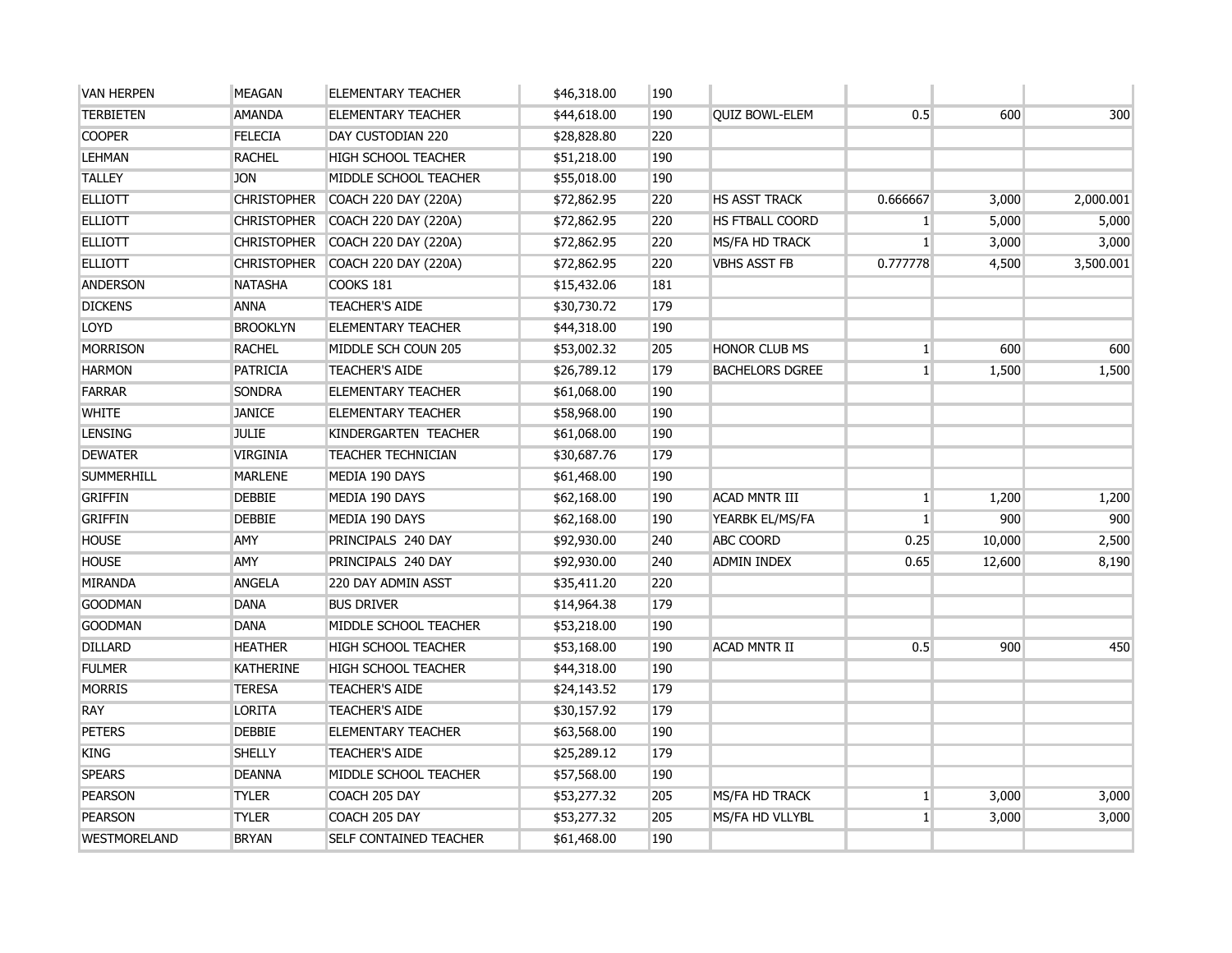| <b>VAN HERPEN</b> | <b>MEAGAN</b>      | <b>ELEMENTARY TEACHER</b>        | \$46,318.00 | 190 |                        |                 |        |           |
|-------------------|--------------------|----------------------------------|-------------|-----|------------------------|-----------------|--------|-----------|
| <b>TERBIETEN</b>  | <b>AMANDA</b>      | <b>ELEMENTARY TEACHER</b>        | \$44,618.00 | 190 | <b>QUIZ BOWL-ELEM</b>  | 0.5             | 600    | 300       |
| <b>COOPER</b>     | <b>FELECIA</b>     | DAY CUSTODIAN 220                | \$28,828.80 | 220 |                        |                 |        |           |
| <b>LEHMAN</b>     | <b>RACHEL</b>      | <b>HIGH SCHOOL TEACHER</b>       | \$51,218.00 | 190 |                        |                 |        |           |
| <b>TALLEY</b>     | <b>JON</b>         | MIDDLE SCHOOL TEACHER            | \$55,018.00 | 190 |                        |                 |        |           |
| <b>ELLIOTT</b>    | <b>CHRISTOPHER</b> | COACH 220 DAY (220A)             | \$72,862.95 | 220 | <b>HS ASST TRACK</b>   | 0.666667        | 3,000  | 2,000.001 |
| <b>ELLIOTT</b>    |                    | CHRISTOPHER COACH 220 DAY (220A) | \$72,862.95 | 220 | <b>HS FTBALL COORD</b> | $\mathbf{1}$    | 5,000  | 5,000     |
| <b>ELLIOTT</b>    |                    | CHRISTOPHER COACH 220 DAY (220A) | \$72,862.95 | 220 | MS/FA HD TRACK         | 1               | 3,000  | 3,000     |
| <b>ELLIOTT</b>    | <b>CHRISTOPHER</b> | COACH 220 DAY (220A)             | \$72,862.95 | 220 | <b>VBHS ASST FB</b>    | 0.777778        | 4,500  | 3,500.001 |
| <b>ANDERSON</b>   | <b>NATASHA</b>     | <b>COOKS 181</b>                 | \$15,432.06 | 181 |                        |                 |        |           |
| <b>DICKENS</b>    | <b>ANNA</b>        | <b>TEACHER'S AIDE</b>            | \$30,730.72 | 179 |                        |                 |        |           |
| <b>LOYD</b>       | <b>BROOKLYN</b>    | <b>ELEMENTARY TEACHER</b>        | \$44,318.00 | 190 |                        |                 |        |           |
| <b>MORRISON</b>   | <b>RACHEL</b>      | MIDDLE SCH COUN 205              | \$53,002.32 | 205 | <b>HONOR CLUB MS</b>   | $1\overline{ }$ | 600    | 600       |
| <b>HARMON</b>     | <b>PATRICIA</b>    | <b>TEACHER'S AIDE</b>            | \$26,789.12 | 179 | <b>BACHELORS DGREE</b> | 1               | 1,500  | 1,500     |
| <b>FARRAR</b>     | <b>SONDRA</b>      | <b>ELEMENTARY TEACHER</b>        | \$61,068.00 | 190 |                        |                 |        |           |
| <b>WHITE</b>      | <b>JANICE</b>      | <b>ELEMENTARY TEACHER</b>        | \$58,968.00 | 190 |                        |                 |        |           |
| <b>LENSING</b>    | <b>JULIE</b>       | KINDERGARTEN TEACHER             | \$61,068.00 | 190 |                        |                 |        |           |
| <b>DEWATER</b>    | <b>VIRGINIA</b>    | <b>TEACHER TECHNICIAN</b>        | \$30,687.76 | 179 |                        |                 |        |           |
| <b>SUMMERHILL</b> | <b>MARLENE</b>     | MEDIA 190 DAYS                   | \$61,468.00 | 190 |                        |                 |        |           |
| <b>GRIFFIN</b>    | <b>DEBBIE</b>      | MEDIA 190 DAYS                   | \$62,168.00 | 190 | <b>ACAD MNTR III</b>   | $1\vert$        | 1,200  | 1,200     |
| <b>GRIFFIN</b>    | <b>DEBBIE</b>      | MEDIA 190 DAYS                   | \$62,168.00 | 190 | YEARBK EL/MS/FA        | 1               | 900    | 900       |
| <b>HOUSE</b>      | AMY                | PRINCIPALS 240 DAY               | \$92,930.00 | 240 | <b>ABC COORD</b>       | 0.25            | 10,000 | 2,500     |
| <b>HOUSE</b>      | <b>AMY</b>         | PRINCIPALS 240 DAY               | \$92,930.00 | 240 | ADMIN INDEX            | 0.65            | 12,600 | 8,190     |
| <b>MIRANDA</b>    | <b>ANGELA</b>      | 220 DAY ADMIN ASST               | \$35,411.20 | 220 |                        |                 |        |           |
| <b>GOODMAN</b>    | <b>DANA</b>        | <b>BUS DRIVER</b>                | \$14,964.38 | 179 |                        |                 |        |           |
| <b>GOODMAN</b>    | <b>DANA</b>        | MIDDLE SCHOOL TEACHER            | \$53,218.00 | 190 |                        |                 |        |           |
| <b>DILLARD</b>    | <b>HEATHER</b>     | <b>HIGH SCHOOL TEACHER</b>       | \$53,168.00 | 190 | <b>ACAD MNTR II</b>    | 0.5             | 900    | 450       |
| <b>FULMER</b>     | <b>KATHERINE</b>   | <b>HIGH SCHOOL TEACHER</b>       | \$44,318.00 | 190 |                        |                 |        |           |
| <b>MORRIS</b>     | <b>TERESA</b>      | <b>TEACHER'S AIDE</b>            | \$24,143.52 | 179 |                        |                 |        |           |
| <b>RAY</b>        | <b>LORITA</b>      | <b>TEACHER'S AIDE</b>            | \$30,157.92 | 179 |                        |                 |        |           |
| <b>PETERS</b>     | <b>DEBBIE</b>      | <b>ELEMENTARY TEACHER</b>        | \$63,568.00 | 190 |                        |                 |        |           |
| <b>KING</b>       | <b>SHELLY</b>      | <b>TEACHER'S AIDE</b>            | \$25,289.12 | 179 |                        |                 |        |           |
| <b>SPEARS</b>     | <b>DEANNA</b>      | MIDDLE SCHOOL TEACHER            | \$57,568.00 | 190 |                        |                 |        |           |
| <b>PEARSON</b>    | <b>TYLER</b>       | COACH 205 DAY                    | \$53,277.32 | 205 | MS/FA HD TRACK         | $\mathbf{1}$    | 3,000  | 3,000     |
| <b>PEARSON</b>    | <b>TYLER</b>       | COACH 205 DAY                    | \$53,277.32 | 205 | MS/FA HD VLLYBL        | $\mathbf{1}$    | 3,000  | 3,000     |
| WESTMORELAND      | <b>BRYAN</b>       | <b>SELF CONTAINED TEACHER</b>    | \$61,468.00 | 190 |                        |                 |        |           |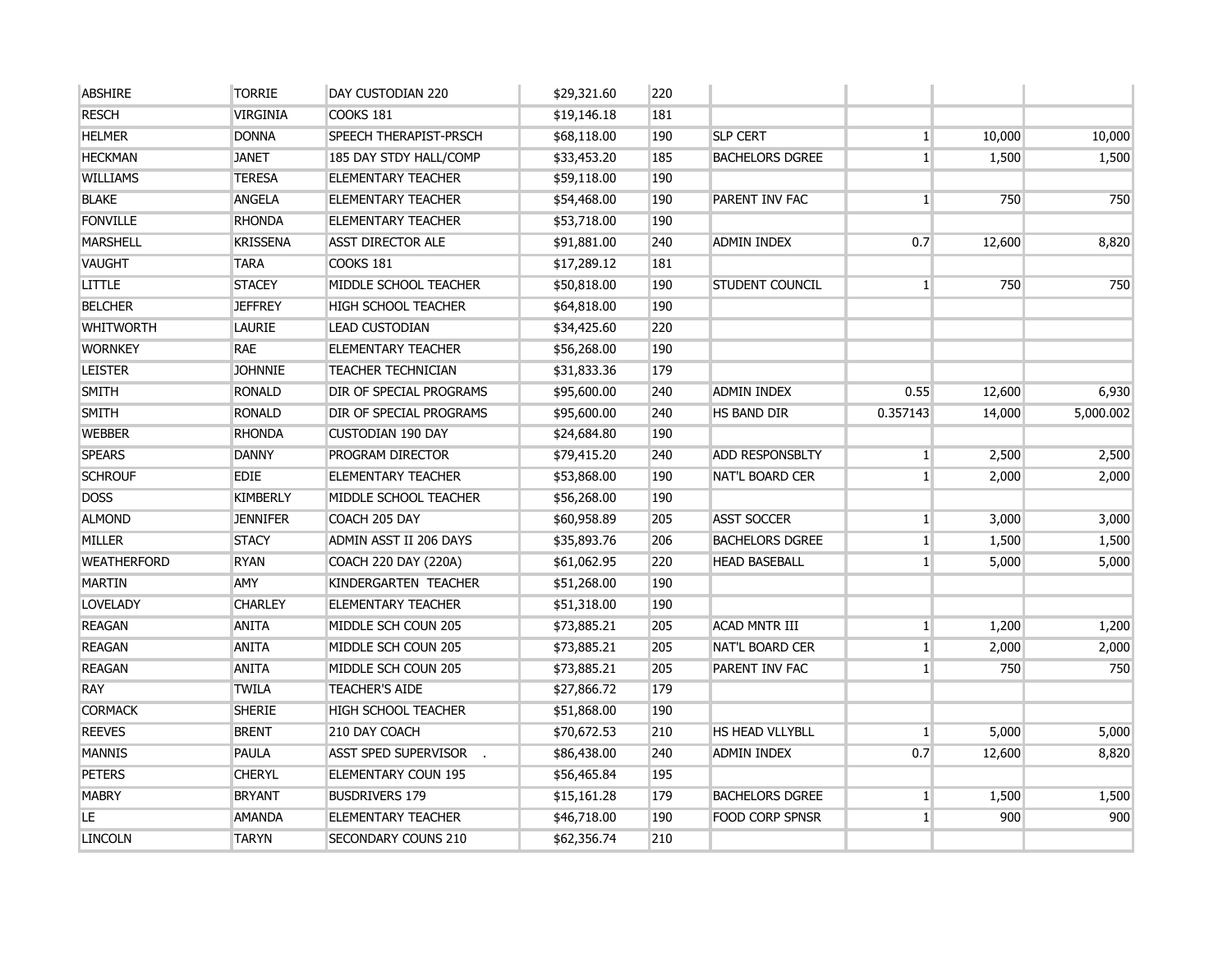| <b>ABSHIRE</b>     | <b>TORRIE</b>   | DAY CUSTODIAN 220          | \$29,321.60 | 220 |                        |                |        |           |
|--------------------|-----------------|----------------------------|-------------|-----|------------------------|----------------|--------|-----------|
| <b>RESCH</b>       | VIRGINIA        | <b>COOKS 181</b>           | \$19,146.18 | 181 |                        |                |        |           |
| <b>HELMER</b>      | <b>DONNA</b>    | SPEECH THERAPIST-PRSCH     | \$68,118.00 | 190 | <b>SLP CERT</b>        | $\mathbf{1}$   | 10,000 | 10,000    |
| <b>HECKMAN</b>     | <b>JANET</b>    | 185 DAY STDY HALL/COMP     | \$33,453.20 | 185 | <b>BACHELORS DGREE</b> | $\mathbf{1}$   | 1,500  | 1,500     |
| <b>WILLIAMS</b>    | <b>TERESA</b>   | <b>ELEMENTARY TEACHER</b>  | \$59,118.00 | 190 |                        |                |        |           |
| <b>BLAKE</b>       | <b>ANGELA</b>   | <b>ELEMENTARY TEACHER</b>  | \$54,468.00 | 190 | PARENT INV FAC         | $\mathbf{1}$   | 750    | 750       |
| <b>FONVILLE</b>    | <b>RHONDA</b>   | <b>ELEMENTARY TEACHER</b>  | \$53,718.00 | 190 |                        |                |        |           |
| <b>MARSHELL</b>    | <b>KRISSENA</b> | <b>ASST DIRECTOR ALE</b>   | \$91,881.00 | 240 | <b>ADMIN INDEX</b>     | 0.7            | 12,600 | 8,820     |
| <b>VAUGHT</b>      | <b>TARA</b>     | <b>COOKS 181</b>           | \$17,289.12 | 181 |                        |                |        |           |
| <b>LITTLE</b>      | <b>STACEY</b>   | MIDDLE SCHOOL TEACHER      | \$50,818.00 | 190 | STUDENT COUNCIL        | $1\vert$       | 750    | 750       |
| <b>BELCHER</b>     | <b>JEFFREY</b>  | HIGH SCHOOL TEACHER        | \$64,818.00 | 190 |                        |                |        |           |
| <b>WHITWORTH</b>   | <b>LAURIE</b>   | <b>LEAD CUSTODIAN</b>      | \$34,425.60 | 220 |                        |                |        |           |
| <b>WORNKEY</b>     | <b>RAE</b>      | <b>ELEMENTARY TEACHER</b>  | \$56,268.00 | 190 |                        |                |        |           |
| <b>LEISTER</b>     | <b>JOHNNIE</b>  | <b>TEACHER TECHNICIAN</b>  | \$31,833.36 | 179 |                        |                |        |           |
| <b>SMITH</b>       | <b>RONALD</b>   | DIR OF SPECIAL PROGRAMS    | \$95,600.00 | 240 | <b>ADMIN INDEX</b>     | 0.55           | 12,600 | 6,930     |
| <b>SMITH</b>       | <b>RONALD</b>   | DIR OF SPECIAL PROGRAMS    | \$95,600.00 | 240 | HS BAND DIR            | 0.357143       | 14,000 | 5,000.002 |
| <b>WEBBER</b>      | <b>RHONDA</b>   | <b>CUSTODIAN 190 DAY</b>   | \$24,684.80 | 190 |                        |                |        |           |
| <b>SPEARS</b>      | <b>DANNY</b>    | PROGRAM DIRECTOR           | \$79,415.20 | 240 | <b>ADD RESPONSBLTY</b> | $\mathbf{1}$   | 2,500  | 2,500     |
| <b>SCHROUF</b>     | <b>EDIE</b>     | <b>ELEMENTARY TEACHER</b>  | \$53,868.00 | 190 | <b>NAT'L BOARD CER</b> | $\mathbf{1}$   | 2,000  | 2,000     |
| <b>DOSS</b>        | <b>KIMBERLY</b> | MIDDLE SCHOOL TEACHER      | \$56,268.00 | 190 |                        |                |        |           |
| <b>ALMOND</b>      | <b>JENNIFER</b> | COACH 205 DAY              | \$60,958.89 | 205 | <b>ASST SOCCER</b>     | $1\vert$       | 3,000  | 3,000     |
| <b>MILLER</b>      | <b>STACY</b>    | ADMIN ASST II 206 DAYS     | \$35,893.76 | 206 | <b>BACHELORS DGREE</b> | 1              | 1,500  | 1,500     |
| <b>WEATHERFORD</b> | <b>RYAN</b>     | COACH 220 DAY (220A)       | \$61,062.95 | 220 | <b>HEAD BASEBALL</b>   | $\mathbf{1}$   | 5,000  | 5,000     |
| <b>MARTIN</b>      | <b>AMY</b>      | KINDERGARTEN TEACHER       | \$51,268.00 | 190 |                        |                |        |           |
| <b>LOVELADY</b>    | <b>CHARLEY</b>  | <b>ELEMENTARY TEACHER</b>  | \$51,318.00 | 190 |                        |                |        |           |
| <b>REAGAN</b>      | <b>ANITA</b>    | MIDDLE SCH COUN 205        | \$73,885.21 | 205 | <b>ACAD MNTR III</b>   | 1              | 1,200  | 1,200     |
| <b>REAGAN</b>      | <b>ANITA</b>    | MIDDLE SCH COUN 205        | \$73,885.21 | 205 | NAT'L BOARD CER        | $\mathbf{1}$   | 2,000  | 2,000     |
| <b>REAGAN</b>      | <b>ANITA</b>    | MIDDLE SCH COUN 205        | \$73,885.21 | 205 | PARENT INV FAC         | 1              | 750    | 750       |
| <b>RAY</b>         | <b>TWILA</b>    | <b>TEACHER'S AIDE</b>      | \$27,866.72 | 179 |                        |                |        |           |
| <b>CORMACK</b>     | <b>SHERIE</b>   | HIGH SCHOOL TEACHER        | \$51,868.00 | 190 |                        |                |        |           |
| <b>REEVES</b>      | <b>BRENT</b>    | 210 DAY COACH              | \$70,672.53 | 210 | HS HEAD VLLYBLL        | 1 <sup>1</sup> | 5,000  | 5,000     |
| <b>MANNIS</b>      | <b>PAULA</b>    | ASST SPED SUPERVISOR       | \$86,438.00 | 240 | <b>ADMIN INDEX</b>     | 0.7            | 12,600 | 8,820     |
| <b>PETERS</b>      | <b>CHERYL</b>   | <b>ELEMENTARY COUN 195</b> | \$56,465.84 | 195 |                        |                |        |           |
| <b>MABRY</b>       | <b>BRYANT</b>   | <b>BUSDRIVERS 179</b>      | \$15,161.28 | 179 | <b>BACHELORS DGREE</b> | $\mathbf{1}$   | 1,500  | 1,500     |
| LE                 | <b>AMANDA</b>   | <b>ELEMENTARY TEACHER</b>  | \$46,718.00 | 190 | <b>FOOD CORP SPNSR</b> | $\mathbf{1}$   | 900    | 900       |
| <b>LINCOLN</b>     | <b>TARYN</b>    | SECONDARY COUNS 210        | \$62,356.74 | 210 |                        |                |        |           |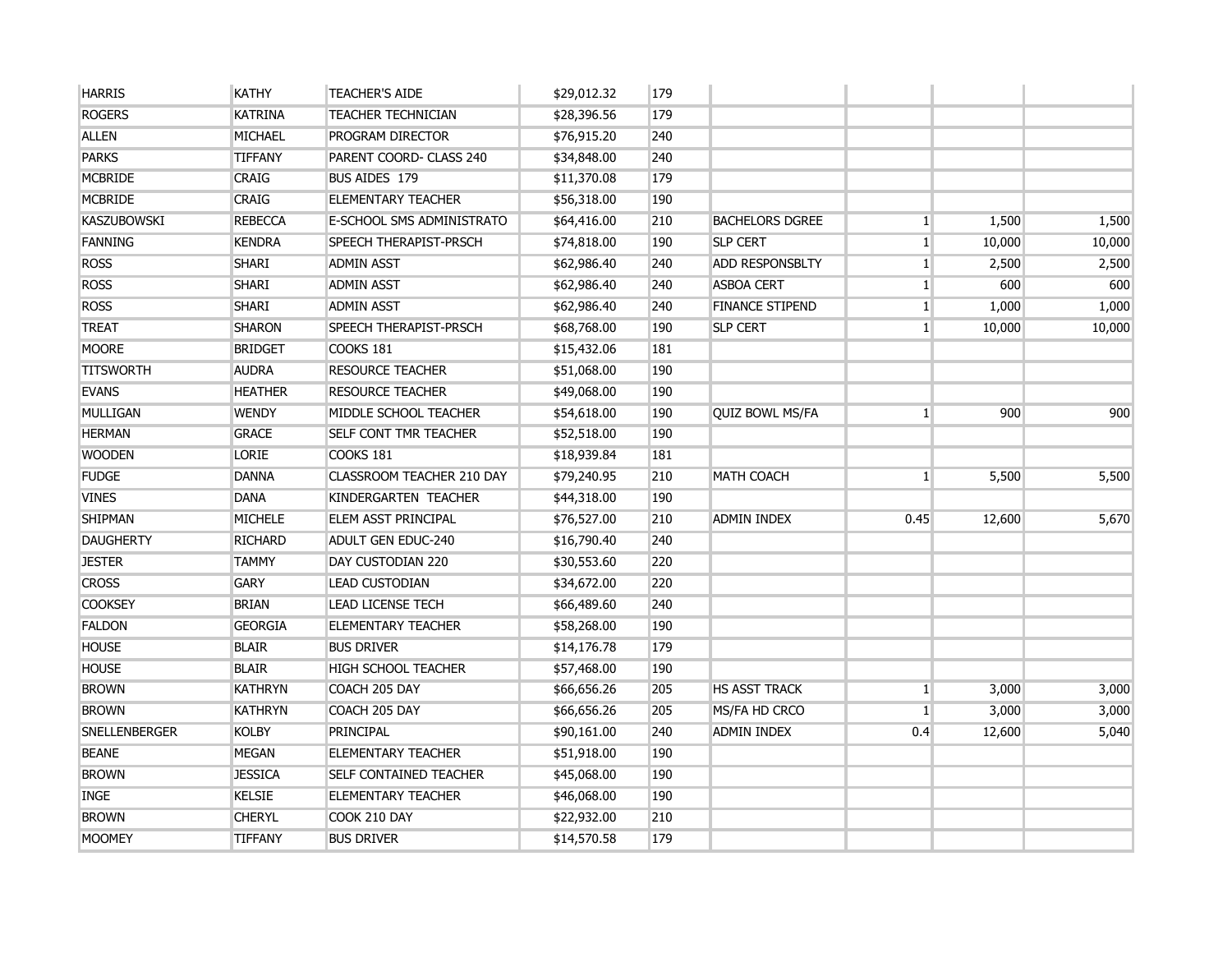| <b>HARRIS</b>        | <b>KATHY</b>   | <b>TEACHER'S AIDE</b>            | \$29,012.32 | 179 |                        |                |        |        |
|----------------------|----------------|----------------------------------|-------------|-----|------------------------|----------------|--------|--------|
| <b>ROGERS</b>        | <b>KATRINA</b> | <b>TEACHER TECHNICIAN</b>        | \$28,396.56 | 179 |                        |                |        |        |
| <b>ALLEN</b>         | MICHAEL        | <b>PROGRAM DIRECTOR</b>          | \$76,915.20 | 240 |                        |                |        |        |
| <b>PARKS</b>         | <b>TIFFANY</b> | PARENT COORD- CLASS 240          | \$34,848.00 | 240 |                        |                |        |        |
| <b>MCBRIDE</b>       | <b>CRAIG</b>   | BUS AIDES 179                    | \$11,370.08 | 179 |                        |                |        |        |
| <b>MCBRIDE</b>       | <b>CRAIG</b>   | <b>ELEMENTARY TEACHER</b>        | \$56,318.00 | 190 |                        |                |        |        |
| <b>KASZUBOWSKI</b>   | <b>REBECCA</b> | E-SCHOOL SMS ADMINISTRATO        | \$64,416.00 | 210 | <b>BACHELORS DGREE</b> | $1\vert$       | 1,500  | 1,500  |
| <b>FANNING</b>       | <b>KENDRA</b>  | <b>SPEECH THERAPIST-PRSCH</b>    | \$74,818.00 | 190 | <b>SLP CERT</b>        | $1\vert$       | 10,000 | 10,000 |
| <b>ROSS</b>          | <b>SHARI</b>   | <b>ADMIN ASST</b>                | \$62,986.40 | 240 | <b>ADD RESPONSBLTY</b> | $1\vert$       | 2,500  | 2,500  |
| <b>ROSS</b>          | <b>SHARI</b>   | <b>ADMIN ASST</b>                | \$62,986.40 | 240 | <b>ASBOA CERT</b>      | $1\vert$       | 600    | 600    |
| <b>ROSS</b>          | <b>SHARI</b>   | <b>ADMIN ASST</b>                | \$62,986.40 | 240 | <b>FINANCE STIPEND</b> | 1              | 1,000  | 1,000  |
| <b>TREAT</b>         | <b>SHARON</b>  | <b>SPEECH THERAPIST-PRSCH</b>    | \$68,768.00 | 190 | <b>SLP CERT</b>        | 1 <sup>1</sup> | 10,000 | 10,000 |
| <b>MOORE</b>         | <b>BRIDGET</b> | COOKS 181                        | \$15,432.06 | 181 |                        |                |        |        |
| <b>TITSWORTH</b>     | <b>AUDRA</b>   | <b>RESOURCE TEACHER</b>          | \$51,068.00 | 190 |                        |                |        |        |
| <b>EVANS</b>         | <b>HEATHER</b> | <b>RESOURCE TEACHER</b>          | \$49,068.00 | 190 |                        |                |        |        |
| <b>MULLIGAN</b>      | <b>WENDY</b>   | MIDDLE SCHOOL TEACHER            | \$54,618.00 | 190 | <b>QUIZ BOWL MS/FA</b> | 1 <sup>1</sup> | 900    | 900    |
| <b>HERMAN</b>        | <b>GRACE</b>   | <b>SELF CONT TMR TEACHER</b>     | \$52,518.00 | 190 |                        |                |        |        |
| <b>WOODEN</b>        | LORIE          | COOKS 181                        | \$18,939.84 | 181 |                        |                |        |        |
| <b>FUDGE</b>         | <b>DANNA</b>   | <b>CLASSROOM TEACHER 210 DAY</b> | \$79,240.95 | 210 | <b>MATH COACH</b>      | 1 <sup>1</sup> | 5,500  | 5,500  |
| <b>VINES</b>         | <b>DANA</b>    | KINDERGARTEN TEACHER             | \$44,318.00 | 190 |                        |                |        |        |
| <b>SHIPMAN</b>       | <b>MICHELE</b> | <b>ELEM ASST PRINCIPAL</b>       | \$76,527.00 | 210 | <b>ADMIN INDEX</b>     | 0.45           | 12,600 | 5,670  |
| <b>DAUGHERTY</b>     | <b>RICHARD</b> | <b>ADULT GEN EDUC-240</b>        | \$16,790.40 | 240 |                        |                |        |        |
| <b>JESTER</b>        | <b>TAMMY</b>   | DAY CUSTODIAN 220                | \$30,553.60 | 220 |                        |                |        |        |
| <b>CROSS</b>         | <b>GARY</b>    | <b>LEAD CUSTODIAN</b>            | \$34,672.00 | 220 |                        |                |        |        |
| <b>COOKSEY</b>       | <b>BRIAN</b>   | <b>LEAD LICENSE TECH</b>         | \$66,489.60 | 240 |                        |                |        |        |
| <b>FALDON</b>        | <b>GEORGIA</b> | <b>ELEMENTARY TEACHER</b>        | \$58,268.00 | 190 |                        |                |        |        |
| <b>HOUSE</b>         | <b>BLAIR</b>   | <b>BUS DRIVER</b>                | \$14,176.78 | 179 |                        |                |        |        |
| <b>HOUSE</b>         | <b>BLAIR</b>   | HIGH SCHOOL TEACHER              | \$57,468.00 | 190 |                        |                |        |        |
| <b>BROWN</b>         | <b>KATHRYN</b> | COACH 205 DAY                    | \$66,656.26 | 205 | <b>HS ASST TRACK</b>   | $\mathbf{1}$   | 3,000  | 3,000  |
| <b>BROWN</b>         | <b>KATHRYN</b> | COACH 205 DAY                    | \$66,656.26 | 205 | MS/FA HD CRCO          | $\mathbf{1}$   | 3,000  | 3,000  |
| <b>SNELLENBERGER</b> | <b>KOLBY</b>   | PRINCIPAL                        | \$90,161.00 | 240 | <b>ADMIN INDEX</b>     | 0.4            | 12,600 | 5,040  |
| <b>BEANE</b>         | <b>MEGAN</b>   | <b>ELEMENTARY TEACHER</b>        | \$51,918.00 | 190 |                        |                |        |        |
| <b>BROWN</b>         | <b>JESSICA</b> | <b>SELF CONTAINED TEACHER</b>    | \$45,068.00 | 190 |                        |                |        |        |
| <b>INGE</b>          | <b>KELSIE</b>  | <b>ELEMENTARY TEACHER</b>        | \$46,068.00 | 190 |                        |                |        |        |
| <b>BROWN</b>         | <b>CHERYL</b>  | COOK 210 DAY                     | \$22,932.00 | 210 |                        |                |        |        |
| <b>MOOMEY</b>        | <b>TIFFANY</b> | <b>BUS DRIVER</b>                | \$14,570.58 | 179 |                        |                |        |        |
|                      |                |                                  |             |     |                        |                |        |        |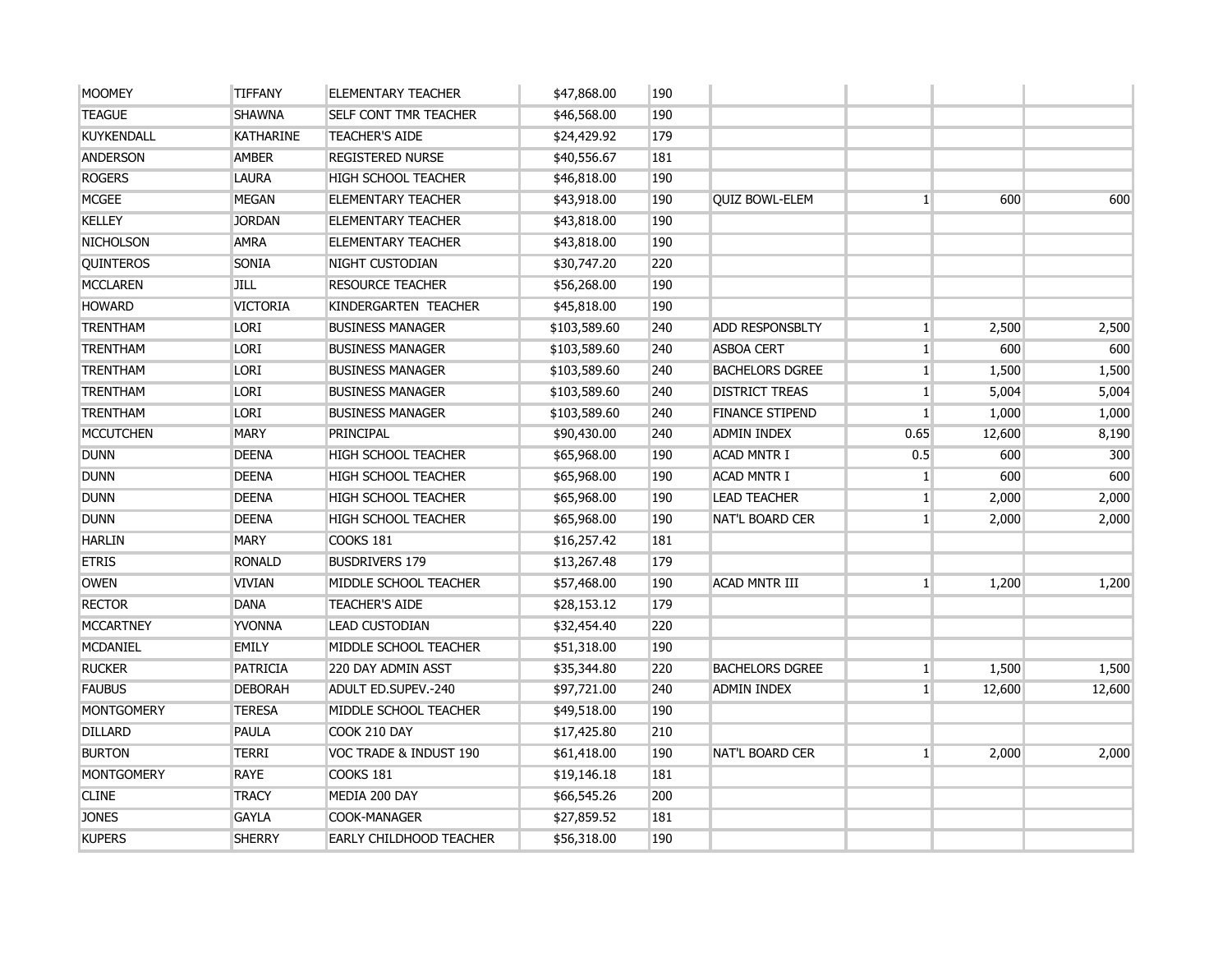| <b>MOOMEY</b>     | <b>TIFFANY</b>   | <b>ELEMENTARY TEACHER</b>      | \$47,868.00  | 190 |                        |                 |        |        |
|-------------------|------------------|--------------------------------|--------------|-----|------------------------|-----------------|--------|--------|
| <b>TEAGUE</b>     | <b>SHAWNA</b>    | <b>SELF CONT TMR TEACHER</b>   | \$46,568.00  | 190 |                        |                 |        |        |
| <b>KUYKENDALL</b> | <b>KATHARINE</b> | <b>TEACHER'S AIDE</b>          | \$24,429.92  | 179 |                        |                 |        |        |
| <b>ANDERSON</b>   | <b>AMBER</b>     | <b>REGISTERED NURSE</b>        | \$40,556.67  | 181 |                        |                 |        |        |
| <b>ROGERS</b>     | <b>LAURA</b>     | <b>HIGH SCHOOL TEACHER</b>     | \$46,818.00  | 190 |                        |                 |        |        |
| <b>MCGEE</b>      | <b>MEGAN</b>     | <b>ELEMENTARY TEACHER</b>      | \$43,918.00  | 190 | <b>QUIZ BOWL-ELEM</b>  | 1 <sup>1</sup>  | 600    | 600    |
| <b>KELLEY</b>     | <b>JORDAN</b>    | <b>ELEMENTARY TEACHER</b>      | \$43,818.00  | 190 |                        |                 |        |        |
| <b>NICHOLSON</b>  | <b>AMRA</b>      | <b>ELEMENTARY TEACHER</b>      | \$43,818.00  | 190 |                        |                 |        |        |
| <b>QUINTEROS</b>  | <b>SONIA</b>     | NIGHT CUSTODIAN                | \$30,747.20  | 220 |                        |                 |        |        |
| <b>MCCLAREN</b>   | <b>JILL</b>      | <b>RESOURCE TEACHER</b>        | \$56,268.00  | 190 |                        |                 |        |        |
| <b>HOWARD</b>     | <b>VICTORIA</b>  | KINDERGARTEN TEACHER           | \$45,818.00  | 190 |                        |                 |        |        |
| <b>TRENTHAM</b>   | <b>LORI</b>      | <b>BUSINESS MANAGER</b>        | \$103,589.60 | 240 | <b>ADD RESPONSBLTY</b> | $1\vert$        | 2,500  | 2,500  |
| <b>TRENTHAM</b>   | <b>LORI</b>      | <b>BUSINESS MANAGER</b>        | \$103,589.60 | 240 | <b>ASBOA CERT</b>      | 1               | 600    | 600    |
| <b>TRENTHAM</b>   | <b>LORI</b>      | <b>BUSINESS MANAGER</b>        | \$103,589.60 | 240 | <b>BACHELORS DGREE</b> | 1               | 1,500  | 1,500  |
| <b>TRENTHAM</b>   | <b>LORI</b>      | <b>BUSINESS MANAGER</b>        | \$103,589.60 | 240 | <b>DISTRICT TREAS</b>  | 1 <sup>1</sup>  | 5,004  | 5,004  |
| <b>TRENTHAM</b>   | <b>LORI</b>      | <b>BUSINESS MANAGER</b>        | \$103,589.60 | 240 | <b>FINANCE STIPEND</b> | 1               | 1,000  | 1,000  |
| <b>MCCUTCHEN</b>  | <b>MARY</b>      | PRINCIPAL                      | \$90,430.00  | 240 | <b>ADMIN INDEX</b>     | 0.65            | 12,600 | 8,190  |
| <b>DUNN</b>       | <b>DEENA</b>     | <b>HIGH SCHOOL TEACHER</b>     | \$65,968.00  | 190 | <b>ACAD MNTR I</b>     | 0.5             | 600    | 300    |
| <b>DUNN</b>       | <b>DEENA</b>     | <b>HIGH SCHOOL TEACHER</b>     | \$65,968.00  | 190 | <b>ACAD MNTR I</b>     | $\mathbf{1}$    | 600    | 600    |
| <b>DUNN</b>       | <b>DEENA</b>     | <b>HIGH SCHOOL TEACHER</b>     | \$65,968.00  | 190 | <b>LEAD TEACHER</b>    | $1\vert$        | 2,000  | 2,000  |
| <b>DUNN</b>       | <b>DEENA</b>     | <b>HIGH SCHOOL TEACHER</b>     | \$65,968.00  | 190 | <b>NAT'L BOARD CER</b> | 1 <sup>1</sup>  | 2,000  | 2,000  |
| <b>HARLIN</b>     | <b>MARY</b>      | COOKS 181                      | \$16,257.42  | 181 |                        |                 |        |        |
| <b>ETRIS</b>      | <b>RONALD</b>    | <b>BUSDRIVERS 179</b>          | \$13,267.48  | 179 |                        |                 |        |        |
| <b>OWEN</b>       | <b>VIVIAN</b>    | MIDDLE SCHOOL TEACHER          | \$57,468.00  | 190 | <b>ACAD MNTR III</b>   | 1 <sup>1</sup>  | 1,200  | 1,200  |
| <b>RECTOR</b>     | <b>DANA</b>      | <b>TEACHER'S AIDE</b>          | \$28,153.12  | 179 |                        |                 |        |        |
| <b>MCCARTNEY</b>  | <b>YVONNA</b>    | <b>LEAD CUSTODIAN</b>          | \$32,454.40  | 220 |                        |                 |        |        |
| <b>MCDANIEL</b>   | EMILY            | MIDDLE SCHOOL TEACHER          | \$51,318.00  | 190 |                        |                 |        |        |
| <b>RUCKER</b>     | <b>PATRICIA</b>  | 220 DAY ADMIN ASST             | \$35,344.80  | 220 | <b>BACHELORS DGREE</b> | 1 <sup>1</sup>  | 1,500  | 1,500  |
| <b>FAUBUS</b>     | <b>DEBORAH</b>   | ADULT ED.SUPEV.-240            | \$97,721.00  | 240 | <b>ADMIN INDEX</b>     | $1\overline{ }$ | 12,600 | 12,600 |
| <b>MONTGOMERY</b> | <b>TERESA</b>    | MIDDLE SCHOOL TEACHER          | \$49,518.00  | 190 |                        |                 |        |        |
| <b>DILLARD</b>    | PAULA            | COOK 210 DAY                   | \$17,425.80  | 210 |                        |                 |        |        |
| <b>BURTON</b>     | <b>TERRI</b>     | VOC TRADE & INDUST 190         | \$61,418.00  | 190 | <b>NAT'L BOARD CER</b> | 1 <sup>1</sup>  | 2,000  | 2,000  |
| <b>MONTGOMERY</b> | <b>RAYE</b>      | COOKS 181                      | \$19,146.18  | 181 |                        |                 |        |        |
| <b>CLINE</b>      | <b>TRACY</b>     | MEDIA 200 DAY                  | \$66,545.26  | 200 |                        |                 |        |        |
| <b>JONES</b>      | <b>GAYLA</b>     | <b>COOK-MANAGER</b>            | \$27,859.52  | 181 |                        |                 |        |        |
| <b>KUPERS</b>     | <b>SHERRY</b>    | <b>EARLY CHILDHOOD TEACHER</b> | \$56,318.00  | 190 |                        |                 |        |        |
|                   |                  |                                |              |     |                        |                 |        |        |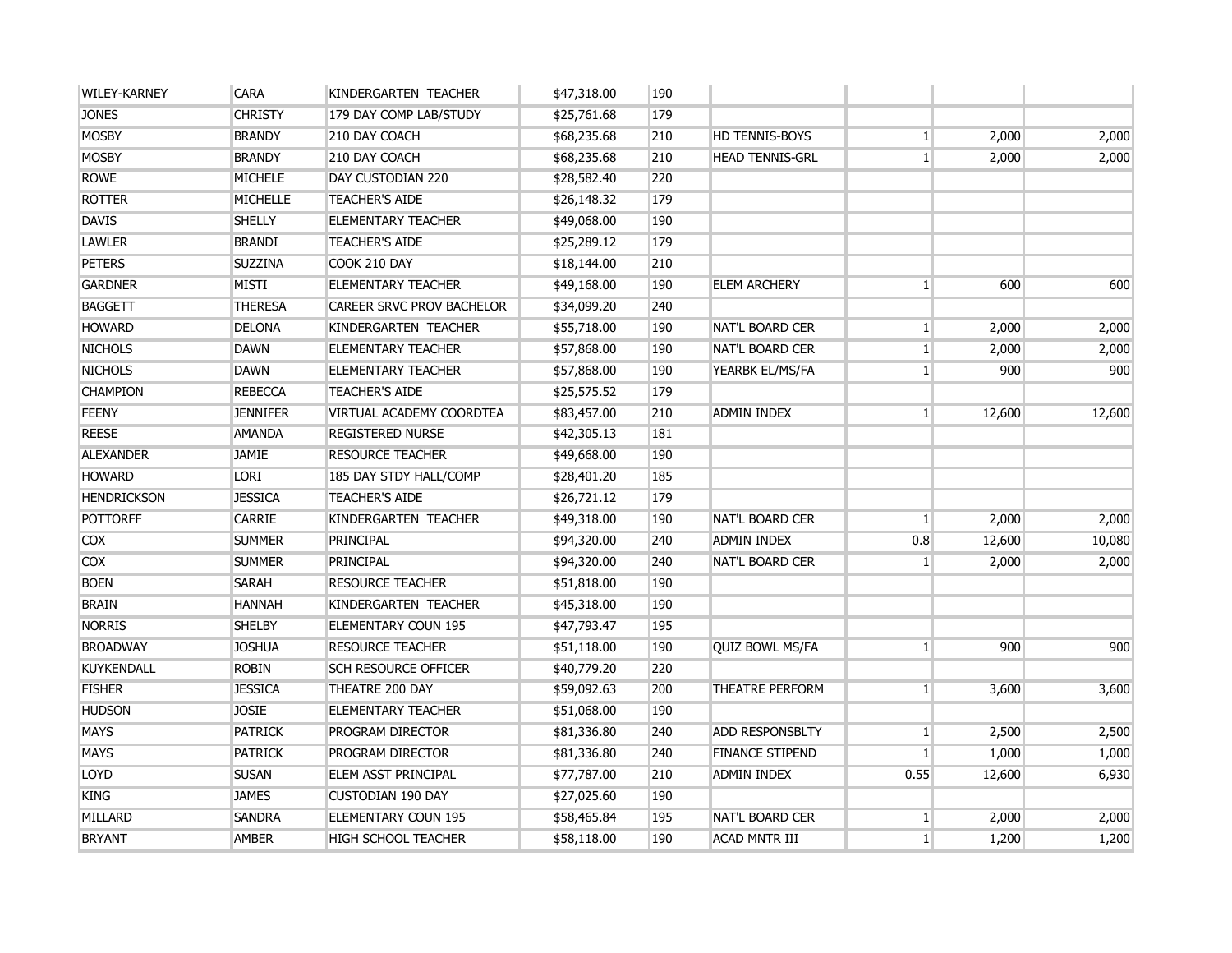| <b>WILEY-KARNEY</b> | <b>CARA</b>     | KINDERGARTEN TEACHER        | \$47,318.00 | 190 |                        |                |        |        |
|---------------------|-----------------|-----------------------------|-------------|-----|------------------------|----------------|--------|--------|
| <b>JONES</b>        | <b>CHRISTY</b>  | 179 DAY COMP LAB/STUDY      | \$25,761.68 | 179 |                        |                |        |        |
| <b>MOSBY</b>        | <b>BRANDY</b>   | 210 DAY COACH               | \$68,235.68 | 210 | <b>HD TENNIS-BOYS</b>  | 1 <sup>1</sup> | 2,000  | 2,000  |
| <b>MOSBY</b>        | <b>BRANDY</b>   | 210 DAY COACH               | \$68,235.68 | 210 | <b>HEAD TENNIS-GRL</b> | $\mathbf{1}$   | 2,000  | 2,000  |
| <b>ROWE</b>         | MICHELE         | DAY CUSTODIAN 220           | \$28,582.40 | 220 |                        |                |        |        |
| <b>ROTTER</b>       | <b>MICHELLE</b> | <b>TEACHER'S AIDE</b>       | \$26,148.32 | 179 |                        |                |        |        |
| <b>DAVIS</b>        | <b>SHELLY</b>   | <b>ELEMENTARY TEACHER</b>   | \$49,068.00 | 190 |                        |                |        |        |
| <b>LAWLER</b>       | <b>BRANDI</b>   | <b>TEACHER'S AIDE</b>       | \$25,289.12 | 179 |                        |                |        |        |
| <b>PETERS</b>       | <b>SUZZINA</b>  | COOK 210 DAY                | \$18,144.00 | 210 |                        |                |        |        |
| <b>GARDNER</b>      | <b>MISTI</b>    | <b>ELEMENTARY TEACHER</b>   | \$49,168.00 | 190 | <b>ELEM ARCHERY</b>    | 1 <sup>1</sup> | 600    | 600    |
| <b>BAGGETT</b>      | <b>THERESA</b>  | CAREER SRVC PROV BACHELOR   | \$34,099.20 | 240 |                        |                |        |        |
| <b>HOWARD</b>       | <b>DELONA</b>   | KINDERGARTEN TEACHER        | \$55,718.00 | 190 | <b>NAT'L BOARD CER</b> | $1\vert$       | 2,000  | 2,000  |
| <b>NICHOLS</b>      | <b>DAWN</b>     | <b>ELEMENTARY TEACHER</b>   | \$57,868.00 | 190 | <b>NAT'L BOARD CER</b> | 1 <sup>1</sup> | 2,000  | 2,000  |
| <b>NICHOLS</b>      | <b>DAWN</b>     | <b>ELEMENTARY TEACHER</b>   | \$57,868.00 | 190 | YEARBK EL/MS/FA        | $\mathbf{1}$   | 900    | 900    |
| <b>CHAMPION</b>     | <b>REBECCA</b>  | <b>TEACHER'S AIDE</b>       | \$25,575.52 | 179 |                        |                |        |        |
| <b>FEENY</b>        | <b>JENNIFER</b> | VIRTUAL ACADEMY COORDTEA    | \$83,457.00 | 210 | ADMIN INDEX            | 1              | 12,600 | 12,600 |
| <b>REESE</b>        | <b>AMANDA</b>   | <b>REGISTERED NURSE</b>     | \$42,305.13 | 181 |                        |                |        |        |
| <b>ALEXANDER</b>    | <b>JAMIE</b>    | <b>RESOURCE TEACHER</b>     | \$49,668.00 | 190 |                        |                |        |        |
| <b>HOWARD</b>       | <b>LORI</b>     | 185 DAY STDY HALL/COMP      | \$28,401.20 | 185 |                        |                |        |        |
| <b>HENDRICKSON</b>  | <b>JESSICA</b>  | <b>TEACHER'S AIDE</b>       | \$26,721.12 | 179 |                        |                |        |        |
| <b>POTTORFF</b>     | <b>CARRIE</b>   | KINDERGARTEN TEACHER        | \$49,318.00 | 190 | <b>NAT'L BOARD CER</b> | $\mathbf{1}$   | 2,000  | 2,000  |
| <b>COX</b>          | <b>SUMMER</b>   | PRINCIPAL                   | \$94,320.00 | 240 | <b>ADMIN INDEX</b>     | 0.8            | 12,600 | 10,080 |
| <b>COX</b>          | <b>SUMMER</b>   | PRINCIPAL                   | \$94,320.00 | 240 | <b>NAT'L BOARD CER</b> | $\mathbf{1}$   | 2,000  | 2,000  |
| <b>BOEN</b>         | <b>SARAH</b>    | <b>RESOURCE TEACHER</b>     | \$51,818.00 | 190 |                        |                |        |        |
| <b>BRAIN</b>        | <b>HANNAH</b>   | KINDERGARTEN TEACHER        | \$45,318.00 | 190 |                        |                |        |        |
| <b>NORRIS</b>       | <b>SHELBY</b>   | ELEMENTARY COUN 195         | \$47,793.47 | 195 |                        |                |        |        |
| <b>BROADWAY</b>     | <b>JOSHUA</b>   | <b>RESOURCE TEACHER</b>     | \$51,118.00 | 190 | <b>QUIZ BOWL MS/FA</b> | $\mathbf{1}$   | 900    | 900    |
| <b>KUYKENDALL</b>   | <b>ROBIN</b>    | <b>SCH RESOURCE OFFICER</b> | \$40,779.20 | 220 |                        |                |        |        |
| <b>FISHER</b>       | <b>JESSICA</b>  | THEATRE 200 DAY             | \$59,092.63 | 200 | THEATRE PERFORM        | $1\vert$       | 3,600  | 3,600  |
| <b>HUDSON</b>       | <b>JOSIE</b>    | <b>ELEMENTARY TEACHER</b>   | \$51,068.00 | 190 |                        |                |        |        |
| <b>MAYS</b>         | <b>PATRICK</b>  | <b>PROGRAM DIRECTOR</b>     | \$81,336.80 | 240 | <b>ADD RESPONSBLTY</b> | $1\vert$       | 2,500  | 2,500  |
| <b>MAYS</b>         | <b>PATRICK</b>  | PROGRAM DIRECTOR            | \$81,336.80 | 240 | <b>FINANCE STIPEND</b> | 1 <sup>1</sup> | 1,000  | 1,000  |
| <b>LOYD</b>         | <b>SUSAN</b>    | ELEM ASST PRINCIPAL         | \$77,787.00 | 210 | <b>ADMIN INDEX</b>     | 0.55           | 12,600 | 6,930  |
| <b>KING</b>         | <b>JAMES</b>    | <b>CUSTODIAN 190 DAY</b>    | \$27,025.60 | 190 |                        |                |        |        |
| MILLARD             | <b>SANDRA</b>   | ELEMENTARY COUN 195         | \$58,465.84 | 195 | <b>NAT'L BOARD CER</b> | $\mathbf{1}$   | 2,000  | 2,000  |
| <b>BRYANT</b>       | <b>AMBER</b>    | HIGH SCHOOL TEACHER         | \$58,118.00 | 190 | <b>ACAD MNTR III</b>   | 1 <sup>1</sup> | 1,200  | 1,200  |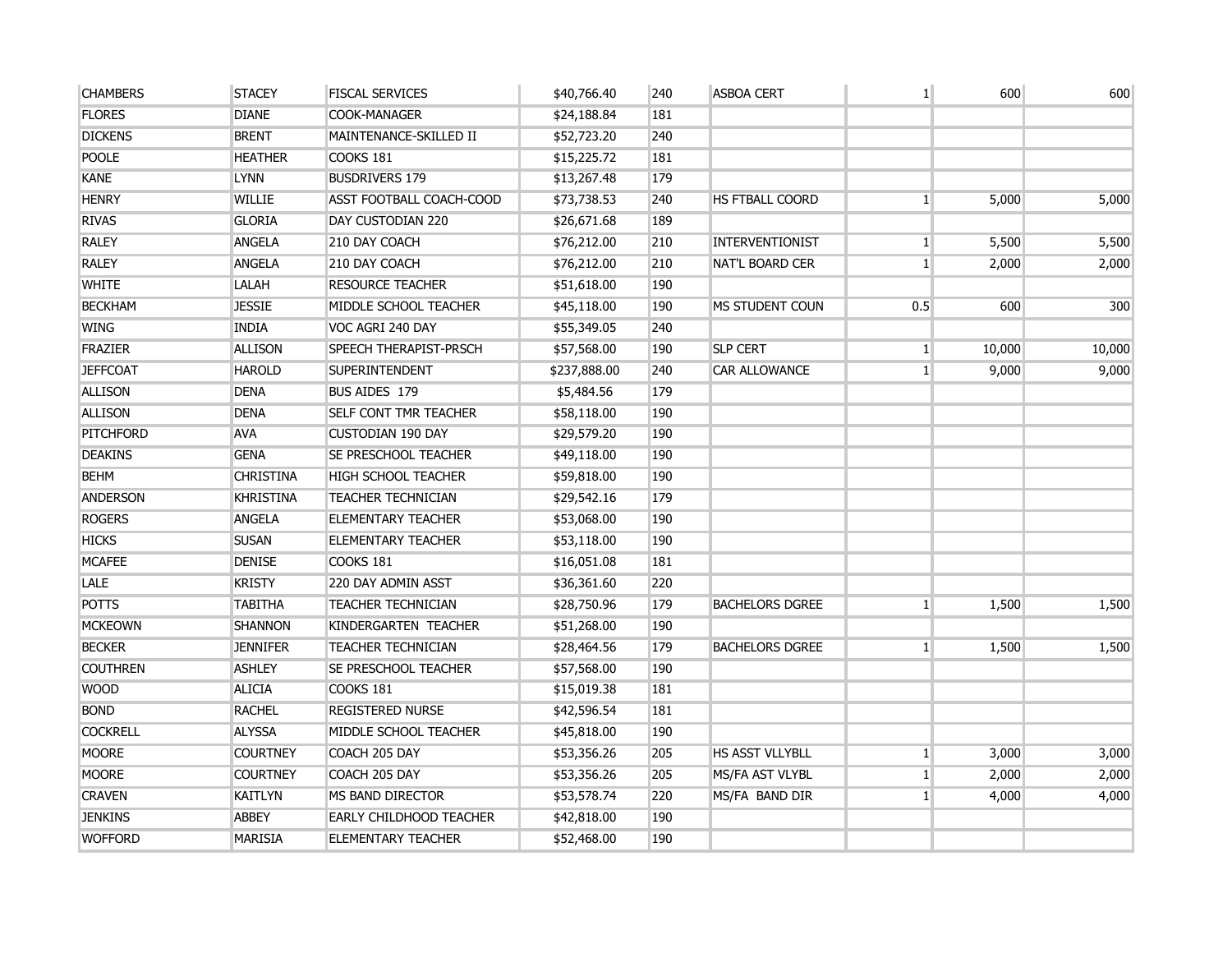| <b>CHAMBERS</b>  | <b>STACEY</b>    | <b>FISCAL SERVICES</b>         | \$40,766.40  | 240 | <b>ASBOA CERT</b>      | $\mathbf{1}$    | 600    | 600    |
|------------------|------------------|--------------------------------|--------------|-----|------------------------|-----------------|--------|--------|
| <b>FLORES</b>    | <b>DIANE</b>     | <b>COOK-MANAGER</b>            | \$24,188.84  | 181 |                        |                 |        |        |
| <b>DICKENS</b>   | <b>BRENT</b>     | MAINTENANCE-SKILLED II         | \$52,723.20  | 240 |                        |                 |        |        |
| <b>POOLE</b>     | <b>HEATHER</b>   | COOKS 181                      | \$15,225.72  | 181 |                        |                 |        |        |
| <b>KANE</b>      | <b>LYNN</b>      | <b>BUSDRIVERS 179</b>          | \$13,267.48  | 179 |                        |                 |        |        |
| <b>HENRY</b>     | <b>WILLIE</b>    | ASST FOOTBALL COACH-COOD       | \$73,738.53  | 240 | <b>HS FTBALL COORD</b> | $1\overline{ }$ | 5,000  | 5,000  |
| <b>RIVAS</b>     | <b>GLORIA</b>    | DAY CUSTODIAN 220              | \$26,671.68  | 189 |                        |                 |        |        |
| <b>RALEY</b>     | <b>ANGELA</b>    | 210 DAY COACH                  | \$76,212.00  | 210 | <b>INTERVENTIONIST</b> | $1\vert$        | 5,500  | 5,500  |
| <b>RALEY</b>     | <b>ANGELA</b>    | 210 DAY COACH                  | \$76,212.00  | 210 | <b>NAT'L BOARD CER</b> | $1\vert$        | 2,000  | 2,000  |
| <b>WHITE</b>     | LALAH            | <b>RESOURCE TEACHER</b>        | \$51,618.00  | 190 |                        |                 |        |        |
| <b>BECKHAM</b>   | <b>JESSIE</b>    | MIDDLE SCHOOL TEACHER          | \$45,118.00  | 190 | MS STUDENT COUN        | 0.5             | 600    | 300    |
| <b>WING</b>      | <b>INDIA</b>     | VOC AGRI 240 DAY               | \$55,349.05  | 240 |                        |                 |        |        |
| <b>FRAZIER</b>   | <b>ALLISON</b>   | <b>SPEECH THERAPIST-PRSCH</b>  | \$57,568.00  | 190 | <b>SLP CERT</b>        | 1 <sup>1</sup>  | 10,000 | 10,000 |
| <b>JEFFCOAT</b>  | <b>HAROLD</b>    | <b>SUPERINTENDENT</b>          | \$237,888.00 | 240 | <b>CAR ALLOWANCE</b>   | 1 <sup>1</sup>  | 9,000  | 9,000  |
| <b>ALLISON</b>   | <b>DENA</b>      | <b>BUS AIDES 179</b>           | \$5,484.56   | 179 |                        |                 |        |        |
| <b>ALLISON</b>   | <b>DENA</b>      | <b>SELF CONT TMR TEACHER</b>   | \$58,118.00  | 190 |                        |                 |        |        |
| <b>PITCHFORD</b> | <b>AVA</b>       | <b>CUSTODIAN 190 DAY</b>       | \$29,579.20  | 190 |                        |                 |        |        |
| <b>DEAKINS</b>   | <b>GENA</b>      | <b>SE PRESCHOOL TEACHER</b>    | \$49,118.00  | 190 |                        |                 |        |        |
| <b>BEHM</b>      | <b>CHRISTINA</b> | <b>HIGH SCHOOL TEACHER</b>     | \$59,818.00  | 190 |                        |                 |        |        |
| <b>ANDERSON</b>  | <b>KHRISTINA</b> | <b>TEACHER TECHNICIAN</b>      | \$29,542.16  | 179 |                        |                 |        |        |
| <b>ROGERS</b>    | <b>ANGELA</b>    | <b>ELEMENTARY TEACHER</b>      | \$53,068.00  | 190 |                        |                 |        |        |
| <b>HICKS</b>     | <b>SUSAN</b>     | <b>ELEMENTARY TEACHER</b>      | \$53,118.00  | 190 |                        |                 |        |        |
| <b>MCAFEE</b>    | <b>DENISE</b>    | COOKS 181                      | \$16,051.08  | 181 |                        |                 |        |        |
| <b>LALE</b>      | <b>KRISTY</b>    | 220 DAY ADMIN ASST             | \$36,361.60  | 220 |                        |                 |        |        |
| <b>POTTS</b>     | <b>TABITHA</b>   | TEACHER TECHNICIAN             | \$28,750.96  | 179 | <b>BACHELORS DGREE</b> | 1               | 1,500  | 1,500  |
| <b>MCKEOWN</b>   | <b>SHANNON</b>   | KINDERGARTEN TEACHER           | \$51,268.00  | 190 |                        |                 |        |        |
| <b>BECKER</b>    | <b>JENNIFER</b>  | <b>TEACHER TECHNICIAN</b>      | \$28,464.56  | 179 | <b>BACHELORS DGREE</b> | 1 <sup>1</sup>  | 1,500  | 1,500  |
| <b>COUTHREN</b>  | <b>ASHLEY</b>    | <b>SE PRESCHOOL TEACHER</b>    | \$57,568.00  | 190 |                        |                 |        |        |
| <b>WOOD</b>      | <b>ALICIA</b>    | COOKS 181                      | \$15,019.38  | 181 |                        |                 |        |        |
| <b>BOND</b>      | <b>RACHEL</b>    | <b>REGISTERED NURSE</b>        | \$42,596.54  | 181 |                        |                 |        |        |
| <b>COCKRELL</b>  | <b>ALYSSA</b>    | MIDDLE SCHOOL TEACHER          | \$45,818.00  | 190 |                        |                 |        |        |
| <b>MOORE</b>     | <b>COURTNEY</b>  | COACH 205 DAY                  | \$53,356.26  | 205 | HS ASST VLLYBLL        | $1\overline{ }$ | 3,000  | 3,000  |
| <b>MOORE</b>     | <b>COURTNEY</b>  | COACH 205 DAY                  | \$53,356.26  | 205 | MS/FA AST VLYBL        | $\mathbf{1}$    | 2,000  | 2,000  |
| <b>CRAVEN</b>    | <b>KAITLYN</b>   | MS BAND DIRECTOR               | \$53,578.74  | 220 | MS/FA BAND DIR         | 1 <sup>1</sup>  | 4,000  | 4,000  |
| <b>JENKINS</b>   | <b>ABBEY</b>     | <b>EARLY CHILDHOOD TEACHER</b> | \$42,818.00  | 190 |                        |                 |        |        |
| <b>WOFFORD</b>   | <b>MARISIA</b>   | <b>ELEMENTARY TEACHER</b>      | \$52,468.00  | 190 |                        |                 |        |        |
|                  |                  |                                |              |     |                        |                 |        |        |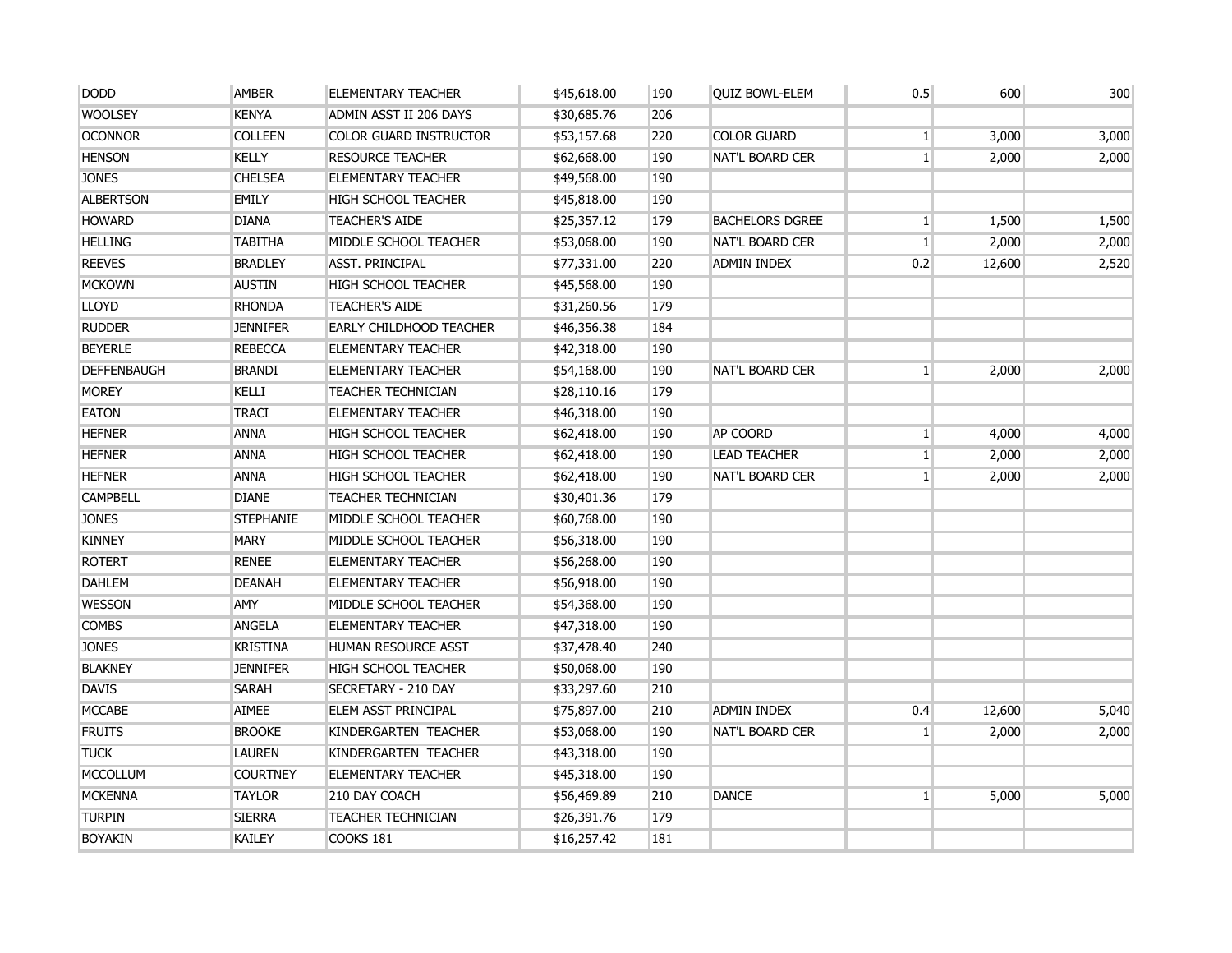| <b>DODD</b>        | <b>AMBER</b>     | <b>ELEMENTARY TEACHER</b>      | \$45,618.00 | 190 | <b>QUIZ BOWL-ELEM</b>  | 0.5            | 600    | 300   |
|--------------------|------------------|--------------------------------|-------------|-----|------------------------|----------------|--------|-------|
| <b>WOOLSEY</b>     | <b>KENYA</b>     | ADMIN ASST II 206 DAYS         | \$30,685.76 | 206 |                        |                |        |       |
| <b>OCONNOR</b>     | <b>COLLEEN</b>   | <b>COLOR GUARD INSTRUCTOR</b>  | \$53,157.68 | 220 | <b>COLOR GUARD</b>     | $1\vert$       | 3,000  | 3,000 |
| <b>HENSON</b>      | <b>KELLY</b>     | <b>RESOURCE TEACHER</b>        | \$62,668.00 | 190 | NAT'L BOARD CER        | $\mathbf{1}$   | 2,000  | 2,000 |
| <b>JONES</b>       | <b>CHELSEA</b>   | <b>ELEMENTARY TEACHER</b>      | \$49,568.00 | 190 |                        |                |        |       |
| <b>ALBERTSON</b>   | <b>EMILY</b>     | HIGH SCHOOL TEACHER            | \$45,818.00 | 190 |                        |                |        |       |
| <b>HOWARD</b>      | <b>DIANA</b>     | <b>TEACHER'S AIDE</b>          | \$25,357.12 | 179 | <b>BACHELORS DGREE</b> | $1\vert$       | 1,500  | 1,500 |
| <b>HELLING</b>     | <b>TABITHA</b>   | MIDDLE SCHOOL TEACHER          | \$53,068.00 | 190 | <b>NAT'L BOARD CER</b> | $\mathbf{1}$   | 2,000  | 2,000 |
| <b>REEVES</b>      | <b>BRADLEY</b>   | <b>ASST. PRINCIPAL</b>         | \$77,331.00 | 220 | <b>ADMIN INDEX</b>     | 0.2            | 12,600 | 2,520 |
| <b>MCKOWN</b>      | <b>AUSTIN</b>    | <b>HIGH SCHOOL TEACHER</b>     | \$45,568.00 | 190 |                        |                |        |       |
| <b>LLOYD</b>       | <b>RHONDA</b>    | <b>TEACHER'S AIDE</b>          | \$31,260.56 | 179 |                        |                |        |       |
| <b>RUDDER</b>      | <b>JENNIFER</b>  | <b>EARLY CHILDHOOD TEACHER</b> | \$46,356.38 | 184 |                        |                |        |       |
| <b>BEYERLE</b>     | <b>REBECCA</b>   | <b>ELEMENTARY TEACHER</b>      | \$42,318.00 | 190 |                        |                |        |       |
| <b>DEFFENBAUGH</b> | <b>BRANDI</b>    | <b>ELEMENTARY TEACHER</b>      | \$54,168.00 | 190 | <b>NAT'L BOARD CER</b> | 1 <sup>1</sup> | 2,000  | 2,000 |
| <b>MOREY</b>       | KELLI            | <b>TEACHER TECHNICIAN</b>      | \$28,110.16 | 179 |                        |                |        |       |
| <b>EATON</b>       | <b>TRACI</b>     | <b>ELEMENTARY TEACHER</b>      | \$46,318.00 | 190 |                        |                |        |       |
| <b>HEFNER</b>      | <b>ANNA</b>      | <b>HIGH SCHOOL TEACHER</b>     | \$62,418.00 | 190 | <b>AP COORD</b>        | $1\vert$       | 4,000  | 4,000 |
| <b>HEFNER</b>      | <b>ANNA</b>      | <b>HIGH SCHOOL TEACHER</b>     | \$62,418.00 | 190 | <b>LEAD TEACHER</b>    | $1\vert$       | 2,000  | 2,000 |
| <b>HEFNER</b>      | <b>ANNA</b>      | HIGH SCHOOL TEACHER            | \$62,418.00 | 190 | <b>NAT'L BOARD CER</b> | $\mathbf{1}$   | 2,000  | 2,000 |
| <b>CAMPBELL</b>    | <b>DIANE</b>     | <b>TEACHER TECHNICIAN</b>      | \$30,401.36 | 179 |                        |                |        |       |
| <b>JONES</b>       | <b>STEPHANIE</b> | MIDDLE SCHOOL TEACHER          | \$60,768.00 | 190 |                        |                |        |       |
| <b>KINNEY</b>      | <b>MARY</b>      | MIDDLE SCHOOL TEACHER          | \$56,318.00 | 190 |                        |                |        |       |
| <b>ROTERT</b>      | <b>RENEE</b>     | <b>ELEMENTARY TEACHER</b>      | \$56,268.00 | 190 |                        |                |        |       |
| <b>DAHLEM</b>      | <b>DEANAH</b>    | <b>ELEMENTARY TEACHER</b>      | \$56,918.00 | 190 |                        |                |        |       |
| <b>WESSON</b>      | <b>AMY</b>       | MIDDLE SCHOOL TEACHER          | \$54,368.00 | 190 |                        |                |        |       |
| <b>COMBS</b>       | <b>ANGELA</b>    | <b>ELEMENTARY TEACHER</b>      | \$47,318.00 | 190 |                        |                |        |       |
| <b>JONES</b>       | <b>KRISTINA</b>  | HUMAN RESOURCE ASST            | \$37,478.40 | 240 |                        |                |        |       |
| <b>BLAKNEY</b>     | <b>JENNIFER</b>  | <b>HIGH SCHOOL TEACHER</b>     | \$50,068.00 | 190 |                        |                |        |       |
| <b>DAVIS</b>       | <b>SARAH</b>     | SECRETARY - 210 DAY            | \$33,297.60 | 210 |                        |                |        |       |
| <b>MCCABE</b>      | <b>AIMEE</b>     | ELEM ASST PRINCIPAL            | \$75,897.00 | 210 | <b>ADMIN INDEX</b>     | 0.4            | 12,600 | 5,040 |
| <b>FRUITS</b>      | <b>BROOKE</b>    | KINDERGARTEN TEACHER           | \$53,068.00 | 190 | <b>NAT'L BOARD CER</b> | $\mathbf{1}$   | 2,000  | 2,000 |
| <b>TUCK</b>        | <b>LAUREN</b>    | KINDERGARTEN TEACHER           | \$43,318.00 | 190 |                        |                |        |       |
| <b>MCCOLLUM</b>    | <b>COURTNEY</b>  | <b>ELEMENTARY TEACHER</b>      | \$45,318.00 | 190 |                        |                |        |       |
| <b>MCKENNA</b>     | <b>TAYLOR</b>    | 210 DAY COACH                  | \$56,469.89 | 210 | <b>DANCE</b>           | 1              | 5,000  | 5,000 |
| <b>TURPIN</b>      | <b>SIERRA</b>    | <b>TEACHER TECHNICIAN</b>      | \$26,391.76 | 179 |                        |                |        |       |
| <b>BOYAKIN</b>     | KAILEY           | COOKS 181                      | \$16,257.42 | 181 |                        |                |        |       |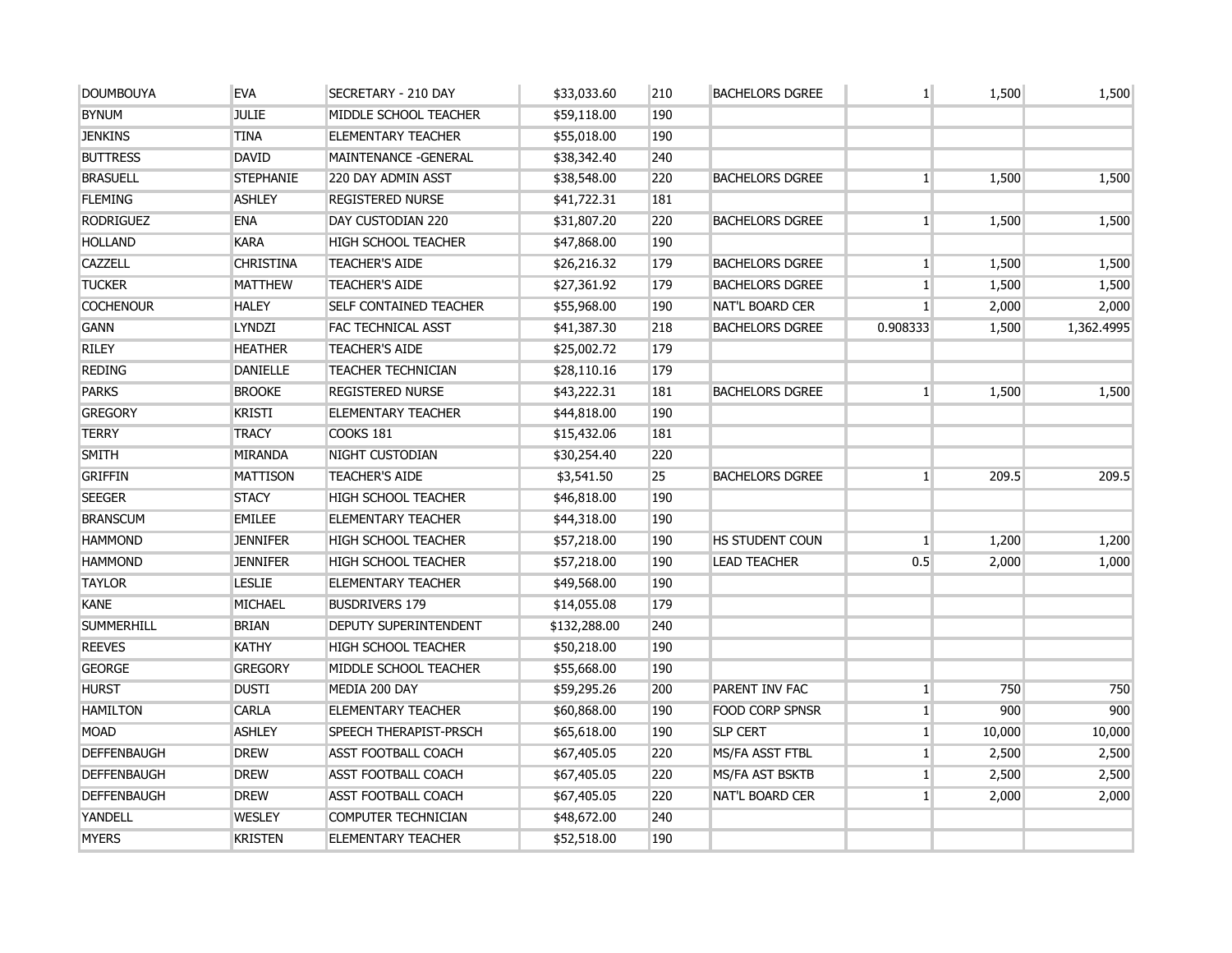| <b>DOUMBOUYA</b>   | <b>EVA</b>       | SECRETARY - 210 DAY           | \$33,033.60  | 210 | <b>BACHELORS DGREE</b> | $\mathbf{1}$    | 1,500  | 1,500      |
|--------------------|------------------|-------------------------------|--------------|-----|------------------------|-----------------|--------|------------|
| <b>BYNUM</b>       | <b>JULIE</b>     | MIDDLE SCHOOL TEACHER         | \$59,118.00  | 190 |                        |                 |        |            |
| <b>JENKINS</b>     | <b>TINA</b>      | <b>ELEMENTARY TEACHER</b>     | \$55,018.00  | 190 |                        |                 |        |            |
| <b>BUTTRESS</b>    | <b>DAVID</b>     | MAINTENANCE - GENERAL         | \$38,342.40  | 240 |                        |                 |        |            |
| <b>BRASUELL</b>    | <b>STEPHANIE</b> | 220 DAY ADMIN ASST            | \$38,548.00  | 220 | <b>BACHELORS DGREE</b> | $\mathbf{1}$    | 1,500  | 1,500      |
| <b>FLEMING</b>     | <b>ASHLEY</b>    | <b>REGISTERED NURSE</b>       | \$41,722.31  | 181 |                        |                 |        |            |
| <b>RODRIGUEZ</b>   | <b>ENA</b>       | DAY CUSTODIAN 220             | \$31,807.20  | 220 | <b>BACHELORS DGREE</b> | $\mathbf{1}$    | 1,500  | 1,500      |
| <b>HOLLAND</b>     | <b>KARA</b>      | <b>HIGH SCHOOL TEACHER</b>    | \$47,868.00  | 190 |                        |                 |        |            |
| <b>CAZZELL</b>     | <b>CHRISTINA</b> | <b>TEACHER'S AIDE</b>         | \$26,216.32  | 179 | <b>BACHELORS DGREE</b> | $\mathbf{1}$    | 1,500  | 1,500      |
| <b>TUCKER</b>      | <b>MATTHEW</b>   | <b>TEACHER'S AIDE</b>         | \$27,361.92  | 179 | <b>BACHELORS DGREE</b> | $\mathbf{1}$    | 1,500  | 1,500      |
| <b>COCHENOUR</b>   | <b>HALEY</b>     | <b>SELF CONTAINED TEACHER</b> | \$55,968.00  | 190 | <b>NAT'L BOARD CER</b> | 1 <sup>1</sup>  | 2,000  | 2,000      |
| <b>GANN</b>        | <b>LYNDZI</b>    | FAC TECHNICAL ASST            | \$41,387.30  | 218 | <b>BACHELORS DGREE</b> | 0.908333        | 1,500  | 1,362.4995 |
| <b>RILEY</b>       | <b>HEATHER</b>   | <b>TEACHER'S AIDE</b>         | \$25,002.72  | 179 |                        |                 |        |            |
| <b>REDING</b>      | <b>DANIELLE</b>  | <b>TEACHER TECHNICIAN</b>     | \$28,110.16  | 179 |                        |                 |        |            |
| <b>PARKS</b>       | <b>BROOKE</b>    | <b>REGISTERED NURSE</b>       | \$43,222.31  | 181 | <b>BACHELORS DGREE</b> | $\mathbf{1}$    | 1,500  | 1,500      |
| <b>GREGORY</b>     | <b>KRISTI</b>    | <b>ELEMENTARY TEACHER</b>     | \$44,818.00  | 190 |                        |                 |        |            |
| <b>TERRY</b>       | <b>TRACY</b>     | <b>COOKS 181</b>              | \$15,432.06  | 181 |                        |                 |        |            |
| <b>SMITH</b>       | <b>MIRANDA</b>   | NIGHT CUSTODIAN               | \$30,254.40  | 220 |                        |                 |        |            |
| <b>GRIFFIN</b>     | <b>MATTISON</b>  | <b>TEACHER'S AIDE</b>         | \$3,541.50   | 25  | <b>BACHELORS DGREE</b> | $\mathbf{1}$    | 209.5  | 209.5      |
| <b>SEEGER</b>      | <b>STACY</b>     | <b>HIGH SCHOOL TEACHER</b>    | \$46,818.00  | 190 |                        |                 |        |            |
| <b>BRANSCUM</b>    | <b>EMILEE</b>    | <b>ELEMENTARY TEACHER</b>     | \$44,318.00  | 190 |                        |                 |        |            |
| <b>HAMMOND</b>     | <b>JENNIFER</b>  | <b>HIGH SCHOOL TEACHER</b>    | \$57,218.00  | 190 | HS STUDENT COUN        | $\vert$ 1       | 1,200  | 1,200      |
| <b>HAMMOND</b>     | <b>JENNIFER</b>  | <b>HIGH SCHOOL TEACHER</b>    | \$57,218.00  | 190 | <b>LEAD TEACHER</b>    | 0.5             | 2,000  | 1,000      |
| <b>TAYLOR</b>      | <b>LESLIE</b>    | <b>ELEMENTARY TEACHER</b>     | \$49,568.00  | 190 |                        |                 |        |            |
| <b>KANE</b>        | <b>MICHAEL</b>   | <b>BUSDRIVERS 179</b>         | \$14,055.08  | 179 |                        |                 |        |            |
| <b>SUMMERHILL</b>  | <b>BRIAN</b>     | <b>DEPUTY SUPERINTENDENT</b>  | \$132,288.00 | 240 |                        |                 |        |            |
| <b>REEVES</b>      | <b>KATHY</b>     | <b>HIGH SCHOOL TEACHER</b>    | \$50,218.00  | 190 |                        |                 |        |            |
| <b>GEORGE</b>      | <b>GREGORY</b>   | MIDDLE SCHOOL TEACHER         | \$55,668.00  | 190 |                        |                 |        |            |
| <b>HURST</b>       | <b>DUSTI</b>     | MEDIA 200 DAY                 | \$59,295.26  | 200 | PARENT INV FAC         | $\mathbf{1}$    | 750    | 750        |
| <b>HAMILTON</b>    | <b>CARLA</b>     | <b>ELEMENTARY TEACHER</b>     | \$60,868.00  | 190 | <b>FOOD CORP SPNSR</b> | $\vert$ 1       | 900    | 900        |
| <b>MOAD</b>        | <b>ASHLEY</b>    | <b>SPEECH THERAPIST-PRSCH</b> | \$65,618.00  | 190 | <b>SLP CERT</b>        | $\mathbf{1}$    | 10,000 | 10,000     |
| <b>DEFFENBAUGH</b> | <b>DREW</b>      | <b>ASST FOOTBALL COACH</b>    | \$67,405.05  | 220 | MS/FA ASST FTBL        | $\mathbf{1}$    | 2,500  | 2,500      |
| <b>DEFFENBAUGH</b> | <b>DREW</b>      | <b>ASST FOOTBALL COACH</b>    | \$67,405.05  | 220 | MS/FA AST BSKTB        | $\vert$ 1       | 2,500  | 2,500      |
| <b>DEFFENBAUGH</b> | <b>DREW</b>      | <b>ASST FOOTBALL COACH</b>    | \$67,405.05  | 220 | <b>NAT'L BOARD CER</b> | $1\overline{ }$ | 2,000  | 2,000      |
| YANDELL            | <b>WESLEY</b>    | COMPUTER TECHNICIAN           | \$48,672.00  | 240 |                        |                 |        |            |
| <b>MYERS</b>       | <b>KRISTEN</b>   | <b>ELEMENTARY TEACHER</b>     | \$52,518.00  | 190 |                        |                 |        |            |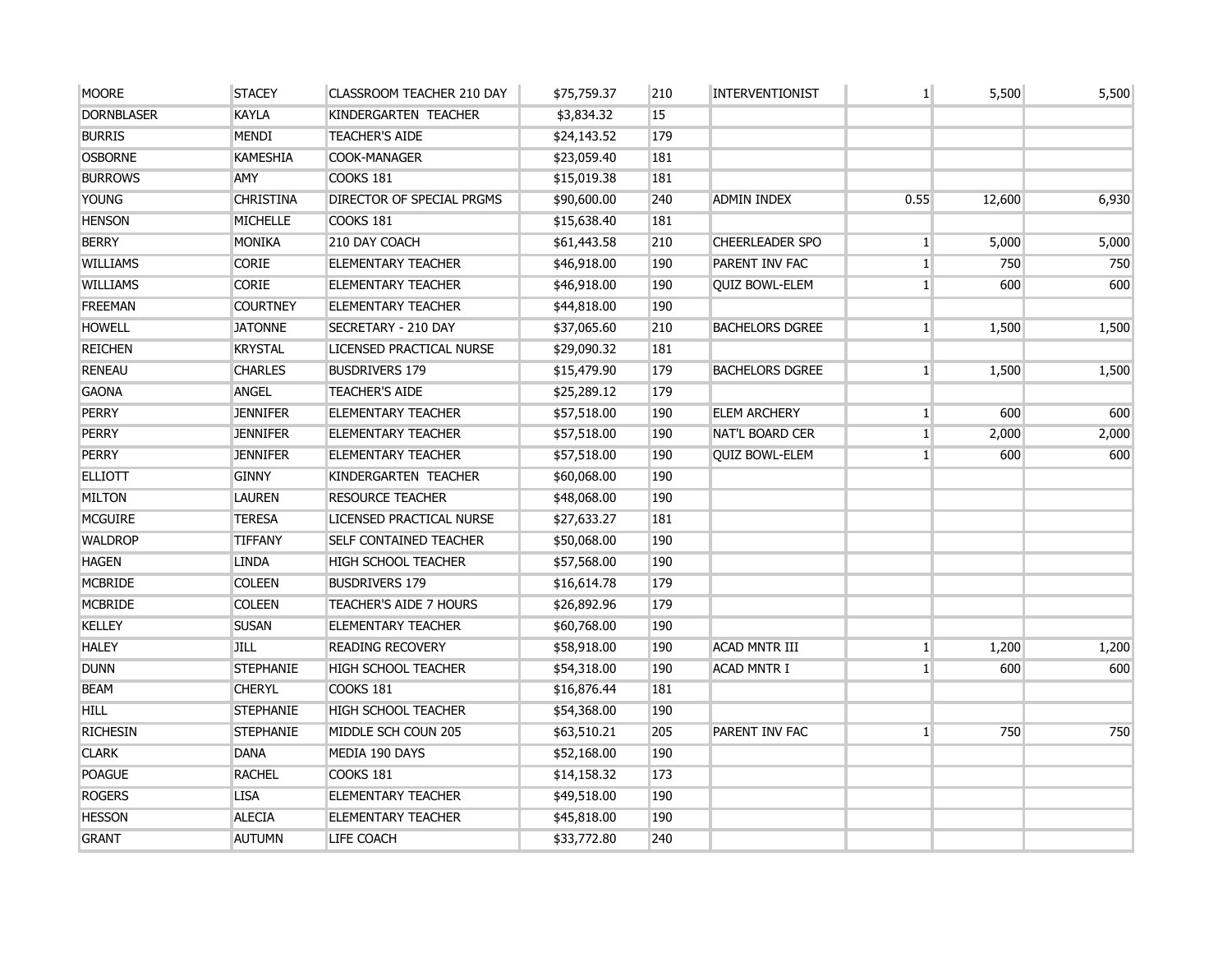| <b>MOORE</b>      | <b>STACEY</b>    | CLASSROOM TEACHER 210 DAY     | \$75,759.37 | 210 | <b>INTERVENTIONIST</b> | 1 <sup>1</sup> | 5,500  | 5,500 |
|-------------------|------------------|-------------------------------|-------------|-----|------------------------|----------------|--------|-------|
| <b>DORNBLASER</b> | <b>KAYLA</b>     | KINDERGARTEN TEACHER          | \$3,834.32  | 15  |                        |                |        |       |
| <b>BURRIS</b>     | <b>MENDI</b>     | <b>TEACHER'S AIDE</b>         | \$24,143.52 | 179 |                        |                |        |       |
| <b>OSBORNE</b>    | <b>KAMESHIA</b>  | COOK-MANAGER                  | \$23,059.40 | 181 |                        |                |        |       |
| <b>BURROWS</b>    | <b>AMY</b>       | COOKS 181                     | \$15,019.38 | 181 |                        |                |        |       |
| <b>YOUNG</b>      | <b>CHRISTINA</b> | DIRECTOR OF SPECIAL PRGMS     | \$90,600.00 | 240 | ADMIN INDEX            | 0.55           | 12,600 | 6,930 |
| <b>HENSON</b>     | <b>MICHELLE</b>  | COOKS 181                     | \$15,638.40 | 181 |                        |                |        |       |
| <b>BERRY</b>      | <b>MONIKA</b>    | 210 DAY COACH                 | \$61,443.58 | 210 | <b>CHEERLEADER SPO</b> | 1 <sup>1</sup> | 5,000  | 5,000 |
| <b>WILLIAMS</b>   | <b>CORIE</b>     | <b>ELEMENTARY TEACHER</b>     | \$46,918.00 | 190 | PARENT INV FAC         | 1 <sup>1</sup> | 750    | 750   |
| WILLIAMS          | <b>CORIE</b>     | <b>ELEMENTARY TEACHER</b>     | \$46,918.00 | 190 | <b>OUIZ BOWL-ELEM</b>  | 1 <sup>1</sup> | 600    | 600   |
| <b>FREEMAN</b>    | <b>COURTNEY</b>  | <b>ELEMENTARY TEACHER</b>     | \$44,818.00 | 190 |                        |                |        |       |
| <b>HOWELL</b>     | <b>JATONNE</b>   | SECRETARY - 210 DAY           | \$37,065.60 | 210 | <b>BACHELORS DGREE</b> | 1 <sup>1</sup> | 1,500  | 1,500 |
| <b>REICHEN</b>    | <b>KRYSTAL</b>   | LICENSED PRACTICAL NURSE      | \$29,090.32 | 181 |                        |                |        |       |
| <b>RENEAU</b>     | <b>CHARLES</b>   | <b>BUSDRIVERS 179</b>         | \$15,479.90 | 179 | <b>BACHELORS DGREE</b> | $\mathbf{1}$   | 1,500  | 1,500 |
| <b>GAONA</b>      | ANGEL            | <b>TEACHER'S AIDE</b>         | \$25,289.12 | 179 |                        |                |        |       |
| <b>PERRY</b>      | <b>JENNIFER</b>  | <b>ELEMENTARY TEACHER</b>     | \$57,518.00 | 190 | <b>ELEM ARCHERY</b>    | $\mathbf{1}$   | 600    | 600   |
| <b>PERRY</b>      | <b>JENNIFER</b>  | <b>ELEMENTARY TEACHER</b>     | \$57,518.00 | 190 | <b>NAT'L BOARD CER</b> | $\mathbf{1}$   | 2,000  | 2,000 |
| <b>PERRY</b>      | <b>JENNIFER</b>  | <b>ELEMENTARY TEACHER</b>     | \$57,518.00 | 190 | <b>QUIZ BOWL-ELEM</b>  | $\mathbf{1}$   | 600    | 600   |
| <b>ELLIOTT</b>    | <b>GINNY</b>     | KINDERGARTEN TEACHER          | \$60,068.00 | 190 |                        |                |        |       |
| <b>MILTON</b>     | <b>LAUREN</b>    | <b>RESOURCE TEACHER</b>       | \$48,068.00 | 190 |                        |                |        |       |
| <b>MCGUIRE</b>    | <b>TERESA</b>    | LICENSED PRACTICAL NURSE      | \$27,633.27 | 181 |                        |                |        |       |
| <b>WALDROP</b>    | <b>TIFFANY</b>   | <b>SELF CONTAINED TEACHER</b> | \$50,068.00 | 190 |                        |                |        |       |
| <b>HAGEN</b>      | <b>LINDA</b>     | <b>HIGH SCHOOL TEACHER</b>    | \$57,568.00 | 190 |                        |                |        |       |
| <b>MCBRIDE</b>    | <b>COLEEN</b>    | <b>BUSDRIVERS 179</b>         | \$16,614.78 | 179 |                        |                |        |       |
| <b>MCBRIDE</b>    | <b>COLEEN</b>    | <b>TEACHER'S AIDE 7 HOURS</b> | \$26,892.96 | 179 |                        |                |        |       |
| <b>KELLEY</b>     | <b>SUSAN</b>     | <b>ELEMENTARY TEACHER</b>     | \$60,768.00 | 190 |                        |                |        |       |
| <b>HALEY</b>      | <b>JILL</b>      | <b>READING RECOVERY</b>       | \$58,918.00 | 190 | <b>ACAD MNTR III</b>   | 1 <sup>1</sup> | 1,200  | 1,200 |
| <b>DUNN</b>       | <b>STEPHANIE</b> | <b>HIGH SCHOOL TEACHER</b>    | \$54,318.00 | 190 | <b>ACAD MNTR I</b>     | $\mathbf{1}$   | 600    | 600   |
| <b>BEAM</b>       | <b>CHERYL</b>    | <b>COOKS 181</b>              | \$16,876.44 | 181 |                        |                |        |       |
| <b>HILL</b>       | <b>STEPHANIE</b> | <b>HIGH SCHOOL TEACHER</b>    | \$54,368.00 | 190 |                        |                |        |       |
| <b>RICHESIN</b>   | <b>STEPHANIE</b> | MIDDLE SCH COUN 205           | \$63,510.21 | 205 | PARENT INV FAC         | $\mathbf{1}$   | 750    | 750   |
| <b>CLARK</b>      | <b>DANA</b>      | MEDIA 190 DAYS                | \$52,168.00 | 190 |                        |                |        |       |
| <b>POAGUE</b>     | <b>RACHEL</b>    | COOKS 181                     | \$14,158.32 | 173 |                        |                |        |       |
| <b>ROGERS</b>     | <b>LISA</b>      | <b>ELEMENTARY TEACHER</b>     | \$49,518.00 | 190 |                        |                |        |       |
| <b>HESSON</b>     | <b>ALECIA</b>    | <b>ELEMENTARY TEACHER</b>     | \$45,818.00 | 190 |                        |                |        |       |
| <b>GRANT</b>      | <b>AUTUMN</b>    | LIFE COACH                    | \$33,772.80 | 240 |                        |                |        |       |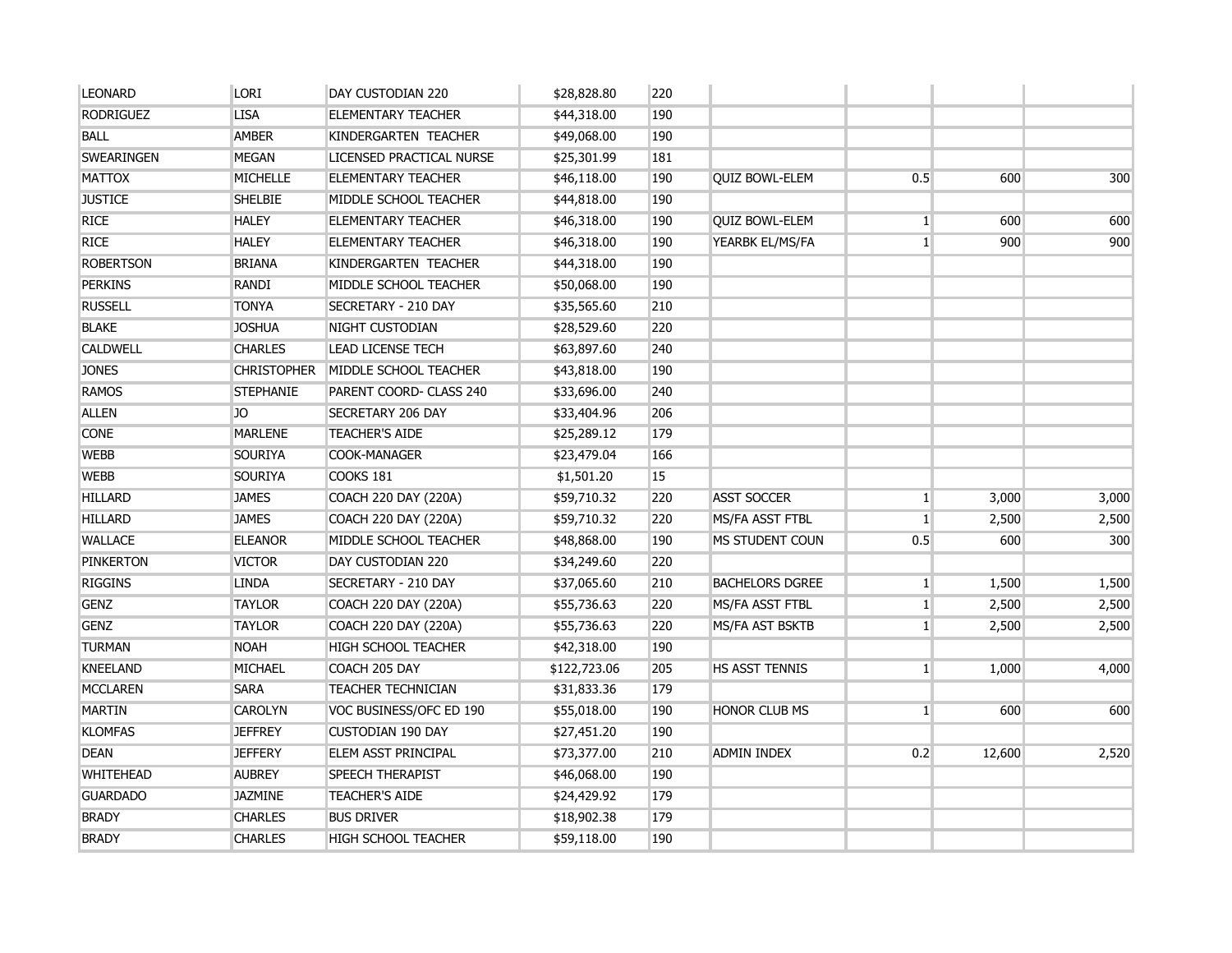| <b>LEONARD</b>   | <b>LORI</b>        | DAY CUSTODIAN 220         | \$28,828.80  | 220 |                        |                |        |       |
|------------------|--------------------|---------------------------|--------------|-----|------------------------|----------------|--------|-------|
| <b>RODRIGUEZ</b> | <b>LISA</b>        | <b>ELEMENTARY TEACHER</b> | \$44,318.00  | 190 |                        |                |        |       |
| <b>BALL</b>      | <b>AMBER</b>       | KINDERGARTEN TEACHER      | \$49,068.00  | 190 |                        |                |        |       |
| SWEARINGEN       | MEGAN              | LICENSED PRACTICAL NURSE  | \$25,301.99  | 181 |                        |                |        |       |
| <b>MATTOX</b>    | <b>MICHELLE</b>    | <b>ELEMENTARY TEACHER</b> | \$46,118.00  | 190 | <b>QUIZ BOWL-ELEM</b>  | 0.5            | 600    | 300   |
| <b>JUSTICE</b>   | <b>SHELBIE</b>     | MIDDLE SCHOOL TEACHER     | \$44,818.00  | 190 |                        |                |        |       |
| <b>RICE</b>      | <b>HALEY</b>       | <b>ELEMENTARY TEACHER</b> | \$46,318.00  | 190 | <b>QUIZ BOWL-ELEM</b>  | $\mathbf{1}$   | 600    | 600   |
| <b>RICE</b>      | <b>HALEY</b>       | <b>ELEMENTARY TEACHER</b> | \$46,318.00  | 190 | YEARBK EL/MS/FA        | 1 <sup>1</sup> | 900    | 900   |
| <b>ROBERTSON</b> | <b>BRIANA</b>      | KINDERGARTEN TEACHER      | \$44,318.00  | 190 |                        |                |        |       |
| <b>PERKINS</b>   | RANDI              | MIDDLE SCHOOL TEACHER     | \$50,068.00  | 190 |                        |                |        |       |
| <b>RUSSELL</b>   | <b>TONYA</b>       | SECRETARY - 210 DAY       | \$35,565.60  | 210 |                        |                |        |       |
| <b>BLAKE</b>     | <b>JOSHUA</b>      | NIGHT CUSTODIAN           | \$28,529.60  | 220 |                        |                |        |       |
| <b>CALDWELL</b>  | <b>CHARLES</b>     | <b>LEAD LICENSE TECH</b>  | \$63,897.60  | 240 |                        |                |        |       |
| <b>JONES</b>     | <b>CHRISTOPHER</b> | MIDDLE SCHOOL TEACHER     | \$43,818.00  | 190 |                        |                |        |       |
| <b>RAMOS</b>     | <b>STEPHANIE</b>   | PARENT COORD- CLASS 240   | \$33,696.00  | 240 |                        |                |        |       |
| <b>ALLEN</b>     | JO                 | SECRETARY 206 DAY         | \$33,404.96  | 206 |                        |                |        |       |
| <b>CONE</b>      | <b>MARLENE</b>     | <b>TEACHER'S AIDE</b>     | \$25,289.12  | 179 |                        |                |        |       |
| <b>WEBB</b>      | <b>SOURIYA</b>     | COOK-MANAGER              | \$23,479.04  | 166 |                        |                |        |       |
| <b>WEBB</b>      | <b>SOURIYA</b>     | COOKS 181                 | \$1,501.20   | 15  |                        |                |        |       |
| <b>HILLARD</b>   | <b>JAMES</b>       | COACH 220 DAY (220A)      | \$59,710.32  | 220 | <b>ASST SOCCER</b>     | $\mathbf{1}$   | 3,000  | 3,000 |
| <b>HILLARD</b>   | <b>JAMES</b>       | COACH 220 DAY (220A)      | \$59,710.32  | 220 | MS/FA ASST FTBL        | $\mathbf{1}$   | 2,500  | 2,500 |
| <b>WALLACE</b>   | <b>ELEANOR</b>     | MIDDLE SCHOOL TEACHER     | \$48,868.00  | 190 | MS STUDENT COUN        | 0.5            | 600    | 300   |
| <b>PINKERTON</b> | <b>VICTOR</b>      | DAY CUSTODIAN 220         | \$34,249.60  | 220 |                        |                |        |       |
| <b>RIGGINS</b>   | <b>LINDA</b>       | SECRETARY - 210 DAY       | \$37,065.60  | 210 | <b>BACHELORS DGREE</b> | $\mathbf{1}$   | 1,500  | 1,500 |
| <b>GENZ</b>      | <b>TAYLOR</b>      | COACH 220 DAY (220A)      | \$55,736.63  | 220 | <b>MS/FA ASST FTBL</b> | $\mathbf{1}$   | 2,500  | 2,500 |
| <b>GENZ</b>      | <b>TAYLOR</b>      | COACH 220 DAY (220A)      | \$55,736.63  | 220 | MS/FA AST BSKTB        | $\mathbf{1}$   | 2,500  | 2,500 |
| <b>TURMAN</b>    | <b>NOAH</b>        | HIGH SCHOOL TEACHER       | \$42,318.00  | 190 |                        |                |        |       |
| <b>KNEELAND</b>  | <b>MICHAEL</b>     | COACH 205 DAY             | \$122,723.06 | 205 | HS ASST TENNIS         | 1              | 1,000  | 4,000 |
| <b>MCCLAREN</b>  | <b>SARA</b>        | TEACHER TECHNICIAN        | \$31,833.36  | 179 |                        |                |        |       |
| <b>MARTIN</b>    | <b>CAROLYN</b>     | VOC BUSINESS/OFC ED 190   | \$55,018.00  | 190 | HONOR CLUB MS          | 1              | 600    | 600   |
| <b>KLOMFAS</b>   | <b>JEFFREY</b>     | <b>CUSTODIAN 190 DAY</b>  | \$27,451.20  | 190 |                        |                |        |       |
| <b>DEAN</b>      | <b>JEFFERY</b>     | ELEM ASST PRINCIPAL       | \$73,377.00  | 210 | <b>ADMIN INDEX</b>     | 0.2            | 12,600 | 2,520 |
| <b>WHITEHEAD</b> | <b>AUBREY</b>      | SPEECH THERAPIST          | \$46,068.00  | 190 |                        |                |        |       |
| <b>GUARDADO</b>  | <b>JAZMINE</b>     | <b>TEACHER'S AIDE</b>     | \$24,429.92  | 179 |                        |                |        |       |
| <b>BRADY</b>     | <b>CHARLES</b>     | <b>BUS DRIVER</b>         | \$18,902.38  | 179 |                        |                |        |       |
| <b>BRADY</b>     | <b>CHARLES</b>     | HIGH SCHOOL TEACHER       | \$59,118.00  | 190 |                        |                |        |       |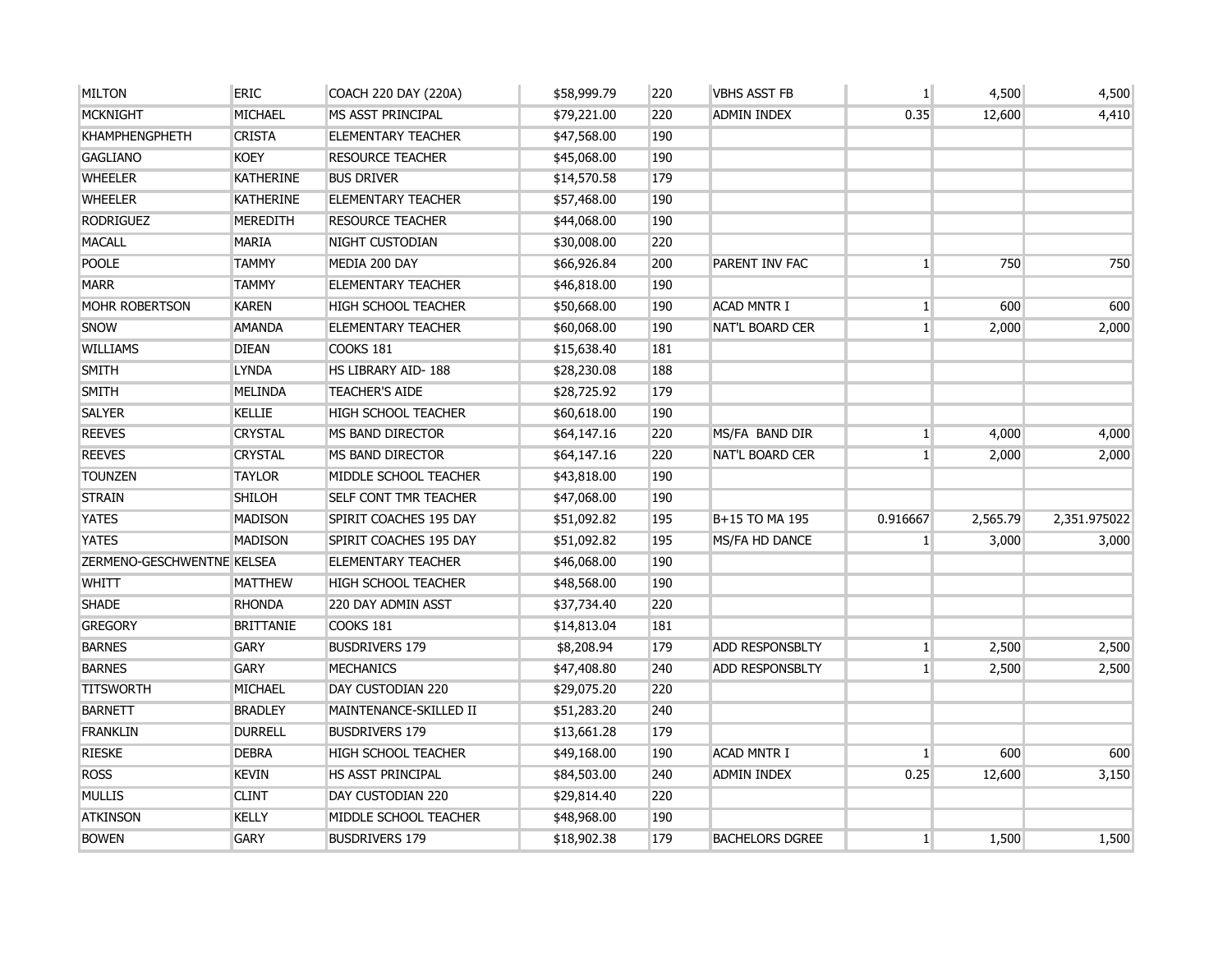| <b>MILTON</b>              | <b>ERIC</b>      | COACH 220 DAY (220A)         | \$58,999.79 | 220 | <b>VBHS ASST FB</b>    | $\mathbf{1}$    | 4,500    | 4,500        |
|----------------------------|------------------|------------------------------|-------------|-----|------------------------|-----------------|----------|--------------|
| <b>MCKNIGHT</b>            | MICHAEL          | MS ASST PRINCIPAL            | \$79,221.00 | 220 | <b>ADMIN INDEX</b>     | 0.35            | 12,600   | 4,410        |
| <b>KHAMPHENGPHETH</b>      | <b>CRISTA</b>    | <b>ELEMENTARY TEACHER</b>    | \$47,568.00 | 190 |                        |                 |          |              |
| <b>GAGLIANO</b>            | <b>KOEY</b>      | <b>RESOURCE TEACHER</b>      | \$45,068.00 | 190 |                        |                 |          |              |
| <b>WHEELER</b>             | <b>KATHERINE</b> | <b>BUS DRIVER</b>            | \$14,570.58 | 179 |                        |                 |          |              |
| <b>WHEELER</b>             | <b>KATHERINE</b> | <b>ELEMENTARY TEACHER</b>    | \$57,468.00 | 190 |                        |                 |          |              |
| <b>RODRIGUEZ</b>           | <b>MEREDITH</b>  | <b>RESOURCE TEACHER</b>      | \$44,068.00 | 190 |                        |                 |          |              |
| <b>MACALL</b>              | <b>MARIA</b>     | NIGHT CUSTODIAN              | \$30,008.00 | 220 |                        |                 |          |              |
| <b>POOLE</b>               | <b>TAMMY</b>     | MEDIA 200 DAY                | \$66,926.84 | 200 | PARENT INV FAC         | $1\overline{ }$ | 750      | 750          |
| <b>MARR</b>                | <b>TAMMY</b>     | ELEMENTARY TEACHER           | \$46,818.00 | 190 |                        |                 |          |              |
| <b>MOHR ROBERTSON</b>      | <b>KAREN</b>     | <b>HIGH SCHOOL TEACHER</b>   | \$50,668.00 | 190 | <b>ACAD MNTR I</b>     | $\mathbf{1}$    | 600      | 600          |
| <b>SNOW</b>                | <b>AMANDA</b>    | <b>ELEMENTARY TEACHER</b>    | \$60,068.00 | 190 | <b>NAT'L BOARD CER</b> | $1\overline{ }$ | 2,000    | 2,000        |
| <b>WILLIAMS</b>            | <b>DIEAN</b>     | COOKS 181                    | \$15,638.40 | 181 |                        |                 |          |              |
| <b>SMITH</b>               | <b>LYNDA</b>     | HS LIBRARY AID-188           | \$28,230.08 | 188 |                        |                 |          |              |
| <b>SMITH</b>               | <b>MELINDA</b>   | <b>TEACHER'S AIDE</b>        | \$28,725.92 | 179 |                        |                 |          |              |
| <b>SALYER</b>              | <b>KELLIE</b>    | <b>HIGH SCHOOL TEACHER</b>   | \$60,618.00 | 190 |                        |                 |          |              |
| <b>REEVES</b>              | <b>CRYSTAL</b>   | MS BAND DIRECTOR             | \$64,147.16 | 220 | MS/FA BAND DIR         | $1\overline{ }$ | 4,000    | 4,000        |
| <b>REEVES</b>              | <b>CRYSTAL</b>   | MS BAND DIRECTOR             | \$64,147.16 | 220 | <b>NAT'L BOARD CER</b> | $\mathbf{1}$    | 2,000    | 2,000        |
| <b>TOUNZEN</b>             | <b>TAYLOR</b>    | MIDDLE SCHOOL TEACHER        | \$43,818.00 | 190 |                        |                 |          |              |
| <b>STRAIN</b>              | <b>SHILOH</b>    | <b>SELF CONT TMR TEACHER</b> | \$47,068.00 | 190 |                        |                 |          |              |
| <b>YATES</b>               | <b>MADISON</b>   | SPIRIT COACHES 195 DAY       | \$51,092.82 | 195 | B+15 TO MA 195         | 0.916667        | 2,565.79 | 2,351.975022 |
| <b>YATES</b>               | <b>MADISON</b>   | SPIRIT COACHES 195 DAY       | \$51,092.82 | 195 | MS/FA HD DANCE         | 1 <sup>1</sup>  | 3,000    | 3,000        |
| ZERMENO-GESCHWENTNE KELSEA |                  | <b>ELEMENTARY TEACHER</b>    | \$46,068.00 | 190 |                        |                 |          |              |
| <b>WHITT</b>               | <b>MATTHEW</b>   | <b>HIGH SCHOOL TEACHER</b>   | \$48,568.00 | 190 |                        |                 |          |              |
| <b>SHADE</b>               | <b>RHONDA</b>    | 220 DAY ADMIN ASST           | \$37,734.40 | 220 |                        |                 |          |              |
| <b>GREGORY</b>             | <b>BRITTANIE</b> | COOKS 181                    | \$14,813.04 | 181 |                        |                 |          |              |
| <b>BARNES</b>              | <b>GARY</b>      | <b>BUSDRIVERS 179</b>        | \$8,208.94  | 179 | ADD RESPONSBLTY        | $1\overline{ }$ | 2,500    | 2,500        |
| <b>BARNES</b>              | <b>GARY</b>      | <b>MECHANICS</b>             | \$47,408.80 | 240 | <b>ADD RESPONSBLTY</b> | 1 <sup>1</sup>  | 2,500    | 2,500        |
| <b>TITSWORTH</b>           | <b>MICHAEL</b>   | DAY CUSTODIAN 220            | \$29,075.20 | 220 |                        |                 |          |              |
| <b>BARNETT</b>             | <b>BRADLEY</b>   | MAINTENANCE-SKILLED II       | \$51,283.20 | 240 |                        |                 |          |              |
| <b>FRANKLIN</b>            | <b>DURRELL</b>   | <b>BUSDRIVERS 179</b>        | \$13,661.28 | 179 |                        |                 |          |              |
| <b>RIESKE</b>              | <b>DEBRA</b>     | <b>HIGH SCHOOL TEACHER</b>   | \$49,168.00 | 190 | <b>ACAD MNTR I</b>     | 1 <sup>1</sup>  | 600      | 600          |
| <b>ROSS</b>                | <b>KEVIN</b>     | <b>HS ASST PRINCIPAL</b>     | \$84,503.00 | 240 | <b>ADMIN INDEX</b>     | 0.25            | 12,600   | 3,150        |
| <b>MULLIS</b>              | <b>CLINT</b>     | DAY CUSTODIAN 220            | \$29,814.40 | 220 |                        |                 |          |              |
| <b>ATKINSON</b>            | <b>KELLY</b>     | MIDDLE SCHOOL TEACHER        | \$48,968.00 | 190 |                        |                 |          |              |
| <b>BOWEN</b>               | <b>GARY</b>      | <b>BUSDRIVERS 179</b>        | \$18,902.38 | 179 | <b>BACHELORS DGREE</b> | $1 \square$     | 1,500    | 1,500        |
|                            |                  |                              |             |     |                        |                 |          |              |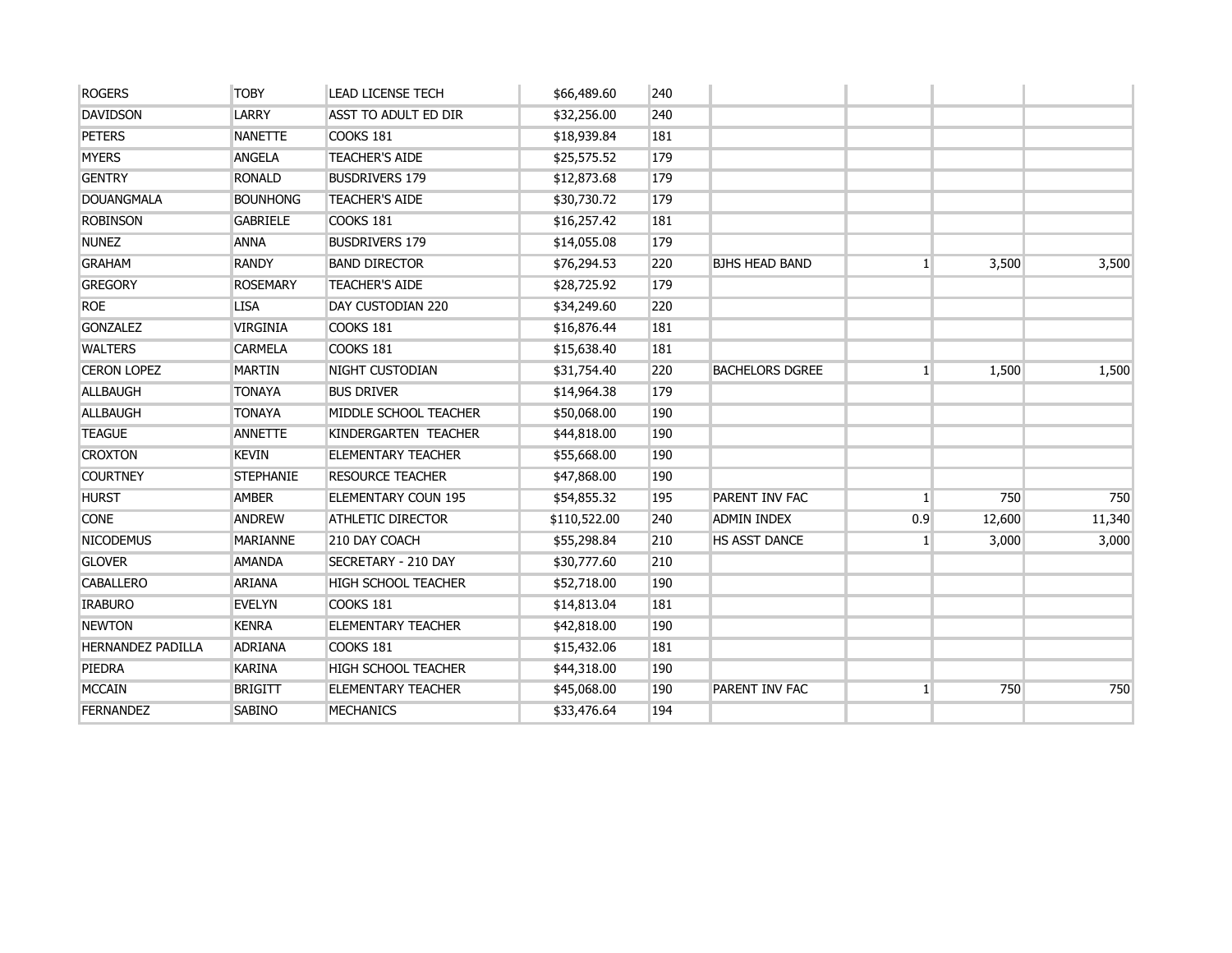| <b>ROGERS</b>            | <b>TOBY</b>      | <b>LEAD LICENSE TECH</b>   | \$66,489.60  | 240 |                        |                |        |        |
|--------------------------|------------------|----------------------------|--------------|-----|------------------------|----------------|--------|--------|
| <b>DAVIDSON</b>          | LARRY            | ASST TO ADULT ED DIR       | \$32,256.00  | 240 |                        |                |        |        |
| <b>PETERS</b>            | <b>NANETTE</b>   | <b>COOKS 181</b>           | \$18,939.84  | 181 |                        |                |        |        |
| <b>MYERS</b>             | <b>ANGELA</b>    | <b>TEACHER'S AIDE</b>      | \$25,575.52  | 179 |                        |                |        |        |
| <b>GENTRY</b>            | <b>RONALD</b>    | <b>BUSDRIVERS 179</b>      | \$12,873.68  | 179 |                        |                |        |        |
| <b>DOUANGMALA</b>        | <b>BOUNHONG</b>  | <b>TEACHER'S AIDE</b>      | \$30,730.72  | 179 |                        |                |        |        |
| <b>ROBINSON</b>          | <b>GABRIELE</b>  | <b>COOKS 181</b>           | \$16,257.42  | 181 |                        |                |        |        |
| <b>NUNEZ</b>             | <b>ANNA</b>      | <b>BUSDRIVERS 179</b>      | \$14,055.08  | 179 |                        |                |        |        |
| <b>GRAHAM</b>            | <b>RANDY</b>     | <b>BAND DIRECTOR</b>       | \$76,294.53  | 220 | <b>BJHS HEAD BAND</b>  | $1\vert$       | 3,500  | 3,500  |
| <b>GREGORY</b>           | <b>ROSEMARY</b>  | <b>TEACHER'S AIDE</b>      | \$28,725.92  | 179 |                        |                |        |        |
| <b>ROE</b>               | <b>LISA</b>      | DAY CUSTODIAN 220          | \$34,249.60  | 220 |                        |                |        |        |
| <b>GONZALEZ</b>          | <b>VIRGINIA</b>  | <b>COOKS 181</b>           | \$16,876.44  | 181 |                        |                |        |        |
| <b>WALTERS</b>           | <b>CARMELA</b>   | COOKS 181                  | \$15,638.40  | 181 |                        |                |        |        |
| <b>CERON LOPEZ</b>       | <b>MARTIN</b>    | NIGHT CUSTODIAN            | \$31,754.40  | 220 | <b>BACHELORS DGREE</b> | $\mathbf{1}$   | 1,500  | 1,500  |
| <b>ALLBAUGH</b>          | <b>TONAYA</b>    | <b>BUS DRIVER</b>          | \$14,964.38  | 179 |                        |                |        |        |
| <b>ALLBAUGH</b>          | <b>TONAYA</b>    | MIDDLE SCHOOL TEACHER      | \$50,068.00  | 190 |                        |                |        |        |
| <b>TEAGUE</b>            | <b>ANNETTE</b>   | KINDERGARTEN TEACHER       | \$44,818.00  | 190 |                        |                |        |        |
| <b>CROXTON</b>           | <b>KEVIN</b>     | <b>ELEMENTARY TEACHER</b>  | \$55,668.00  | 190 |                        |                |        |        |
| <b>COURTNEY</b>          | <b>STEPHANIE</b> | <b>RESOURCE TEACHER</b>    | \$47,868.00  | 190 |                        |                |        |        |
| <b>HURST</b>             | <b>AMBER</b>     | <b>ELEMENTARY COUN 195</b> | \$54,855.32  | 195 | PARENT INV FAC         | 1 <sup>1</sup> | 750    | 750    |
| <b>CONE</b>              | <b>ANDREW</b>    | <b>ATHLETIC DIRECTOR</b>   | \$110,522.00 | 240 | <b>ADMIN INDEX</b>     | 0.9            | 12,600 | 11,340 |
| <b>NICODEMUS</b>         | <b>MARIANNE</b>  | 210 DAY COACH              | \$55,298.84  | 210 | HS ASST DANCE          | 1 <sup>1</sup> | 3,000  | 3,000  |
| <b>GLOVER</b>            | <b>AMANDA</b>    | SECRETARY - 210 DAY        | \$30,777.60  | 210 |                        |                |        |        |
| <b>CABALLERO</b>         | <b>ARIANA</b>    | HIGH SCHOOL TEACHER        | \$52,718.00  | 190 |                        |                |        |        |
| <b>IRABURO</b>           | <b>EVELYN</b>    | COOKS 181                  | \$14,813.04  | 181 |                        |                |        |        |
| <b>NEWTON</b>            | <b>KENRA</b>     | <b>ELEMENTARY TEACHER</b>  | \$42,818.00  | 190 |                        |                |        |        |
| <b>HERNANDEZ PADILLA</b> | <b>ADRIANA</b>   | COOKS 181                  | \$15,432.06  | 181 |                        |                |        |        |
| PIEDRA                   | <b>KARINA</b>    | HIGH SCHOOL TEACHER        | \$44,318.00  | 190 |                        |                |        |        |
| <b>MCCAIN</b>            | <b>BRIGITT</b>   | <b>ELEMENTARY TEACHER</b>  | \$45,068.00  | 190 | PARENT INV FAC         | $1\vert$       | 750    | 750    |
| <b>FERNANDEZ</b>         | <b>SABINO</b>    | <b>MECHANICS</b>           | \$33,476.64  | 194 |                        |                |        |        |